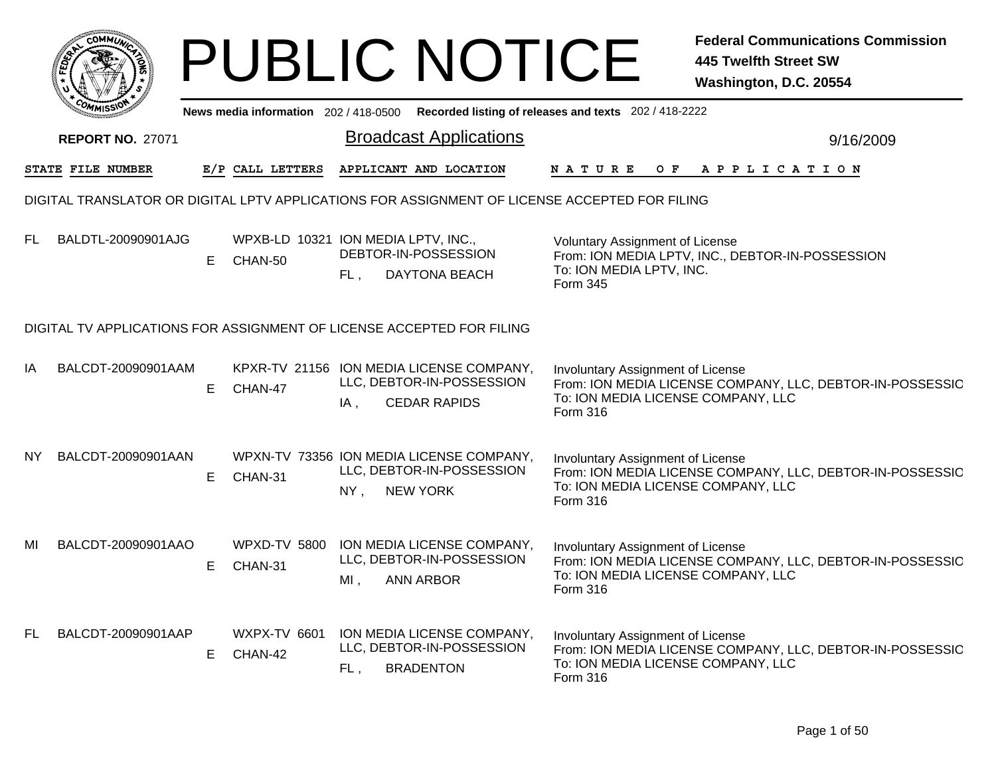|           |                                                                                               |    |                                                |               | <b>PUBLIC NOTICE</b>                                                                         |                                                                                             | <b>Federal Communications Commission</b><br><b>445 Twelfth Street SW</b><br>Washington, D.C. 20554 |
|-----------|-----------------------------------------------------------------------------------------------|----|------------------------------------------------|---------------|----------------------------------------------------------------------------------------------|---------------------------------------------------------------------------------------------|----------------------------------------------------------------------------------------------------|
|           |                                                                                               |    |                                                |               |                                                                                              | News media information 202 / 418-0500 Recorded listing of releases and texts 202 / 418-2222 |                                                                                                    |
|           | <b>REPORT NO. 27071</b>                                                                       |    |                                                |               | <b>Broadcast Applications</b>                                                                |                                                                                             | 9/16/2009                                                                                          |
|           | STATE FILE NUMBER                                                                             |    | E/P CALL LETTERS                               |               | APPLICANT AND LOCATION                                                                       | <b>NATURE</b>                                                                               | OF APPLICATION                                                                                     |
|           | DIGITAL TRANSLATOR OR DIGITAL LPTV APPLICATIONS FOR ASSIGNMENT OF LICENSE ACCEPTED FOR FILING |    |                                                |               |                                                                                              |                                                                                             |                                                                                                    |
| FL        | BALDTL-20090901AJG                                                                            | E. | WPXB-LD 10321 ION MEDIA LPTV, INC.,<br>CHAN-50 | FL,           | DEBTOR-IN-POSSESSION<br>DAYTONA BEACH                                                        | Voluntary Assignment of License<br>To: ION MEDIA LPTV, INC.<br>Form 345                     | From: ION MEDIA LPTV, INC., DEBTOR-IN-POSSESSION                                                   |
|           | DIGITAL TV APPLICATIONS FOR ASSIGNMENT OF LICENSE ACCEPTED FOR FILING                         |    |                                                |               |                                                                                              |                                                                                             |                                                                                                    |
| IA        | BALCDT-20090901AAM                                                                            | E. | CHAN-47                                        | IA,           | KPXR-TV 21156 ION MEDIA LICENSE COMPANY,<br>LLC, DEBTOR-IN-POSSESSION<br><b>CEDAR RAPIDS</b> | Involuntary Assignment of License<br>To: ION MEDIA LICENSE COMPANY, LLC<br>Form 316         | From: ION MEDIA LICENSE COMPANY, LLC, DEBTOR-IN-POSSESSIC                                          |
| NY.       | BALCDT-20090901AAN                                                                            | E  | CHAN-31                                        | NY,           | WPXN-TV 73356 ION MEDIA LICENSE COMPANY,<br>LLC, DEBTOR-IN-POSSESSION<br><b>NEW YORK</b>     | Involuntary Assignment of License<br>To: ION MEDIA LICENSE COMPANY, LLC<br><b>Form 316</b>  | From: ION MEDIA LICENSE COMPANY, LLC, DEBTOR-IN-POSSESSIC                                          |
| MI        | BALCDT-20090901AAO                                                                            | E. | <b>WPXD-TV 5800</b><br>CHAN-31                 | MI, ANN ARBOR | ION MEDIA LICENSE COMPANY,<br>LLC, DEBTOR-IN-POSSESSION                                      | Involuntary Assignment of License<br>To: ION MEDIA LICENSE COMPANY, LLC<br><b>Form 316</b>  | From: ION MEDIA LICENSE COMPANY, LLC, DEBTOR-IN-POSSESSIC                                          |
| <b>FL</b> | BALCDT-20090901AAP                                                                            | E. | <b>WXPX-TV 6601</b><br>CHAN-42                 | FL,           | ION MEDIA LICENSE COMPANY,<br>LLC, DEBTOR-IN-POSSESSION<br><b>BRADENTON</b>                  | Involuntary Assignment of License<br>To: ION MEDIA LICENSE COMPANY, LLC<br>Form 316         | From: ION MEDIA LICENSE COMPANY, LLC, DEBTOR-IN-POSSESSIC                                          |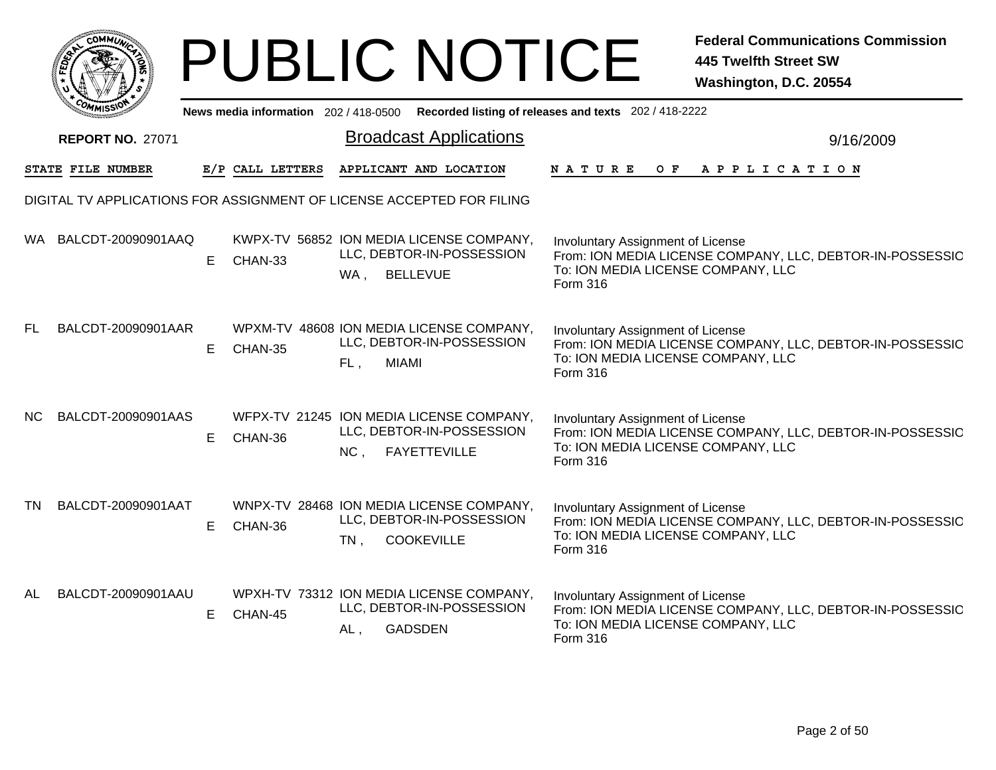|           |                         |    |                  | <b>PUBLIC NOTICE</b>                                                                                 | <b>Federal Communications Commission</b><br><b>445 Twelfth Street SW</b><br>Washington, D.C. 20554                                               |
|-----------|-------------------------|----|------------------|------------------------------------------------------------------------------------------------------|--------------------------------------------------------------------------------------------------------------------------------------------------|
|           |                         |    |                  | News media information 202/418-0500 Recorded listing of releases and texts 202/418-2222              |                                                                                                                                                  |
|           | <b>REPORT NO. 27071</b> |    |                  | <b>Broadcast Applications</b>                                                                        | 9/16/2009                                                                                                                                        |
|           | STATE FILE NUMBER       |    | E/P CALL LETTERS | APPLICANT AND LOCATION                                                                               | NATURE<br>APPLICATION<br>O F                                                                                                                     |
|           |                         |    |                  | DIGITAL TV APPLICATIONS FOR ASSIGNMENT OF LICENSE ACCEPTED FOR FILING                                |                                                                                                                                                  |
|           | WA BALCDT-20090901AAQ   | E. | CHAN-33          | KWPX-TV 56852 ION MEDIA LICENSE COMPANY,<br>LLC, DEBTOR-IN-POSSESSION<br>WA, BELLEVUE                | Involuntary Assignment of License<br>From: ION MEDIA LICENSE COMPANY, LLC, DEBTOR-IN-POSSESSIC<br>To: ION MEDIA LICENSE COMPANY, LLC<br>Form 316 |
| FL.       | BALCDT-20090901AAR      | E. | CHAN-35          | WPXM-TV 48608 ION MEDIA LICENSE COMPANY,<br>LLC, DEBTOR-IN-POSSESSION<br>FL.<br><b>MIAMI</b>         | Involuntary Assignment of License<br>From: ION MEDIA LICENSE COMPANY, LLC, DEBTOR-IN-POSSESSIC<br>To: ION MEDIA LICENSE COMPANY, LLC<br>Form 316 |
| NC.       | BALCDT-20090901AAS      | Е  | CHAN-36          | WFPX-TV 21245 ION MEDIA LICENSE COMPANY,<br>LLC, DEBTOR-IN-POSSESSION<br>NC, FAYETTEVILLE            | Involuntary Assignment of License<br>From: ION MEDIA LICENSE COMPANY, LLC, DEBTOR-IN-POSSESSIC<br>To: ION MEDIA LICENSE COMPANY, LLC<br>Form 316 |
| TN        | BALCDT-20090901AAT      | E. | CHAN-36          | WNPX-TV 28468 ION MEDIA LICENSE COMPANY,<br>LLC, DEBTOR-IN-POSSESSION<br><b>COOKEVILLE</b><br>$TN$ , | Involuntary Assignment of License<br>From: ION MEDIA LICENSE COMPANY, LLC, DEBTOR-IN-POSSESSIC<br>To: ION MEDIA LICENSE COMPANY, LLC<br>Form 316 |
| <b>AL</b> | BALCDT-20090901AAU      | E  | CHAN-45          | WPXH-TV 73312 ION MEDIA LICENSE COMPANY,<br>LLC, DEBTOR-IN-POSSESSION<br><b>GADSDEN</b><br>AL,       | Involuntary Assignment of License<br>From: ION MEDIA LICENSE COMPANY, LLC, DEBTOR-IN-POSSESSIC<br>To: ION MEDIA LICENSE COMPANY, LLC<br>Form 316 |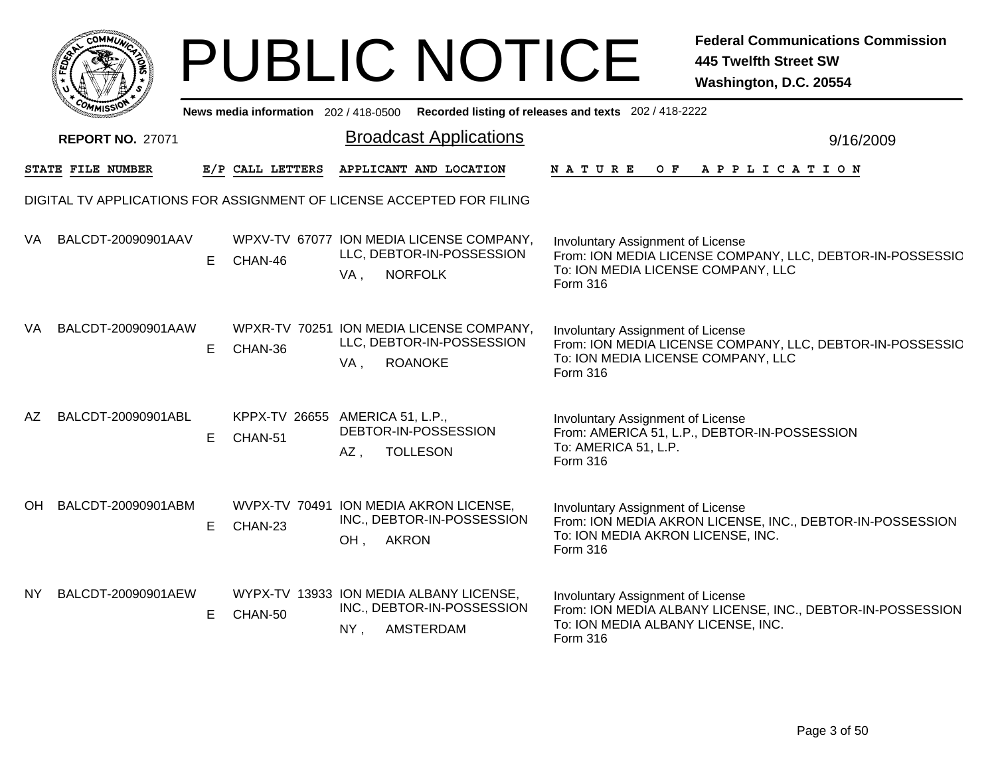|     |                         |    |                  | <b>PUBLIC NOTICE</b>                                                                           |                                                                                                                       | <b>Federal Communications Commission</b><br><b>445 Twelfth Street SW</b><br>Washington, D.C. 20554 |
|-----|-------------------------|----|------------------|------------------------------------------------------------------------------------------------|-----------------------------------------------------------------------------------------------------------------------|----------------------------------------------------------------------------------------------------|
|     |                         |    |                  | News media information 202/418-0500 Recorded listing of releases and texts 202/418-2222        |                                                                                                                       |                                                                                                    |
|     | <b>REPORT NO. 27071</b> |    |                  | <b>Broadcast Applications</b>                                                                  |                                                                                                                       | 9/16/2009                                                                                          |
|     | STATE FILE NUMBER       |    | E/P CALL LETTERS | APPLICANT AND LOCATION                                                                         | <b>NATURE</b><br>O F                                                                                                  | APPLICATION                                                                                        |
|     |                         |    |                  | DIGITAL TV APPLICATIONS FOR ASSIGNMENT OF LICENSE ACCEPTED FOR FILING                          |                                                                                                                       |                                                                                                    |
| VA  | BALCDT-20090901AAV      | E  | CHAN-46          | WPXV-TV 67077 ION MEDIA LICENSE COMPANY,<br>LLC, DEBTOR-IN-POSSESSION<br><b>NORFOLK</b><br>VA, | Involuntary Assignment of License<br>To: ION MEDIA LICENSE COMPANY, LLC<br>Form 316                                   | From: ION MEDIA LICENSE COMPANY, LLC, DEBTOR-IN-POSSESSIC                                          |
| VA  | BALCDT-20090901AAW      | E  | CHAN-36          | WPXR-TV 70251 ION MEDIA LICENSE COMPANY,<br>LLC, DEBTOR-IN-POSSESSION<br><b>ROANOKE</b><br>VA, | Involuntary Assignment of License<br>To: ION MEDIA LICENSE COMPANY, LLC<br>Form 316                                   | From: ION MEDIA LICENSE COMPANY, LLC, DEBTOR-IN-POSSESSIC                                          |
| AZ  | BALCDT-20090901ABL      | E  | CHAN-51          | KPPX-TV 26655 AMERICA 51, L.P.,<br>DEBTOR-IN-POSSESSION<br>$AZ$ ,<br><b>TOLLESON</b>           | Involuntary Assignment of License<br>From: AMERICA 51, L.P., DEBTOR-IN-POSSESSION<br>To: AMERICA 51, L.P.<br>Form 316 |                                                                                                    |
|     | OH BALCDT-20090901ABM   | E. | CHAN-23          | WVPX-TV 70491 ION MEDIA AKRON LICENSE,<br>INC., DEBTOR-IN-POSSESSION<br><b>AKRON</b><br>OH,    | Involuntary Assignment of License<br>To: ION MEDIA AKRON LICENSE, INC.<br>Form 316                                    | From: ION MEDIA AKRON LICENSE, INC., DEBTOR-IN-POSSESSION                                          |
| NY. | BALCDT-20090901AEW      | E  | CHAN-50          | WYPX-TV 13933 ION MEDIA ALBANY LICENSE,<br>INC., DEBTOR-IN-POSSESSION<br>$NY$ ,<br>AMSTERDAM   | Involuntary Assignment of License<br>To: ION MEDIA ALBANY LICENSE, INC.<br>Form 316                                   | From: ION MEDIA ALBANY LICENSE, INC., DEBTOR-IN-POSSESSION                                         |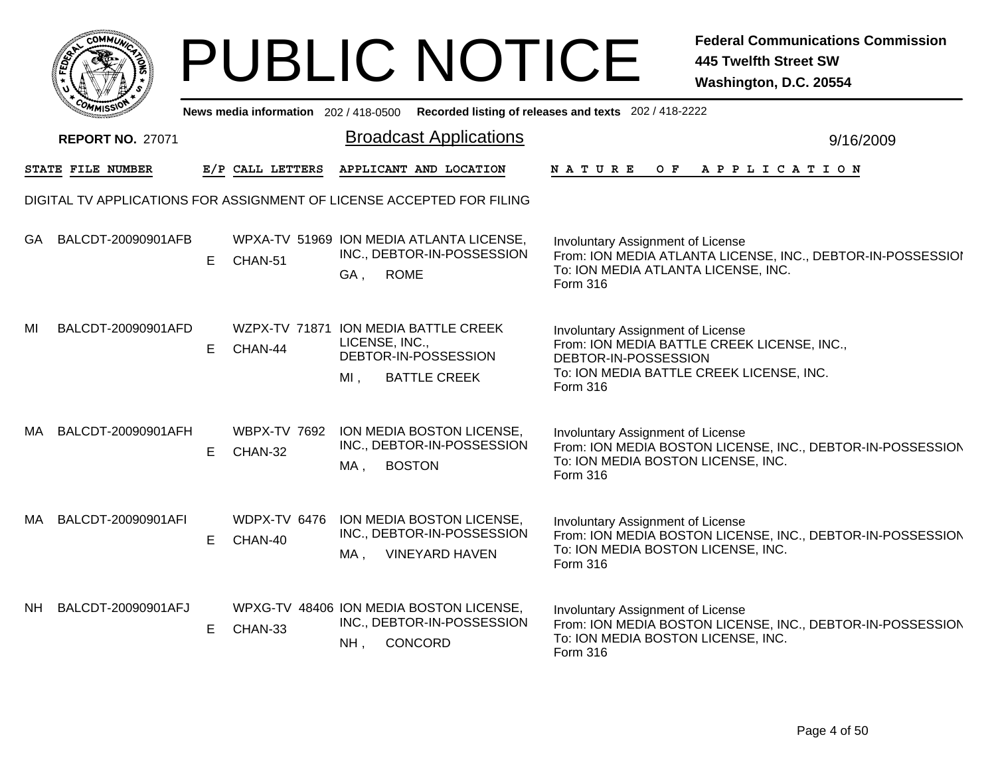|              | <b>MMUNA</b><br>c.Ol<br>્ |
|--------------|---------------------------|
| <b>FEDET</b> | Ğ                         |
|              |                           |
|              | <b>COMMISS</b><br>m       |

|      | <b>COMMISSIO</b>        |   |                                | News media information 202/418-0500 Recorded listing of releases and texts 202/418-2222                         |                                                                                                                                                                  |           |
|------|-------------------------|---|--------------------------------|-----------------------------------------------------------------------------------------------------------------|------------------------------------------------------------------------------------------------------------------------------------------------------------------|-----------|
|      | <b>REPORT NO. 27071</b> |   |                                | <b>Broadcast Applications</b>                                                                                   |                                                                                                                                                                  | 9/16/2009 |
|      | STATE FILE NUMBER       |   | E/P CALL LETTERS               | APPLICANT AND LOCATION                                                                                          | NATURE<br>APPLICATION<br>O F                                                                                                                                     |           |
|      |                         |   |                                | DIGITAL TV APPLICATIONS FOR ASSIGNMENT OF LICENSE ACCEPTED FOR FILING                                           |                                                                                                                                                                  |           |
|      | GA BALCDT-20090901AFB   | E | CHAN-51                        | WPXA-TV 51969 ION MEDIA ATLANTA LICENSE,<br>INC., DEBTOR-IN-POSSESSION<br><b>ROME</b><br>GA,                    | Involuntary Assignment of License<br>From: ION MEDIA ATLANTA LICENSE, INC., DEBTOR-IN-POSSESSIOI<br>To: ION MEDIA ATLANTA LICENSE, INC.<br>Form 316              |           |
| MI   | BALCDT-20090901AFD      | E | CHAN-44                        | WZPX-TV 71871 ION MEDIA BATTLE CREEK<br>LICENSE, INC.,<br>DEBTOR-IN-POSSESSION<br>$MI$ .<br><b>BATTLE CREEK</b> | Involuntary Assignment of License<br>From: ION MEDIA BATTLE CREEK LICENSE, INC.,<br>DEBTOR-IN-POSSESSION<br>To: ION MEDIA BATTLE CREEK LICENSE, INC.<br>Form 316 |           |
| MA.  | BALCDT-20090901AFH      | E | <b>WBPX-TV 7692</b><br>CHAN-32 | ION MEDIA BOSTON LICENSE,<br>INC., DEBTOR-IN-POSSESSION<br><b>BOSTON</b><br>MA,                                 | Involuntary Assignment of License<br>From: ION MEDIA BOSTON LICENSE, INC., DEBTOR-IN-POSSESSION<br>To: ION MEDIA BOSTON LICENSE, INC.<br>Form 316                |           |
| MA.  | BALCDT-20090901AFI      | E | WDPX-TV 6476<br>CHAN-40        | ION MEDIA BOSTON LICENSE,<br>INC., DEBTOR-IN-POSSESSION<br>MA,<br><b>VINEYARD HAVEN</b>                         | Involuntary Assignment of License<br>From: ION MEDIA BOSTON LICENSE, INC., DEBTOR-IN-POSSESSION<br>To: ION MEDIA BOSTON LICENSE, INC.<br>Form 316                |           |
| NH . | BALCDT-20090901AFJ      | E | CHAN-33                        | WPXG-TV 48406 ION MEDIA BOSTON LICENSE,<br>INC., DEBTOR-IN-POSSESSION<br>CONCORD<br>NH,                         | <b>Involuntary Assignment of License</b><br>From: ION MEDIA BOSTON LICENSE, INC., DEBTOR-IN-POSSESSION<br>To: ION MEDIA BOSTON LICENSE, INC.<br>Form 316         |           |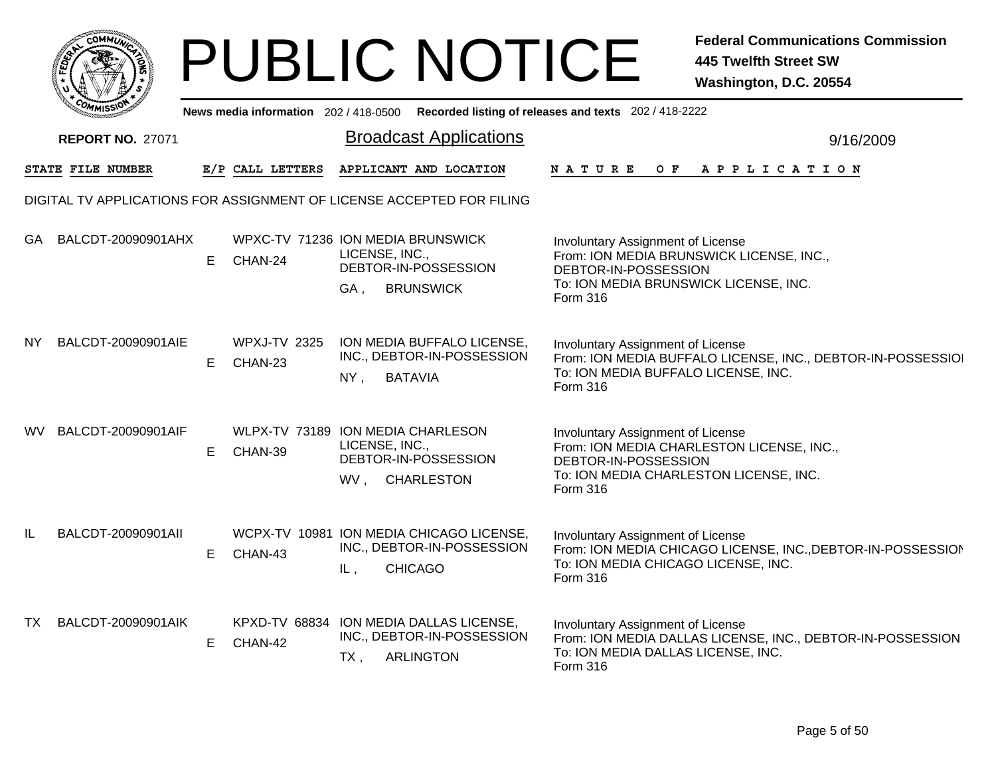|     |                                                                       |    |                                              |                                  | <b>PUBLIC NOTICE</b>                                                                      |                                                                                                                 | <b>Federal Communications Commission</b><br><b>445 Twelfth Street SW</b><br>Washington, D.C. 20554 |
|-----|-----------------------------------------------------------------------|----|----------------------------------------------|----------------------------------|-------------------------------------------------------------------------------------------|-----------------------------------------------------------------------------------------------------------------|----------------------------------------------------------------------------------------------------|
|     |                                                                       |    |                                              |                                  |                                                                                           | News media information 202/418-0500 Recorded listing of releases and texts 202/418-2222                         |                                                                                                    |
|     | <b>REPORT NO. 27071</b>                                               |    |                                              |                                  | <b>Broadcast Applications</b>                                                             |                                                                                                                 | 9/16/2009                                                                                          |
|     | <b>STATE FILE NUMBER</b>                                              |    | E/P CALL LETTERS                             |                                  | APPLICANT AND LOCATION                                                                    | N A T U R E<br>O F                                                                                              | A P P L I C A T I O N                                                                              |
|     | DIGITAL TV APPLICATIONS FOR ASSIGNMENT OF LICENSE ACCEPTED FOR FILING |    |                                              |                                  |                                                                                           |                                                                                                                 |                                                                                                    |
| GA  | BALCDT-20090901AHX                                                    | Е  | WPXC-TV 71236 ION MEDIA BRUNSWICK<br>CHAN-24 | LICENSE, INC.,<br>GA,            | DEBTOR-IN-POSSESSION<br><b>BRUNSWICK</b>                                                  | Involuntary Assignment of License<br>DEBTOR-IN-POSSESSION<br>To: ION MEDIA BRUNSWICK LICENSE, INC.<br>Form 316  | From: ION MEDIA BRUNSWICK LICENSE, INC.,                                                           |
| NY. | BALCDT-20090901AIE                                                    | E. | <b>WPXJ-TV 2325</b><br>CHAN-23               | $NY$ ,                           | ION MEDIA BUFFALO LICENSE,<br>INC., DEBTOR-IN-POSSESSION<br><b>BATAVIA</b>                | Involuntary Assignment of License<br>To: ION MEDIA BUFFALO LICENSE, INC.<br>Form 316                            | From: ION MEDIA BUFFALO LICENSE, INC., DEBTOR-IN-POSSESSIOI                                        |
| WV. | BALCDT-20090901AIF                                                    | E  | WLPX-TV 73189 ION MEDIA CHARLESON<br>CHAN-39 | LICENSE, INC.,<br>WV, CHARLESTON | DEBTOR-IN-POSSESSION                                                                      | Involuntary Assignment of License<br>DEBTOR-IN-POSSESSION<br>To: ION MEDIA CHARLESTON LICENSE, INC.<br>Form 316 | From: ION MEDIA CHARLESTON LICENSE, INC.,                                                          |
| IL. | BALCDT-20090901All                                                    | Е  | CHAN-43                                      | IL,                              | WCPX-TV 10981 ION MEDIA CHICAGO LICENSE,<br>INC., DEBTOR-IN-POSSESSION<br><b>CHICAGO</b>  | Involuntary Assignment of License<br>To: ION MEDIA CHICAGO LICENSE, INC.<br>Form 316                            | From: ION MEDIA CHICAGO LICENSE, INC., DEBTOR-IN-POSSESSION                                        |
| TX  | BALCDT-20090901AIK                                                    | E  | CHAN-42                                      | $TX$ ,                           | KPXD-TV 68834 ION MEDIA DALLAS LICENSE,<br>INC., DEBTOR-IN-POSSESSION<br><b>ARLINGTON</b> | Involuntary Assignment of License<br>To: ION MEDIA DALLAS LICENSE, INC.<br>Form 316                             | From: ION MEDIA DALLAS LICENSE, INC., DEBTOR-IN-POSSESSION                                         |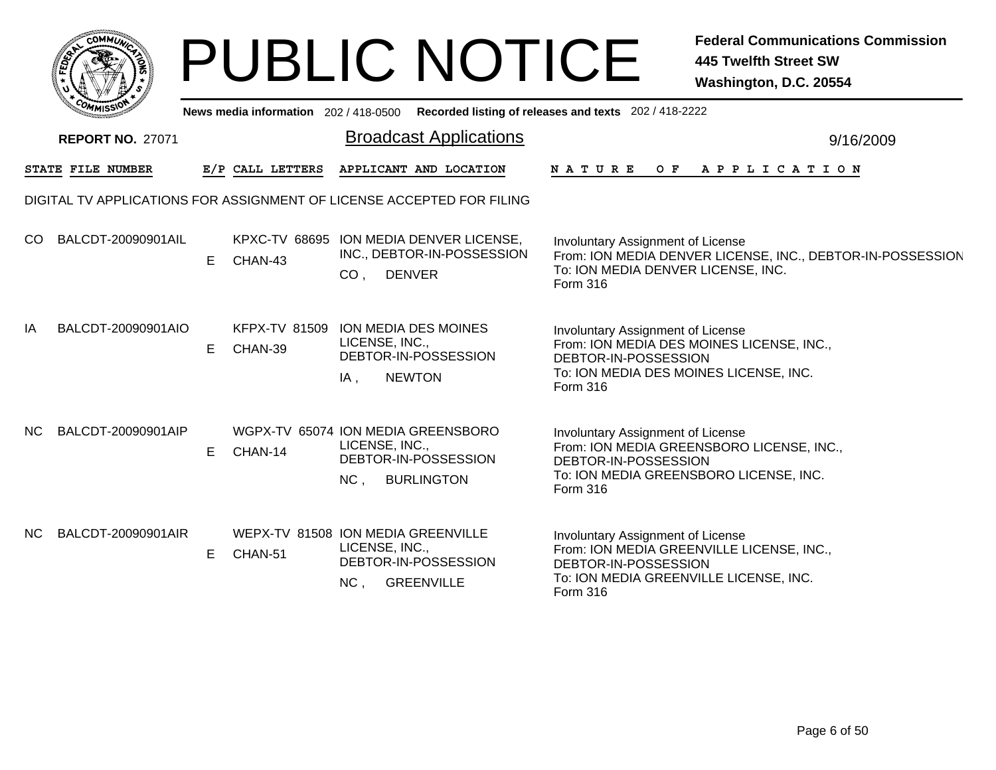|    | MMUNICT<br>c۵۱ |    |
|----|----------------|----|
| É, |                | Ğ. |
|    |                |    |
|    | COMI<br>MISS   |    |

|     | <b>MMISSION</b>         |    |                  | News media information 202 / 418-0500 Recorded listing of releases and texts 202 / 418-2222               |                                                                                                                                                              |
|-----|-------------------------|----|------------------|-----------------------------------------------------------------------------------------------------------|--------------------------------------------------------------------------------------------------------------------------------------------------------------|
|     | <b>REPORT NO. 27071</b> |    |                  | <b>Broadcast Applications</b>                                                                             | 9/16/2009                                                                                                                                                    |
|     | STATE FILE NUMBER       |    | E/P CALL LETTERS | APPLICANT AND LOCATION                                                                                    | <b>NATURE</b><br>A P P L I C A T I O N<br>O F                                                                                                                |
|     |                         |    |                  | DIGITAL TV APPLICATIONS FOR ASSIGNMENT OF LICENSE ACCEPTED FOR FILING                                     |                                                                                                                                                              |
| CO. | BALCDT-20090901AIL      | E  | CHAN-43          | KPXC-TV 68695 ION MEDIA DENVER LICENSE,<br>INC., DEBTOR-IN-POSSESSION<br><b>DENVER</b><br>CO <sub>1</sub> | Involuntary Assignment of License<br>From: ION MEDIA DENVER LICENSE, INC., DEBTOR-IN-POSSESSION<br>To: ION MEDIA DENVER LICENSE, INC.<br>Form 316            |
| IA  | BALCDT-20090901AIO      | E. | CHAN-39          | KFPX-TV 81509 ION MEDIA DES MOINES<br>LICENSE, INC.,<br>DEBTOR-IN-POSSESSION<br>IA,<br><b>NEWTON</b>      | Involuntary Assignment of License<br>From: ION MEDIA DES MOINES LICENSE, INC.,<br>DEBTOR-IN-POSSESSION<br>To: ION MEDIA DES MOINES LICENSE, INC.<br>Form 316 |
| NC. | BALCDT-20090901AIP      | E  | CHAN-14          | WGPX-TV 65074 ION MEDIA GREENSBORO<br>LICENSE, INC.,<br>DEBTOR-IN-POSSESSION<br>NC,<br><b>BURLINGTON</b>  | Involuntary Assignment of License<br>From: ION MEDIA GREENSBORO LICENSE, INC.,<br>DEBTOR-IN-POSSESSION<br>To: ION MEDIA GREENSBORO LICENSE, INC.<br>Form 316 |
| NC. | BALCDT-20090901AIR      | E. | CHAN-51          | WEPX-TV 81508 ION MEDIA GREENVILLE<br>LICENSE, INC.,<br>DEBTOR-IN-POSSESSION<br>NC,<br><b>GREENVILLE</b>  | Involuntary Assignment of License<br>From: ION MEDIA GREENVILLE LICENSE, INC.,<br>DEBTOR-IN-POSSESSION<br>To: ION MEDIA GREENVILLE LICENSE, INC.<br>Form 316 |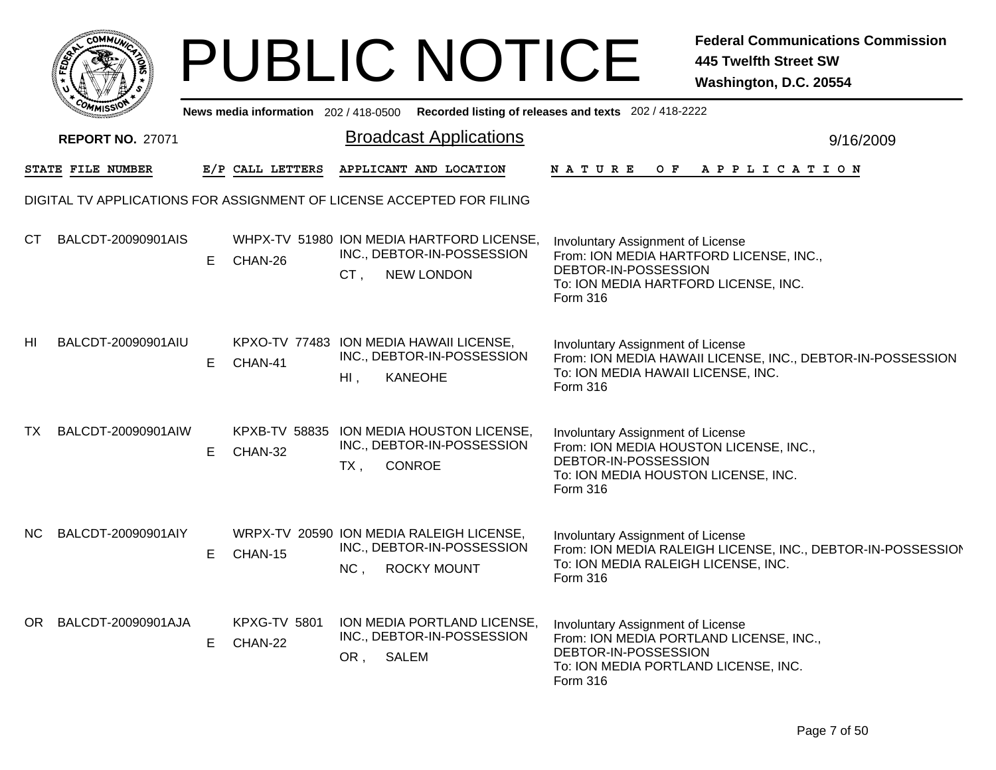|     |                                                                       |   |                                |           | <b>PUBLIC NOTICE</b>                                                                         |                                                                                                                                                          | <b>Federal Communications Commission</b><br><b>445 Twelfth Street SW</b><br>Washington, D.C. 20554 |
|-----|-----------------------------------------------------------------------|---|--------------------------------|-----------|----------------------------------------------------------------------------------------------|----------------------------------------------------------------------------------------------------------------------------------------------------------|----------------------------------------------------------------------------------------------------|
|     |                                                                       |   |                                |           |                                                                                              | News media information 202/418-0500 Recorded listing of releases and texts 202/418-2222                                                                  |                                                                                                    |
|     | <b>REPORT NO. 27071</b>                                               |   |                                |           | <b>Broadcast Applications</b>                                                                |                                                                                                                                                          | 9/16/2009                                                                                          |
|     | <b>STATE FILE NUMBER</b>                                              |   | E/P CALL LETTERS               |           | APPLICANT AND LOCATION                                                                       | NATURE                                                                                                                                                   | OF APPLICATION                                                                                     |
|     | DIGITAL TV APPLICATIONS FOR ASSIGNMENT OF LICENSE ACCEPTED FOR FILING |   |                                |           |                                                                                              |                                                                                                                                                          |                                                                                                    |
| CT  | BALCDT-20090901AIS                                                    | E | CHAN-26                        | CT,       | WHPX-TV 51980 ION MEDIA HARTFORD LICENSE,<br>INC., DEBTOR-IN-POSSESSION<br><b>NEW LONDON</b> | Involuntary Assignment of License<br>From: ION MEDIA HARTFORD LICENSE, INC.,<br>DEBTOR-IN-POSSESSION<br>To: ION MEDIA HARTFORD LICENSE, INC.<br>Form 316 |                                                                                                    |
| HI  | BALCDT-20090901AIU                                                    | Е | CHAN-41                        | $H1$ ,    | KPXO-TV 77483 ION MEDIA HAWAII LICENSE,<br>INC., DEBTOR-IN-POSSESSION<br><b>KANEOHE</b>      | Involuntary Assignment of License<br>To: ION MEDIA HAWAII LICENSE, INC.<br>Form 316                                                                      | From: ION MEDIA HAWAII LICENSE, INC., DEBTOR-IN-POSSESSION                                         |
| TX  | BALCDT-20090901AIW                                                    | Е | CHAN-32                        | $TX$ ,    | KPXB-TV 58835 ION MEDIA HOUSTON LICENSE,<br>INC., DEBTOR-IN-POSSESSION<br><b>CONROE</b>      | Involuntary Assignment of License<br>From: ION MEDIA HOUSTON LICENSE, INC.,<br>DEBTOR-IN-POSSESSION<br>To: ION MEDIA HOUSTON LICENSE, INC.<br>Form 316   |                                                                                                    |
| NC. | BALCDT-20090901AIY                                                    | Е | CHAN-15                        |           | WRPX-TV 20590 ION MEDIA RALEIGH LICENSE,<br>INC., DEBTOR-IN-POSSESSION<br>NC, ROCKY MOUNT    | Involuntary Assignment of License<br>To: ION MEDIA RALEIGH LICENSE, INC.<br>Form 316                                                                     | From: ION MEDIA RALEIGH LICENSE, INC., DEBTOR-IN-POSSESSION                                        |
| OR  | BALCDT-20090901AJA                                                    | Е | <b>KPXG-TV 5801</b><br>CHAN-22 | OR, SALEM | ION MEDIA PORTLAND LICENSE,<br>INC., DEBTOR-IN-POSSESSION                                    | Involuntary Assignment of License<br>From: ION MEDIA PORTLAND LICENSE, INC.,<br>DEBTOR-IN-POSSESSION<br>To: ION MEDIA PORTLAND LICENSE, INC.<br>Form 316 |                                                                                                    |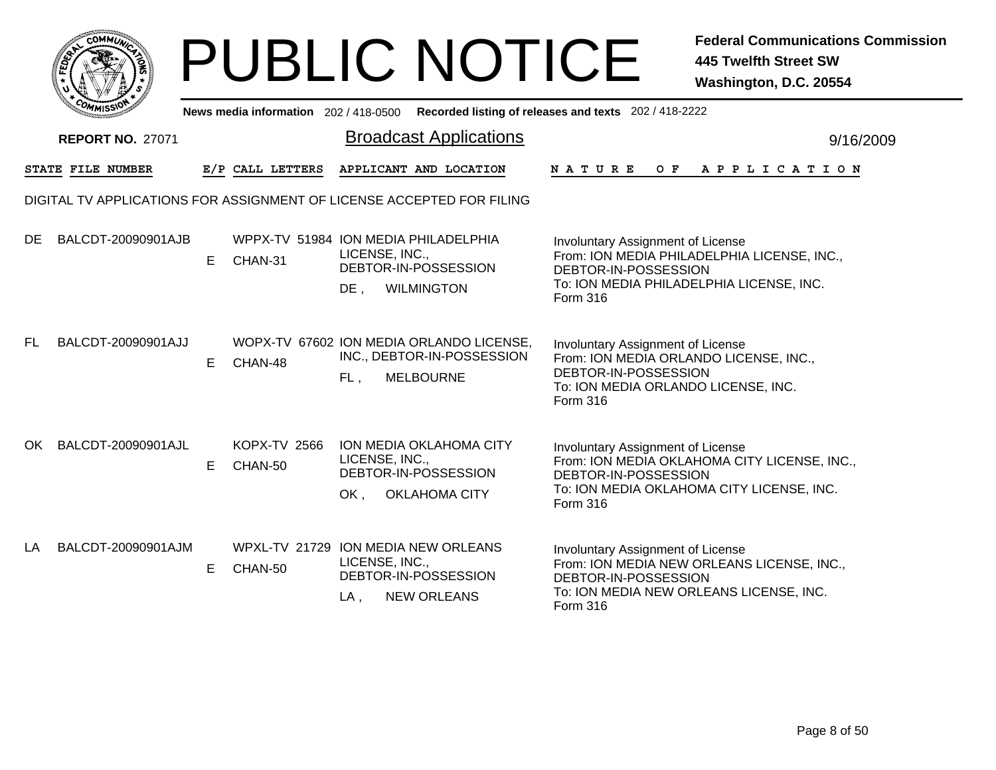|        | MMUNIC<br><b>CO</b> |  |
|--------|---------------------|--|
| క<br>ū |                     |  |
|        |                     |  |
|        | COMI<br>MISS        |  |

|     | <b>COMMISSION</b>       |    |                                | News media information 202 / 418-0500 Recorded listing of releases and texts 202 / 418-2222                   |                                                                                                                                                                    |
|-----|-------------------------|----|--------------------------------|---------------------------------------------------------------------------------------------------------------|--------------------------------------------------------------------------------------------------------------------------------------------------------------------|
|     | <b>REPORT NO. 27071</b> |    |                                | <b>Broadcast Applications</b>                                                                                 | 9/16/2009                                                                                                                                                          |
|     | STATE FILE NUMBER       |    | E/P CALL LETTERS               | APPLICANT AND LOCATION                                                                                        | N A T U R E<br>OF APPLICATION                                                                                                                                      |
|     |                         |    |                                | DIGITAL TV APPLICATIONS FOR ASSIGNMENT OF LICENSE ACCEPTED FOR FILING                                         |                                                                                                                                                                    |
| DE. | BALCDT-20090901AJB      | E. | CHAN-31                        | WPPX-TV 51984 ION MEDIA PHILADELPHIA<br>LICENSE, INC.,<br>DEBTOR-IN-POSSESSION<br>DE,<br><b>WILMINGTON</b>    | Involuntary Assignment of License<br>From: ION MEDIA PHILADELPHIA LICENSE, INC.,<br>DEBTOR-IN-POSSESSION<br>To: ION MEDIA PHILADELPHIA LICENSE, INC.<br>Form 316   |
| FL. | BALCDT-20090901AJJ      | E  | CHAN-48                        | WOPX-TV 67602 ION MEDIA ORLANDO LICENSE,<br>INC., DEBTOR-IN-POSSESSION<br><b>MELBOURNE</b><br>FL,             | Involuntary Assignment of License<br>From: ION MEDIA ORLANDO LICENSE, INC.,<br>DEBTOR-IN-POSSESSION<br>To: ION MEDIA ORLANDO LICENSE, INC.<br>Form 316             |
| OK  | BALCDT-20090901AJL      | E. | <b>KOPX-TV 2566</b><br>CHAN-50 | <b>ION MEDIA OKLAHOMA CITY</b><br>LICENSE, INC.,<br>DEBTOR-IN-POSSESSION<br>OK,<br><b>OKLAHOMA CITY</b>       | Involuntary Assignment of License<br>From: ION MEDIA OKLAHOMA CITY LICENSE, INC.,<br>DEBTOR-IN-POSSESSION<br>To: ION MEDIA OKLAHOMA CITY LICENSE, INC.<br>Form 316 |
| LA  | BALCDT-20090901AJM      | E  | CHAN-50                        | WPXL-TV 21729 ION MEDIA NEW ORLEANS<br>LICENSE, INC.,<br>DEBTOR-IN-POSSESSION<br><b>NEW ORLEANS</b><br>$LA$ , | Involuntary Assignment of License<br>From: ION MEDIA NEW ORLEANS LICENSE, INC.,<br>DEBTOR-IN-POSSESSION<br>To: ION MEDIA NEW ORLEANS LICENSE, INC.<br>Form 316     |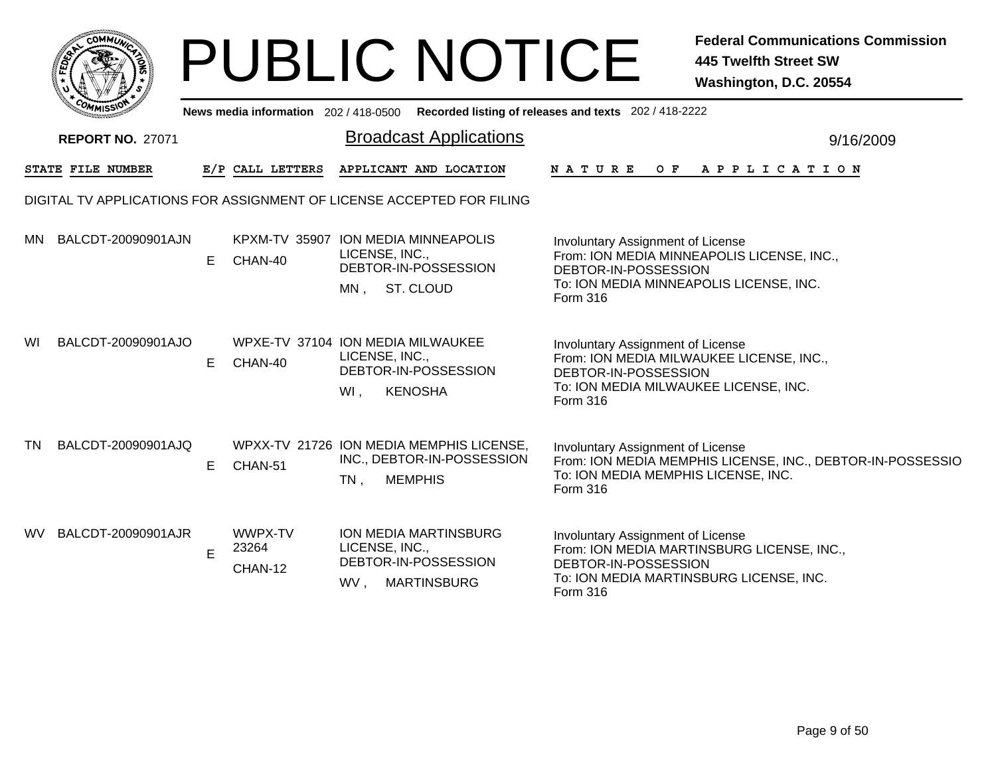|                 | <b>MMUNIC</b><br><b>CO</b> |    |
|-----------------|----------------------------|----|
| ສີ<br>÷         |                            | т. |
|                 |                            |    |
| <sub>ره</sub> . | MISS<br>M.                 |    |

|     | <b>MANISSION</b>        |    |                             | News media information 202 / 418-0500 Recorded listing of releases and texts 202 / 418-2222          |                                                                                                                                                                |  |
|-----|-------------------------|----|-----------------------------|------------------------------------------------------------------------------------------------------|----------------------------------------------------------------------------------------------------------------------------------------------------------------|--|
|     | <b>REPORT NO. 27071</b> |    |                             | <b>Broadcast Applications</b>                                                                        | 9/16/2009                                                                                                                                                      |  |
|     | STATE FILE NUMBER       |    | E/P CALL LETTERS            | APPLICANT AND LOCATION                                                                               | NATURE<br>O F<br>APPLICATION                                                                                                                                   |  |
|     |                         |    |                             | DIGITAL TV APPLICATIONS FOR ASSIGNMENT OF LICENSE ACCEPTED FOR FILING                                |                                                                                                                                                                |  |
|     | MN BALCDT-20090901AJN   | E. | CHAN-40                     | KPXM-TV 35907 ION MEDIA MINNEAPOLIS<br>LICENSE, INC.,<br>DEBTOR-IN-POSSESSION<br>ST. CLOUD<br>MN,    | Involuntary Assignment of License<br>From: ION MEDIA MINNEAPOLIS LICENSE, INC.,<br>DEBTOR-IN-POSSESSION<br>To: ION MEDIA MINNEAPOLIS LICENSE, INC.<br>Form 316 |  |
| WI  | BALCDT-20090901AJO      | E  | CHAN-40                     | WPXE-TV 37104 ION MEDIA MILWAUKEE<br>LICENSE, INC.,<br>DEBTOR-IN-POSSESSION<br>WI,<br><b>KENOSHA</b> | Involuntary Assignment of License<br>From: ION MEDIA MILWAUKEE LICENSE, INC.,<br>DEBTOR-IN-POSSESSION<br>To: ION MEDIA MILWAUKEE LICENSE, INC.<br>Form 316     |  |
| TN  | BALCDT-20090901AJQ      | E  | CHAN-51                     | WPXX-TV 21726 ION MEDIA MEMPHIS LICENSE,<br>INC., DEBTOR-IN-POSSESSION<br><b>MEMPHIS</b><br>$TN$ ,   | Involuntary Assignment of License<br>From: ION MEDIA MEMPHIS LICENSE, INC., DEBTOR-IN-POSSESSIO<br>To: ION MEDIA MEMPHIS LICENSE, INC.<br><b>Form 316</b>      |  |
| WV. | BALCDT-20090901AJR      | E  | WWPX-TV<br>23264<br>CHAN-12 | ION MEDIA MARTINSBURG<br>LICENSE, INC.,<br>DEBTOR-IN-POSSESSION<br>WV,<br><b>MARTINSBURG</b>         | Involuntary Assignment of License<br>From: ION MEDIA MARTINSBURG LICENSE, INC.,<br>DEBTOR-IN-POSSESSION<br>To: ION MEDIA MARTINSBURG LICENSE, INC.<br>Form 316 |  |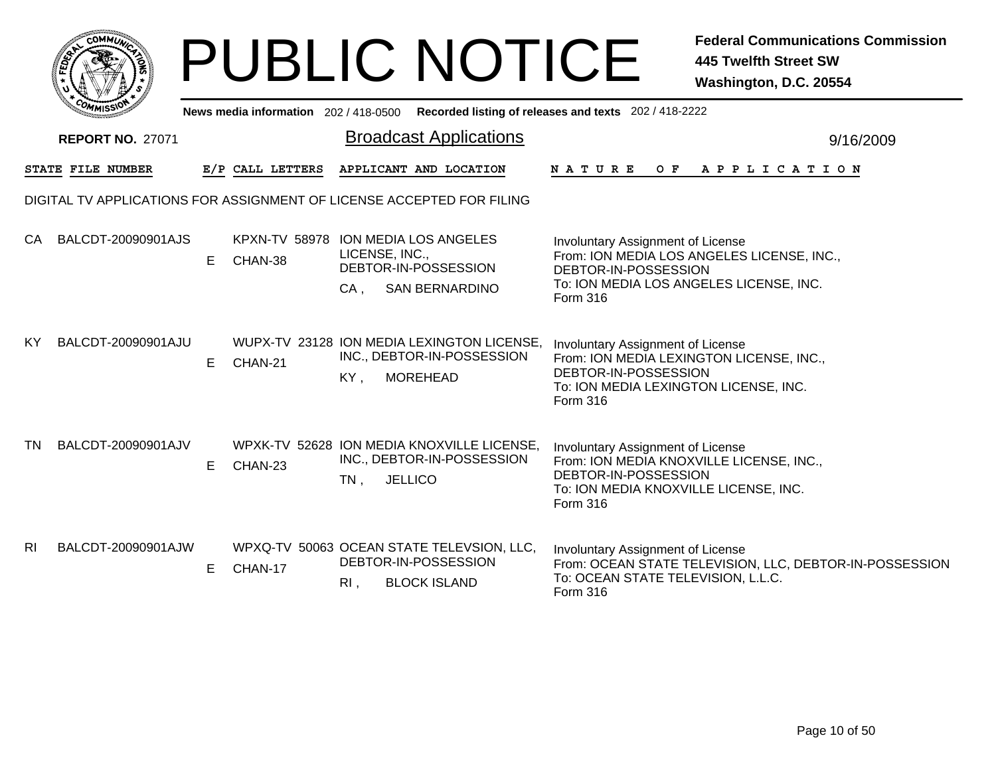|                |                         |    |                                     | <b>PUBLIC NOTICE</b>                                                                                             | <b>Federal Communications Commission</b><br><b>445 Twelfth Street SW</b><br>Washington, D.C. 20554                                                                |
|----------------|-------------------------|----|-------------------------------------|------------------------------------------------------------------------------------------------------------------|-------------------------------------------------------------------------------------------------------------------------------------------------------------------|
|                |                         |    | News media information 202/418-0500 |                                                                                                                  | Recorded listing of releases and texts 202 / 418-2222                                                                                                             |
|                | <b>REPORT NO. 27071</b> |    |                                     | <b>Broadcast Applications</b>                                                                                    | 9/16/2009                                                                                                                                                         |
|                | STATE FILE NUMBER       |    | E/P CALL LETTERS                    | APPLICANT AND LOCATION                                                                                           | NATURE<br>$O \tF$<br>A P P L I C A T I O N                                                                                                                        |
|                |                         |    |                                     | DIGITAL TV APPLICATIONS FOR ASSIGNMENT OF LICENSE ACCEPTED FOR FILING                                            |                                                                                                                                                                   |
| <b>CA</b>      | BALCDT-20090901AJS      | E. | CHAN-38                             | KPXN-TV 58978 ION MEDIA LOS ANGELES<br>LICENSE, INC.,<br>DEBTOR-IN-POSSESSION<br>$CA$ ,<br><b>SAN BERNARDINO</b> | Involuntary Assignment of License<br>From: ION MEDIA LOS ANGELES LICENSE, INC.,<br>DEBTOR-IN-POSSESSION<br>To: ION MEDIA LOS ANGELES LICENSE, INC.<br>Form 316    |
| ΚY             | BALCDT-20090901AJU      | E  | CHAN-21                             | WUPX-TV 23128 ION MEDIA LEXINGTON LICENSE,<br>INC., DEBTOR-IN-POSSESSION<br><b>MOREHEAD</b><br>KY,               | Involuntary Assignment of License<br>From: ION MEDIA LEXINGTON LICENSE, INC.,<br>DEBTOR-IN-POSSESSION<br>To: ION MEDIA LEXINGTON LICENSE, INC.<br><b>Form 316</b> |
| TN.            | BALCDT-20090901AJV      | E. | CHAN-23                             | WPXK-TV 52628 ION MEDIA KNOXVILLE LICENSE,<br>INC., DEBTOR-IN-POSSESSION<br><b>JELLICO</b><br>$TN$ ,             | Involuntary Assignment of License<br>From: ION MEDIA KNOXVILLE LICENSE, INC.,<br>DEBTOR-IN-POSSESSION<br>To: ION MEDIA KNOXVILLE LICENSE, INC.<br>Form 316        |
| R <sub>l</sub> | BALCDT-20090901AJW      | E. | CHAN-17                             | WPXQ-TV 50063 OCEAN STATE TELEVSION, LLC,<br>DEBTOR-IN-POSSESSION<br><b>BLOCK ISLAND</b><br>RI,                  | Involuntary Assignment of License<br>From: OCEAN STATE TELEVISION, LLC, DEBTOR-IN-POSSESSION<br>To: OCEAN STATE TELEVISION, L.L.C.<br>Form 316                    |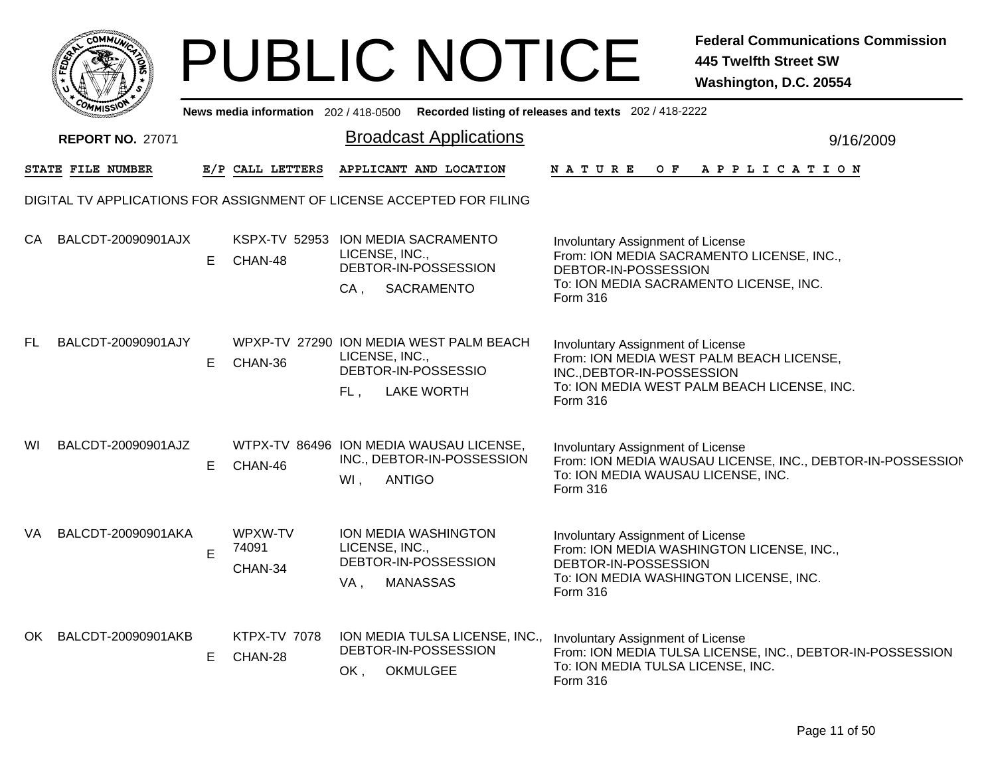|        | MMUNIC<br><b>CO</b> |  |
|--------|---------------------|--|
| క<br>ū |                     |  |
|        |                     |  |
|        | COMI<br>MISS        |  |

|     | יַכּבוואוי״             |    |                                | News media information 202 / 418-0500 Recorded listing of releases and texts 202 / 418-2222                  |                                                                                                                                                                        |           |
|-----|-------------------------|----|--------------------------------|--------------------------------------------------------------------------------------------------------------|------------------------------------------------------------------------------------------------------------------------------------------------------------------------|-----------|
|     | <b>REPORT NO. 27071</b> |    |                                | <b>Broadcast Applications</b>                                                                                |                                                                                                                                                                        | 9/16/2009 |
|     | STATE FILE NUMBER       |    | E/P CALL LETTERS               | APPLICANT AND LOCATION                                                                                       | APPLICATION<br>N A T U R E<br>O F                                                                                                                                      |           |
|     |                         |    |                                | DIGITAL TV APPLICATIONS FOR ASSIGNMENT OF LICENSE ACCEPTED FOR FILING                                        |                                                                                                                                                                        |           |
| CA  | BALCDT-20090901AJX      | E. | CHAN-48                        | KSPX-TV 52953 ION MEDIA SACRAMENTO<br>LICENSE, INC.,<br>DEBTOR-IN-POSSESSION<br>$CA$ ,<br>SACRAMENTO         | <b>Involuntary Assignment of License</b><br>From: ION MEDIA SACRAMENTO LICENSE, INC.,<br>DEBTOR-IN-POSSESSION<br>To: ION MEDIA SACRAMENTO LICENSE, INC.<br>Form 316    |           |
| FL. | BALCDT-20090901AJY      | E. | CHAN-36                        | WPXP-TV 27290 ION MEDIA WEST PALM BEACH<br>LICENSE, INC.,<br>DEBTOR-IN-POSSESSIO<br>FL.<br><b>LAKE WORTH</b> | Involuntary Assignment of License<br>From: ION MEDIA WEST PALM BEACH LICENSE,<br>INC., DEBTOR-IN-POSSESSION<br>To: ION MEDIA WEST PALM BEACH LICENSE, INC.<br>Form 316 |           |
| WI  | BALCDT-20090901AJZ      | E  | CHAN-46                        | WTPX-TV 86496 ION MEDIA WAUSAU LICENSE,<br>INC., DEBTOR-IN-POSSESSION<br><b>ANTIGO</b><br>$WI$ ,             | Involuntary Assignment of License<br>From: ION MEDIA WAUSAU LICENSE, INC., DEBTOR-IN-POSSESSION<br>To: ION MEDIA WAUSAU LICENSE, INC.<br><b>Form 316</b>               |           |
| VA  | BALCDT-20090901AKA      | E  | WPXW-TV<br>74091<br>CHAN-34    | ION MEDIA WASHINGTON<br>LICENSE, INC.,<br>DEBTOR-IN-POSSESSION<br><b>MANASSAS</b><br>VA,                     | Involuntary Assignment of License<br>From: ION MEDIA WASHINGTON LICENSE, INC.,<br>DEBTOR-IN-POSSESSION<br>To: ION MEDIA WASHINGTON LICENSE, INC.<br><b>Form 316</b>    |           |
|     | OK BALCDT-20090901AKB   | E. | <b>KTPX-TV 7078</b><br>CHAN-28 | ION MEDIA TULSA LICENSE, INC.,<br>DEBTOR-IN-POSSESSION<br><b>OKMULGEE</b><br>OK,                             | Involuntary Assignment of License<br>From: ION MEDIA TULSA LICENSE, INC., DEBTOR-IN-POSSESSION<br>To: ION MEDIA TULSA LICENSE, INC.<br>Form 316                        |           |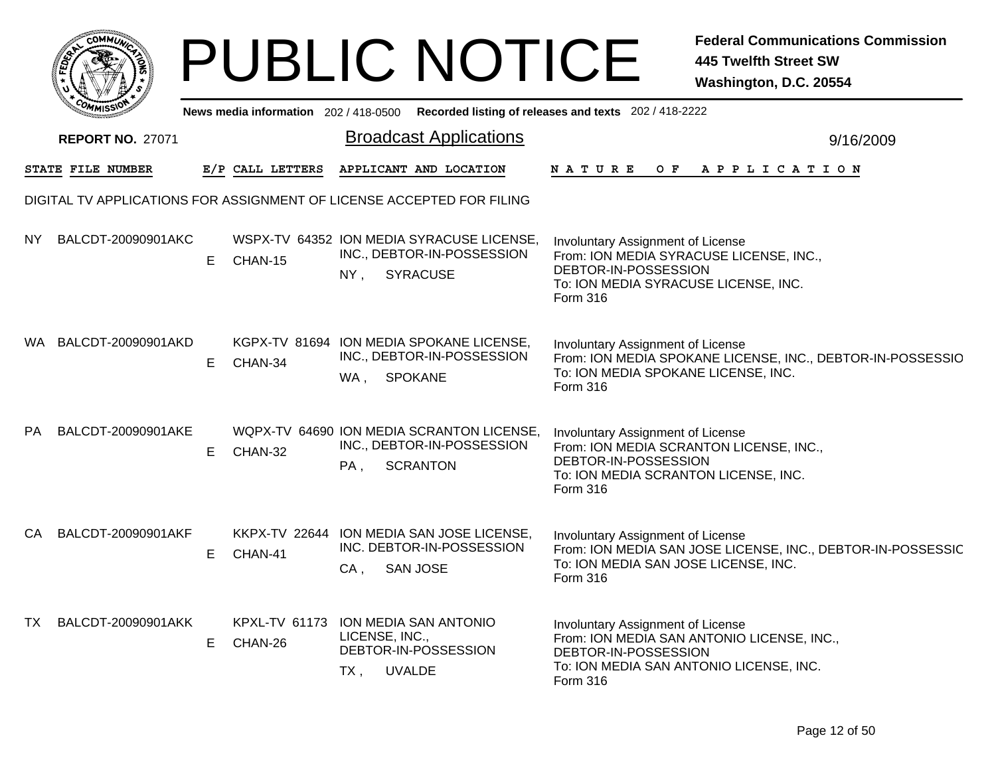|    |                                                                       |    |                                                |                       | <b>PUBLIC NOTICE</b>                                                                       |                                                                                                                                                          | <b>Federal Communications Commission</b><br><b>445 Twelfth Street SW</b><br>Washington, D.C. 20554 |
|----|-----------------------------------------------------------------------|----|------------------------------------------------|-----------------------|--------------------------------------------------------------------------------------------|----------------------------------------------------------------------------------------------------------------------------------------------------------|----------------------------------------------------------------------------------------------------|
|    |                                                                       |    |                                                |                       |                                                                                            | News media information 202 / 418-0500 Recorded listing of releases and texts 202 / 418-2222                                                              |                                                                                                    |
|    | <b>REPORT NO. 27071</b>                                               |    |                                                |                       | <b>Broadcast Applications</b>                                                              |                                                                                                                                                          | 9/16/2009                                                                                          |
|    | <b>STATE FILE NUMBER</b>                                              |    | E/P CALL LETTERS                               |                       | APPLICANT AND LOCATION                                                                     | NATURE<br>O F                                                                                                                                            | A P P L I C A T I O N                                                                              |
|    | DIGITAL TV APPLICATIONS FOR ASSIGNMENT OF LICENSE ACCEPTED FOR FILING |    |                                                |                       |                                                                                            |                                                                                                                                                          |                                                                                                    |
| NY | BALCDT-20090901AKC                                                    | Е  | CHAN-15                                        | NY,                   | WSPX-TV 64352 ION MEDIA SYRACUSE LICENSE,<br>INC., DEBTOR-IN-POSSESSION<br><b>SYRACUSE</b> | Involuntary Assignment of License<br>From: ION MEDIA SYRACUSE LICENSE, INC.,<br>DEBTOR-IN-POSSESSION<br>To: ION MEDIA SYRACUSE LICENSE, INC.<br>Form 316 |                                                                                                    |
|    | WA BALCDT-20090901AKD                                                 | Е  | CHAN-34                                        | WA, SPOKANE           | KGPX-TV 81694 ION MEDIA SPOKANE LICENSE,<br>INC., DEBTOR-IN-POSSESSION                     | Involuntary Assignment of License<br>To: ION MEDIA SPOKANE LICENSE, INC.<br><b>Form 316</b>                                                              | From: ION MEDIA SPOKANE LICENSE, INC., DEBTOR-IN-POSSESSIO                                         |
| PA | BALCDT-20090901AKE                                                    | E. | CHAN-32                                        | PA,                   | WQPX-TV 64690 ION MEDIA SCRANTON LICENSE,<br>INC., DEBTOR-IN-POSSESSION<br><b>SCRANTON</b> | Involuntary Assignment of License<br>From: ION MEDIA SCRANTON LICENSE, INC.,<br>DEBTOR-IN-POSSESSION<br>To: ION MEDIA SCRANTON LICENSE, INC.<br>Form 316 |                                                                                                    |
| CA | BALCDT-20090901AKF                                                    | Е  | CHAN-41                                        | $CA$ ,                | KKPX-TV 22644 ION MEDIA SAN JOSE LICENSE,<br>INC. DEBTOR-IN-POSSESSION<br><b>SAN JOSE</b>  | Involuntary Assignment of License<br>To: ION MEDIA SAN JOSE LICENSE, INC.<br>Form 316                                                                    | From: ION MEDIA SAN JOSE LICENSE, INC., DEBTOR-IN-POSSESSIC                                        |
| TX | BALCDT-20090901AKK                                                    | Е  | KPXL-TV 61173 ION MEDIA SAN ANTONIO<br>CHAN-26 | LICENSE, INC.,<br>TX, | DEBTOR-IN-POSSESSION<br><b>UVALDE</b>                                                      | Involuntary Assignment of License<br>DEBTOR-IN-POSSESSION<br>To: ION MEDIA SAN ANTONIO LICENSE, INC.<br>Form 316                                         | From: ION MEDIA SAN ANTONIO LICENSE, INC.,                                                         |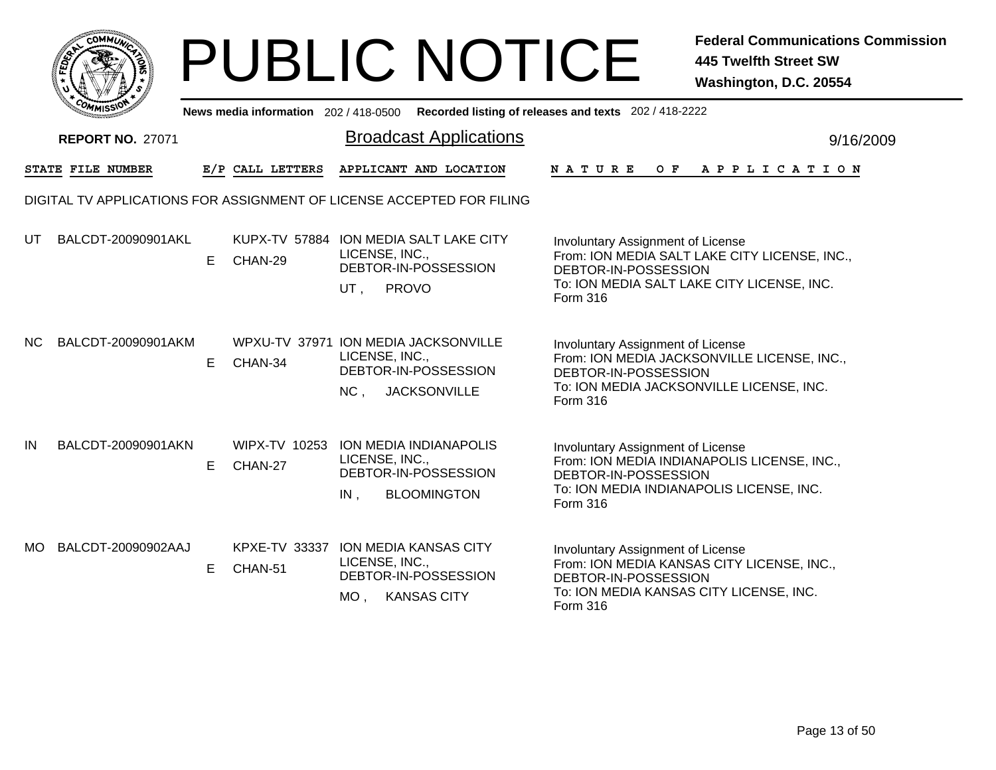|     | MMUNICT<br><b>CO</b> |  |
|-----|----------------------|--|
| ప్త |                      |  |
|     |                      |  |
|     | COMI<br>MISS<br>m    |  |

|     | יככוומוזיי              |    |                                 | News media information 202/418-0500 Recorded listing of releases and texts 202/418-2222                      |                                                                                                                                                                      |  |
|-----|-------------------------|----|---------------------------------|--------------------------------------------------------------------------------------------------------------|----------------------------------------------------------------------------------------------------------------------------------------------------------------------|--|
|     | <b>REPORT NO. 27071</b> |    |                                 | <b>Broadcast Applications</b>                                                                                | 9/16/2009                                                                                                                                                            |  |
|     | STATE FILE NUMBER       |    | E/P CALL LETTERS                | APPLICANT AND LOCATION                                                                                       | <b>NATURE</b><br>OF APPLICATION                                                                                                                                      |  |
|     |                         |    |                                 | DIGITAL TV APPLICATIONS FOR ASSIGNMENT OF LICENSE ACCEPTED FOR FILING                                        |                                                                                                                                                                      |  |
| UT  | BALCDT-20090901AKL      | E. | CHAN-29                         | KUPX-TV 57884 ION MEDIA SALT LAKE CITY<br>LICENSE, INC.,<br>DEBTOR-IN-POSSESSION<br><b>PROVO</b><br>UT,      | Involuntary Assignment of License<br>From: ION MEDIA SALT LAKE CITY LICENSE, INC.,<br>DEBTOR-IN-POSSESSION<br>To: ION MEDIA SALT LAKE CITY LICENSE, INC.<br>Form 316 |  |
| NC. | BALCDT-20090901AKM      | E. | CHAN-34                         | WPXU-TV 37971 ION MEDIA JACKSONVILLE<br>LICENSE, INC.,<br>DEBTOR-IN-POSSESSION<br>NC,<br><b>JACKSONVILLE</b> | Involuntary Assignment of License<br>From: ION MEDIA JACKSONVILLE LICENSE, INC.,<br>DEBTOR-IN-POSSESSION<br>To: ION MEDIA JACKSONVILLE LICENSE, INC.<br>Form 316     |  |
| IN  | BALCDT-20090901AKN      | E. | WIPX-TV 10253<br>CHAN-27        | <b>ION MEDIA INDIANAPOLIS</b><br>LICENSE, INC.,<br>DEBTOR-IN-POSSESSION<br>$IN$ ,<br><b>BLOOMINGTON</b>      | Involuntary Assignment of License<br>From: ION MEDIA INDIANAPOLIS LICENSE, INC.,<br>DEBTOR-IN-POSSESSION<br>To: ION MEDIA INDIANAPOLIS LICENSE, INC.<br>Form 316     |  |
| MO. | BALCDT-20090902AAJ      | E. | <b>KPXE-TV 33337</b><br>CHAN-51 | <b>ION MEDIA KANSAS CITY</b><br>LICENSE, INC.,<br>DEBTOR-IN-POSSESSION<br><b>KANSAS CITY</b><br>MO.          | Involuntary Assignment of License<br>From: ION MEDIA KANSAS CITY LICENSE, INC.,<br>DEBTOR-IN-POSSESSION<br>To: ION MEDIA KANSAS CITY LICENSE, INC.<br>Form 316       |  |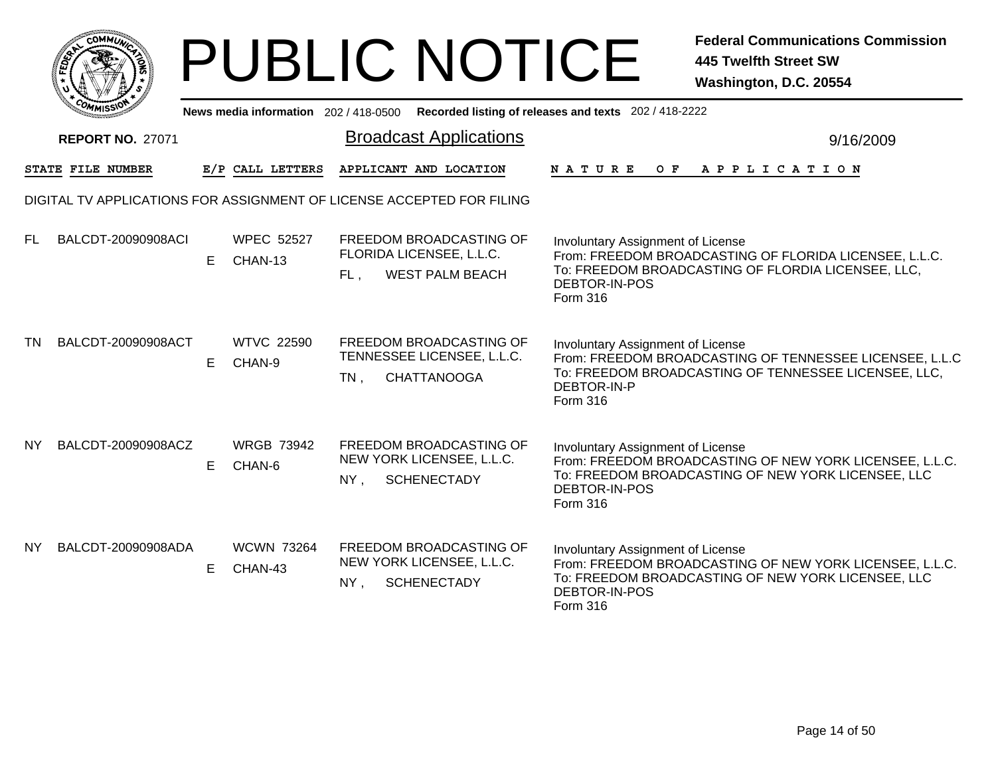|              | MMUNICT<br><b>CO</b> |  |
|--------------|----------------------|--|
| <b>FEDET</b> |                      |  |
|              |                      |  |
|              | COMI<br>MISS         |  |

|     | <b><i>UMMISSIV</i></b>  |    |                              | News media information 202/418-0500 Recorded listing of releases and texts 202/418-2222 |                                                                                                                                                                                 |
|-----|-------------------------|----|------------------------------|-----------------------------------------------------------------------------------------|---------------------------------------------------------------------------------------------------------------------------------------------------------------------------------|
|     | <b>REPORT NO. 27071</b> |    |                              | <b>Broadcast Applications</b>                                                           | 9/16/2009                                                                                                                                                                       |
|     | STATE FILE NUMBER       |    | E/P CALL LETTERS             | APPLICANT AND LOCATION                                                                  | NATURE OF APPLICATION                                                                                                                                                           |
|     |                         |    |                              | DIGITAL TV APPLICATIONS FOR ASSIGNMENT OF LICENSE ACCEPTED FOR FILING                   |                                                                                                                                                                                 |
| FL. | BALCDT-20090908ACI      | E. | <b>WPEC 52527</b><br>CHAN-13 | FREEDOM BROADCASTING OF<br>FLORIDA LICENSEE, L.L.C.<br><b>WEST PALM BEACH</b><br>FL.    | Involuntary Assignment of License<br>From: FREEDOM BROADCASTING OF FLORIDA LICENSEE, L.L.C.<br>To: FREEDOM BROADCASTING OF FLORDIA LICENSEE, LLC,<br>DEBTOR-IN-POS<br>Form 316  |
| TN  | BALCDT-20090908ACT      | E. | <b>WTVC 22590</b><br>CHAN-9  | FREEDOM BROADCASTING OF<br>TENNESSEE LICENSEE, L.L.C.<br><b>CHATTANOOGA</b><br>$TN$ ,   | Involuntary Assignment of License<br>From: FREEDOM BROADCASTING OF TENNESSEE LICENSEE, L.L.C<br>To: FREEDOM BROADCASTING OF TENNESSEE LICENSEE, LLC,<br>DEBTOR-IN-P<br>Form 316 |
| NY  | BALCDT-20090908ACZ      | E. | <b>WRGB 73942</b><br>CHAN-6  | FREEDOM BROADCASTING OF<br>NEW YORK LICENSEE, L.L.C.<br>NY.<br><b>SCHENECTADY</b>       | Involuntary Assignment of License<br>From: FREEDOM BROADCASTING OF NEW YORK LICENSEE, L.L.C.<br>To: FREEDOM BROADCASTING OF NEW YORK LICENSEE, LLC<br>DEBTOR-IN-POS<br>Form 316 |
| NY. | BALCDT-20090908ADA      | E. | <b>WCWN 73264</b><br>CHAN-43 | FREEDOM BROADCASTING OF<br>NEW YORK LICENSEE, L.L.C.<br><b>SCHENECTADY</b><br>NY.       | Involuntary Assignment of License<br>From: FREEDOM BROADCASTING OF NEW YORK LICENSEE, L.L.C.<br>To: FREEDOM BROADCASTING OF NEW YORK LICENSEE, LLC<br>DEBTOR-IN-POS<br>Form 316 |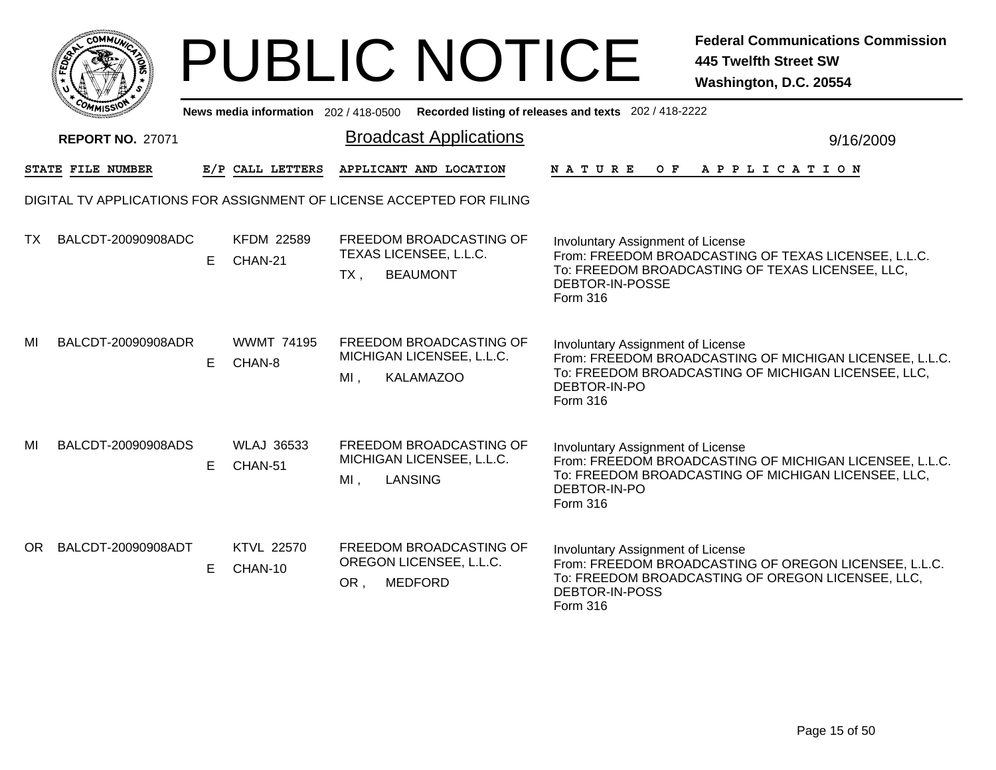|      | MMUNICT<br>$C_{\mathbf{U}}$ |  |
|------|-----------------------------|--|
| EDE) |                             |  |
|      |                             |  |
| COM  | MISS                        |  |

|     | <b>MMISSIV</b>          |    |                              | News media information 202 / 418-0500 Recorded listing of releases and texts 202 / 418-2222 |                                                                                                                                                                                        |           |
|-----|-------------------------|----|------------------------------|---------------------------------------------------------------------------------------------|----------------------------------------------------------------------------------------------------------------------------------------------------------------------------------------|-----------|
|     | <b>REPORT NO. 27071</b> |    |                              | <b>Broadcast Applications</b>                                                               |                                                                                                                                                                                        | 9/16/2009 |
|     | STATE FILE NUMBER       |    | E/P CALL LETTERS             | APPLICANT AND LOCATION                                                                      | N A T U R E<br>OF APPLICATION                                                                                                                                                          |           |
|     |                         |    |                              | DIGITAL TV APPLICATIONS FOR ASSIGNMENT OF LICENSE ACCEPTED FOR FILING                       |                                                                                                                                                                                        |           |
| ТX  | BALCDT-20090908ADC      | E. | <b>KFDM 22589</b><br>CHAN-21 | FREEDOM BROADCASTING OF<br>TEXAS LICENSEE, L.L.C.<br><b>BEAUMONT</b><br>$TX$ ,              | <b>Involuntary Assignment of License</b><br>From: FREEDOM BROADCASTING OF TEXAS LICENSEE, L.L.C.<br>To: FREEDOM BROADCASTING OF TEXAS LICENSEE, LLC,<br>DEBTOR-IN-POSSE<br>Form 316    |           |
| MI  | BALCDT-20090908ADR      | E. | <b>WWMT 74195</b><br>CHAN-8  | FREEDOM BROADCASTING OF<br>MICHIGAN LICENSEE, L.L.C.<br><b>KALAMAZOO</b><br>MI,             | <b>Involuntary Assignment of License</b><br>From: FREEDOM BROADCASTING OF MICHIGAN LICENSEE, L.L.C.<br>To: FREEDOM BROADCASTING OF MICHIGAN LICENSEE, LLC,<br>DEBTOR-IN-PO<br>Form 316 |           |
| MI  | BALCDT-20090908ADS      | E. | <b>WLAJ 36533</b><br>CHAN-51 | FREEDOM BROADCASTING OF<br>MICHIGAN LICENSEE, L.L.C.<br>LANSING<br>$MI$ ,                   | <b>Involuntary Assignment of License</b><br>From: FREEDOM BROADCASTING OF MICHIGAN LICENSEE, L.L.C.<br>To: FREEDOM BROADCASTING OF MICHIGAN LICENSEE, LLC,<br>DEBTOR-IN-PO<br>Form 316 |           |
| OR. | BALCDT-20090908ADT      | E. | <b>KTVL 22570</b><br>CHAN-10 | FREEDOM BROADCASTING OF<br>OREGON LICENSEE, L.L.C.<br>OR,<br><b>MEDFORD</b>                 | <b>Involuntary Assignment of License</b><br>From: FREEDOM BROADCASTING OF OREGON LICENSEE, L.L.C.<br>To: FREEDOM BROADCASTING OF OREGON LICENSEE, LLC,<br>DEBTOR-IN-POSS<br>Form 316   |           |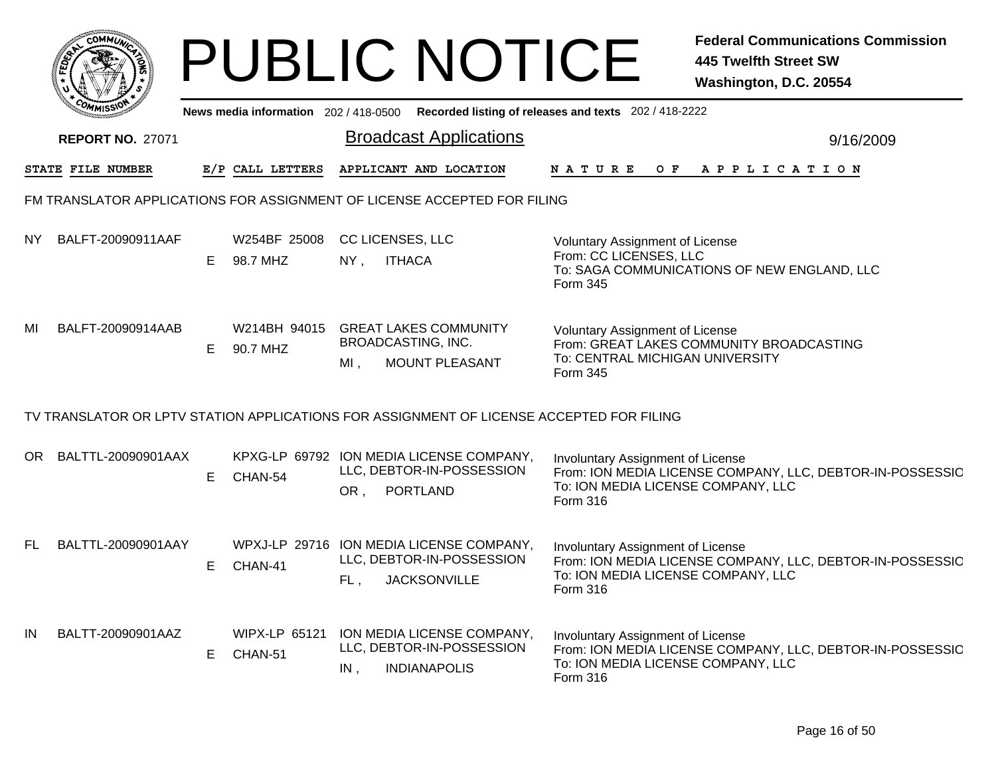|     | <b>COMMUT</b>                                                                            |    |                                 |                                   | <b>PUBLIC NOTICE</b>                                                                      |                                                                                             | <b>Federal Communications Commission</b><br><b>445 Twelfth Street SW</b><br>Washington, D.C. 20554 |
|-----|------------------------------------------------------------------------------------------|----|---------------------------------|-----------------------------------|-------------------------------------------------------------------------------------------|---------------------------------------------------------------------------------------------|----------------------------------------------------------------------------------------------------|
|     |                                                                                          |    |                                 |                                   |                                                                                           | News media information 202 / 418-0500 Recorded listing of releases and texts 202 / 418-2222 |                                                                                                    |
|     | <b>REPORT NO. 27071</b>                                                                  |    |                                 |                                   | <b>Broadcast Applications</b>                                                             |                                                                                             | 9/16/2009                                                                                          |
|     | STATE FILE NUMBER                                                                        |    | E/P CALL LETTERS                |                                   | APPLICANT AND LOCATION                                                                    |                                                                                             | NATURE OF APPLICATION                                                                              |
|     | FM TRANSLATOR APPLICATIONS FOR ASSIGNMENT OF LICENSE ACCEPTED FOR FILING                 |    |                                 |                                   |                                                                                           |                                                                                             |                                                                                                    |
| NY. | BALFT-20090911AAF                                                                        | E  | W254BF 25008<br>98.7 MHZ        | <b>CC LICENSES, LLC</b><br>$NY$ , | <b>ITHACA</b>                                                                             | <b>Voluntary Assignment of License</b><br>From: CC LICENSES, LLC<br>Form 345                | To: SAGA COMMUNICATIONS OF NEW ENGLAND, LLC                                                        |
| MI  | BALFT-20090914AAB                                                                        | Е  | W214BH 94015<br>90.7 MHZ        | MI,                               | <b>GREAT LAKES COMMUNITY</b><br>BROADCASTING, INC.<br>MOUNT PLEASANT                      | <b>Voluntary Assignment of License</b><br>To: CENTRAL MICHIGAN UNIVERSITY<br>Form 345       | From: GREAT LAKES COMMUNITY BROADCASTING                                                           |
|     | TV TRANSLATOR OR LPTV STATION APPLICATIONS FOR ASSIGNMENT OF LICENSE ACCEPTED FOR FILING |    |                                 |                                   |                                                                                           |                                                                                             |                                                                                                    |
|     | OR BALTTL-20090901AAX                                                                    | E. | CHAN-54                         | OR,                               | KPXG-LP 69792 ION MEDIA LICENSE COMPANY,<br>LLC, DEBTOR-IN-POSSESSION<br>PORTLAND         | Involuntary Assignment of License<br>To: ION MEDIA LICENSE COMPANY, LLC<br>Form 316         | From: ION MEDIA LICENSE COMPANY, LLC, DEBTOR-IN-POSSESSIC                                          |
| FL. | BALTTL-20090901AAY                                                                       | E  | CHAN-41                         |                                   | WPXJ-LP 29716 ION MEDIA LICENSE COMPANY,<br>LLC, DEBTOR-IN-POSSESSION<br>FL, JACKSONVILLE | Involuntary Assignment of License<br>To: ION MEDIA LICENSE COMPANY, LLC<br>Form 316         | From: ION MEDIA LICENSE COMPANY, LLC, DEBTOR-IN-POSSESSIC                                          |
| IN  | BALTT-20090901AAZ                                                                        | E  | <b>WIPX-LP 65121</b><br>CHAN-51 | IN,                               | ION MEDIA LICENSE COMPANY,<br>LLC, DEBTOR-IN-POSSESSION<br><b>INDIANAPOLIS</b>            | Involuntary Assignment of License<br>To: ION MEDIA LICENSE COMPANY, LLC<br>Form 316         | From: ION MEDIA LICENSE COMPANY, LLC, DEBTOR-IN-POSSESSIC                                          |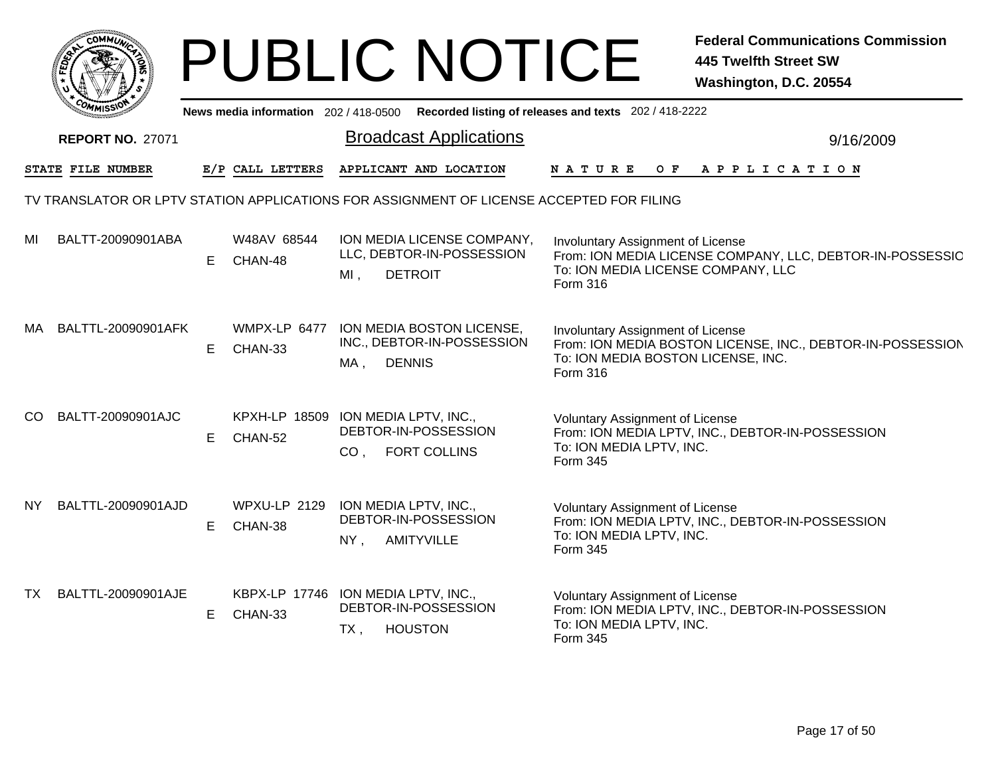|                                                                                          |    |                                | <b>PUBLIC NOTICE</b>                                                                        |                                                                                     | <b>Federal Communications Commission</b><br><b>445 Twelfth Street SW</b><br>Washington, D.C. 20554 |  |  |  |  |  |
|------------------------------------------------------------------------------------------|----|--------------------------------|---------------------------------------------------------------------------------------------|-------------------------------------------------------------------------------------|----------------------------------------------------------------------------------------------------|--|--|--|--|--|
|                                                                                          |    |                                | News media information 202 / 418-0500 Recorded listing of releases and texts 202 / 418-2222 |                                                                                     |                                                                                                    |  |  |  |  |  |
| <b>REPORT NO. 27071</b>                                                                  |    |                                | <b>Broadcast Applications</b>                                                               |                                                                                     | 9/16/2009                                                                                          |  |  |  |  |  |
| STATE FILE NUMBER                                                                        |    | E/P CALL LETTERS               | APPLICANT AND LOCATION                                                                      | N A T U R E                                                                         | OF APPLICATION                                                                                     |  |  |  |  |  |
| TV TRANSLATOR OR LPTV STATION APPLICATIONS FOR ASSIGNMENT OF LICENSE ACCEPTED FOR FILING |    |                                |                                                                                             |                                                                                     |                                                                                                    |  |  |  |  |  |
| BALTT-20090901ABA<br>MI                                                                  |    | W48AV 68544<br>E CHAN-48       | ION MEDIA LICENSE COMPANY,<br>LLC, DEBTOR-IN-POSSESSION<br><b>DETROIT</b><br>MI,            | Involuntary Assignment of License<br>To: ION MEDIA LICENSE COMPANY, LLC<br>Form 316 | From: ION MEDIA LICENSE COMPANY, LLC, DEBTOR-IN-POSSESSIC                                          |  |  |  |  |  |
| BALTTL-20090901AFK<br>MA.                                                                | E. | WMPX-LP 6477<br>CHAN-33        | ION MEDIA BOSTON LICENSE,<br>INC., DEBTOR-IN-POSSESSION<br><b>DENNIS</b><br>MA.             | Involuntary Assignment of License<br>To: ION MEDIA BOSTON LICENSE, INC.<br>Form 316 | From: ION MEDIA BOSTON LICENSE, INC., DEBTOR-IN-POSSESSION                                         |  |  |  |  |  |
| BALTT-20090901AJC<br>CO.                                                                 |    | E CHAN-52                      | KPXH-LP 18509 ION MEDIA LPTV, INC.,<br>DEBTOR-IN-POSSESSION<br>CO, FORT COLLINS             | <b>Voluntary Assignment of License</b><br>To: ION MEDIA LPTV, INC.<br>Form 345      | From: ION MEDIA LPTV, INC., DEBTOR-IN-POSSESSION                                                   |  |  |  |  |  |
| BALTTL-20090901AJD<br>NY.                                                                | E. | <b>WPXU-LP 2129</b><br>CHAN-38 | ION MEDIA LPTV, INC.,<br>DEBTOR-IN-POSSESSION<br><b>AMITYVILLE</b><br>$NY$ ,                | <b>Voluntary Assignment of License</b><br>To: ION MEDIA LPTV, INC.<br>Form 345      | From: ION MEDIA LPTV, INC., DEBTOR-IN-POSSESSION                                                   |  |  |  |  |  |
| BALTTL-20090901AJE<br>TX                                                                 |    | E CHAN-33                      | KBPX-LP 17746 ION MEDIA LPTV, INC.,<br>DEBTOR-IN-POSSESSION<br><b>HOUSTON</b><br>$TX$ ,     | <b>Voluntary Assignment of License</b><br>To: ION MEDIA LPTV, INC.<br>Form 345      | From: ION MEDIA LPTV, INC., DEBTOR-IN-POSSESSION                                                   |  |  |  |  |  |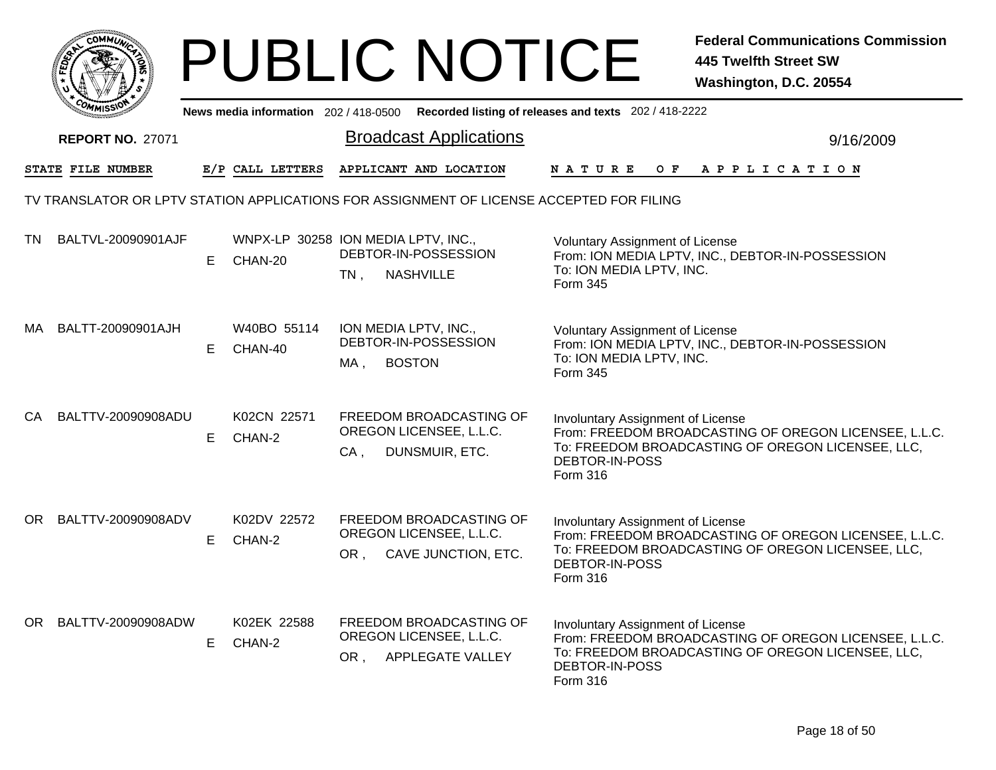|      |                                                                                          |    |                                                |                              | <b>PUBLIC NOTICE</b>                                                                 |                                                                                             | <b>Federal Communications Commission</b><br><b>445 Twelfth Street SW</b><br>Washington, D.C. 20554         |
|------|------------------------------------------------------------------------------------------|----|------------------------------------------------|------------------------------|--------------------------------------------------------------------------------------|---------------------------------------------------------------------------------------------|------------------------------------------------------------------------------------------------------------|
|      |                                                                                          |    |                                                |                              |                                                                                      | News media information 202 / 418-0500 Recorded listing of releases and texts 202 / 418-2222 |                                                                                                            |
|      | <b>REPORT NO. 27071</b>                                                                  |    |                                                |                              | <b>Broadcast Applications</b>                                                        |                                                                                             | 9/16/2009                                                                                                  |
|      | STATE FILE NUMBER                                                                        |    | E/P CALL LETTERS                               |                              | APPLICANT AND LOCATION                                                               | N A T U R E                                                                                 | OF APPLICATION                                                                                             |
|      | TV TRANSLATOR OR LPTV STATION APPLICATIONS FOR ASSIGNMENT OF LICENSE ACCEPTED FOR FILING |    |                                                |                              |                                                                                      |                                                                                             |                                                                                                            |
| TN.  | BALTVL-20090901AJF                                                                       | E. | WNPX-LP 30258 ION MEDIA LPTV, INC.,<br>CHAN-20 | $TN$ ,                       | DEBTOR-IN-POSSESSION<br><b>NASHVILLE</b>                                             | <b>Voluntary Assignment of License</b><br>To: ION MEDIA LPTV, INC.<br>Form 345              | From: ION MEDIA LPTV, INC., DEBTOR-IN-POSSESSION                                                           |
| MA.  | BALTT-20090901AJH                                                                        | E. | W40BO 55114<br>CHAN-40                         | ION MEDIA LPTV, INC.,<br>MA, | DEBTOR-IN-POSSESSION<br><b>BOSTON</b>                                                | <b>Voluntary Assignment of License</b><br>To: ION MEDIA LPTV, INC.<br>Form 345              | From: ION MEDIA LPTV, INC., DEBTOR-IN-POSSESSION                                                           |
| CA.  | BALTTV-20090908ADU                                                                       | E. | K02CN 22571<br>CHAN-2                          | CA,                          | FREEDOM BROADCASTING OF<br>OREGON LICENSEE, L.L.C.<br>DUNSMUIR, ETC.                 | Involuntary Assignment of License<br>DEBTOR-IN-POSS<br>Form 316                             | From: FREEDOM BROADCASTING OF OREGON LICENSEE, L.L.C.<br>To: FREEDOM BROADCASTING OF OREGON LICENSEE, LLC, |
| OR I | BALTTV-20090908ADV                                                                       | E. | K02DV 22572<br>CHAN-2                          |                              | <b>FREEDOM BROADCASTING OF</b><br>OREGON LICENSEE, L.L.C.<br>OR, CAVE JUNCTION, ETC. | <b>Involuntary Assignment of License</b><br>DEBTOR-IN-POSS<br>Form 316                      | From: FREEDOM BROADCASTING OF OREGON LICENSEE, L.L.C.<br>To: FREEDOM BROADCASTING OF OREGON LICENSEE, LLC, |
| OR . | BALTTV-20090908ADW                                                                       | E. | K02EK 22588<br>CHAN-2                          |                              | FREEDOM BROADCASTING OF<br>OREGON LICENSEE, L.L.C.<br>OR, APPLEGATE VALLEY           | Involuntary Assignment of License<br>DEBTOR-IN-POSS<br>Form 316                             | From: FREEDOM BROADCASTING OF OREGON LICENSEE, L.L.C.<br>To: FREEDOM BROADCASTING OF OREGON LICENSEE, LLC, |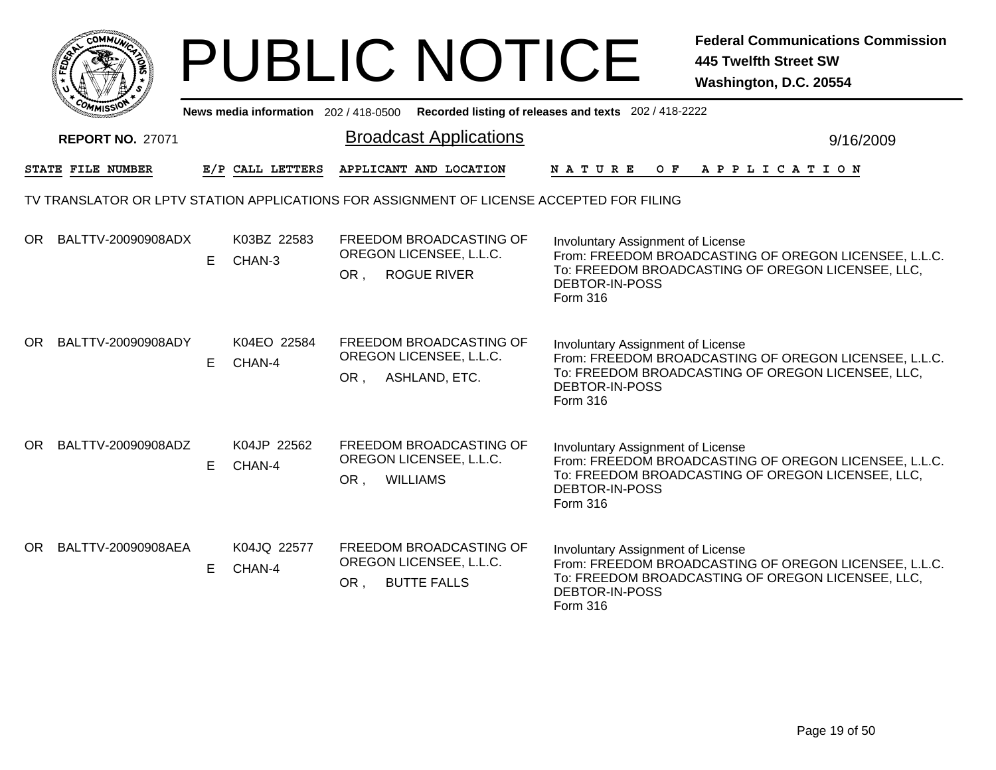| <b>COMMUT</b>                                                                            |    |                                       |     | <b>PUBLIC NOTICE</b>                                                     |                                                                        | <b>Federal Communications Commission</b><br><b>445 Twelfth Street SW</b><br>Washington, D.C. 20554         |
|------------------------------------------------------------------------------------------|----|---------------------------------------|-----|--------------------------------------------------------------------------|------------------------------------------------------------------------|------------------------------------------------------------------------------------------------------------|
|                                                                                          |    | News media information 202 / 418-0500 |     |                                                                          | Recorded listing of releases and texts 202 / 418-2222                  |                                                                                                            |
| <b>REPORT NO. 27071</b>                                                                  |    |                                       |     | <b>Broadcast Applications</b>                                            |                                                                        | 9/16/2009                                                                                                  |
| STATE FILE NUMBER                                                                        |    | E/P CALL LETTERS                      |     | APPLICANT AND LOCATION                                                   | N A T U R E                                                            | OF APPLICATION                                                                                             |
| TV TRANSLATOR OR LPTV STATION APPLICATIONS FOR ASSIGNMENT OF LICENSE ACCEPTED FOR FILING |    |                                       |     |                                                                          |                                                                        |                                                                                                            |
| OR BALTTV-20090908ADX                                                                    | E  | K03BZ 22583<br>CHAN-3                 | OR, | FREEDOM BROADCASTING OF<br>OREGON LICENSEE, L.L.C.<br><b>ROGUE RIVER</b> | Involuntary Assignment of License<br>DEBTOR-IN-POSS<br>Form 316        | From: FREEDOM BROADCASTING OF OREGON LICENSEE, L.L.C.<br>To: FREEDOM BROADCASTING OF OREGON LICENSEE, LLC, |
| OR BALTTV-20090908ADY                                                                    | E  | K04EO 22584<br>CHAN-4                 |     | FREEDOM BROADCASTING OF<br>OREGON LICENSEE, L.L.C.<br>OR, ASHLAND, ETC.  | Involuntary Assignment of License<br><b>DEBTOR-IN-POSS</b><br>Form 316 | From: FREEDOM BROADCASTING OF OREGON LICENSEE, L.L.C.<br>To: FREEDOM BROADCASTING OF OREGON LICENSEE, LLC, |
| OR BALTTV-20090908ADZ                                                                    | E  | K04JP 22562<br>CHAN-4                 | OR, | FREEDOM BROADCASTING OF<br>OREGON LICENSEE, L.L.C.<br><b>WILLIAMS</b>    | Involuntary Assignment of License<br>DEBTOR-IN-POSS<br>Form 316        | From: FREEDOM BROADCASTING OF OREGON LICENSEE, L.L.C.<br>To: FREEDOM BROADCASTING OF OREGON LICENSEE, LLC, |
| OR BALTTV-20090908AEA                                                                    | E. | K04JQ 22577<br>CHAN-4                 | OR. | FREEDOM BROADCASTING OF<br>OREGON LICENSEE, L.L.C.<br><b>BUTTE FALLS</b> | Involuntary Assignment of License<br>DEBTOR-IN-POSS<br>Form 316        | From: FREEDOM BROADCASTING OF OREGON LICENSEE, L.L.C.<br>To: FREEDOM BROADCASTING OF OREGON LICENSEE, LLC, |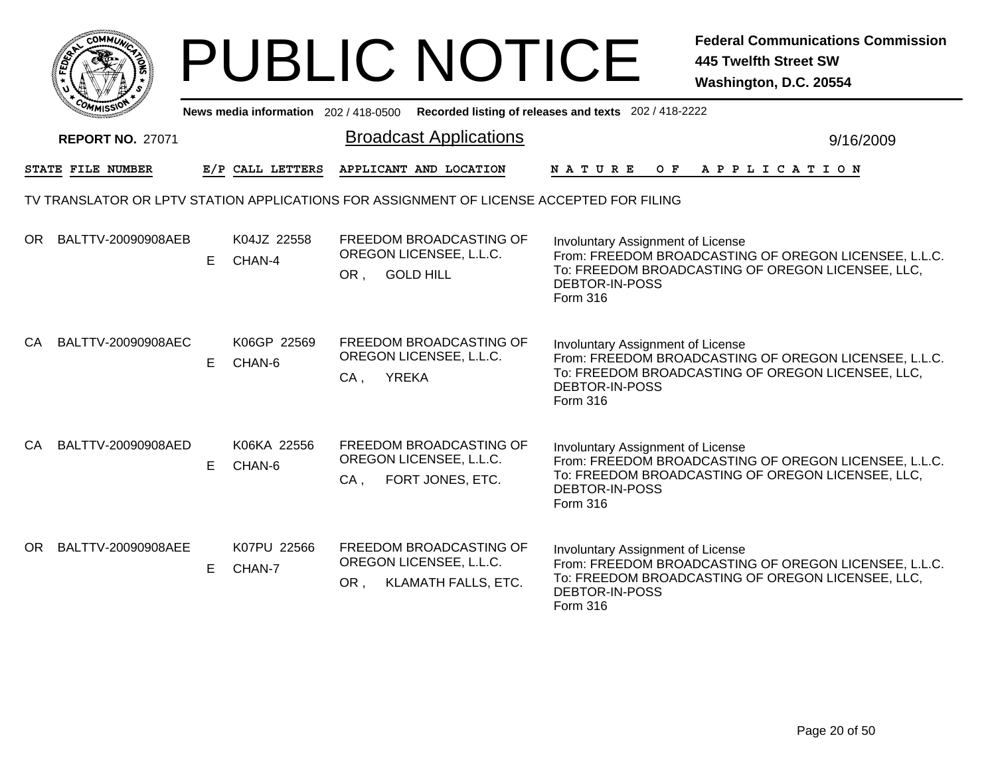|           |                         |    |                                     |        | <b>PUBLIC NOTICE</b>                                                                     |                                                                 | <b>Federal Communications Commission</b><br><b>445 Twelfth Street SW</b><br>Washington, D.C. 20554         |
|-----------|-------------------------|----|-------------------------------------|--------|------------------------------------------------------------------------------------------|-----------------------------------------------------------------|------------------------------------------------------------------------------------------------------------|
|           |                         |    | News media information 202/418-0500 |        |                                                                                          | Recorded listing of releases and texts 202 / 418-2222           |                                                                                                            |
|           | <b>REPORT NO. 27071</b> |    |                                     |        | <b>Broadcast Applications</b>                                                            |                                                                 | 9/16/2009                                                                                                  |
|           | STATE FILE NUMBER       |    | E/P CALL LETTERS                    |        | APPLICANT AND LOCATION                                                                   | N A T U R E                                                     | OF APPLICATION                                                                                             |
|           |                         |    |                                     |        | TV TRANSLATOR OR LPTV STATION APPLICATIONS FOR ASSIGNMENT OF LICENSE ACCEPTED FOR FILING |                                                                 |                                                                                                            |
|           | OR BALTTV-20090908AEB   | E  | K04JZ 22558<br>CHAN-4               | OR,    | FREEDOM BROADCASTING OF<br>OREGON LICENSEE, L.L.C.<br><b>GOLD HILL</b>                   | Involuntary Assignment of License<br>DEBTOR-IN-POSS<br>Form 316 | From: FREEDOM BROADCASTING OF OREGON LICENSEE, L.L.C.<br>To: FREEDOM BROADCASTING OF OREGON LICENSEE, LLC, |
| <b>CA</b> | BALTTV-20090908AEC      | E. | K06GP 22569<br>CHAN-6               | $CA$ , | FREEDOM BROADCASTING OF<br>OREGON LICENSEE, L.L.C.<br><b>YREKA</b>                       | Involuntary Assignment of License<br>DEBTOR-IN-POSS<br>Form 316 | From: FREEDOM BROADCASTING OF OREGON LICENSEE, L.L.C.<br>To: FREEDOM BROADCASTING OF OREGON LICENSEE, LLC, |
|           | CA BALTTV-20090908AED   | E  | K06KA 22556<br>CHAN-6               | $CA$ . | FREEDOM BROADCASTING OF<br>OREGON LICENSEE, L.L.C.<br>FORT JONES, ETC.                   | Involuntary Assignment of License<br>DEBTOR-IN-POSS<br>Form 316 | From: FREEDOM BROADCASTING OF OREGON LICENSEE, L.L.C.<br>To: FREEDOM BROADCASTING OF OREGON LICENSEE, LLC, |
|           | OR BALTTV-20090908AEE   | E. | K07PU 22566<br>CHAN-7               | OR,    | FREEDOM BROADCASTING OF<br>OREGON LICENSEE, L.L.C.<br>KLAMATH FALLS, ETC.                | Involuntary Assignment of License<br>DEBTOR-IN-POSS<br>Form 316 | From: FRÉEDOM BROADCASTING OF OREGON LICENSEE, L.L.C.<br>To: FREEDOM BROADCASTING OF OREGON LICENSEE, LLC, |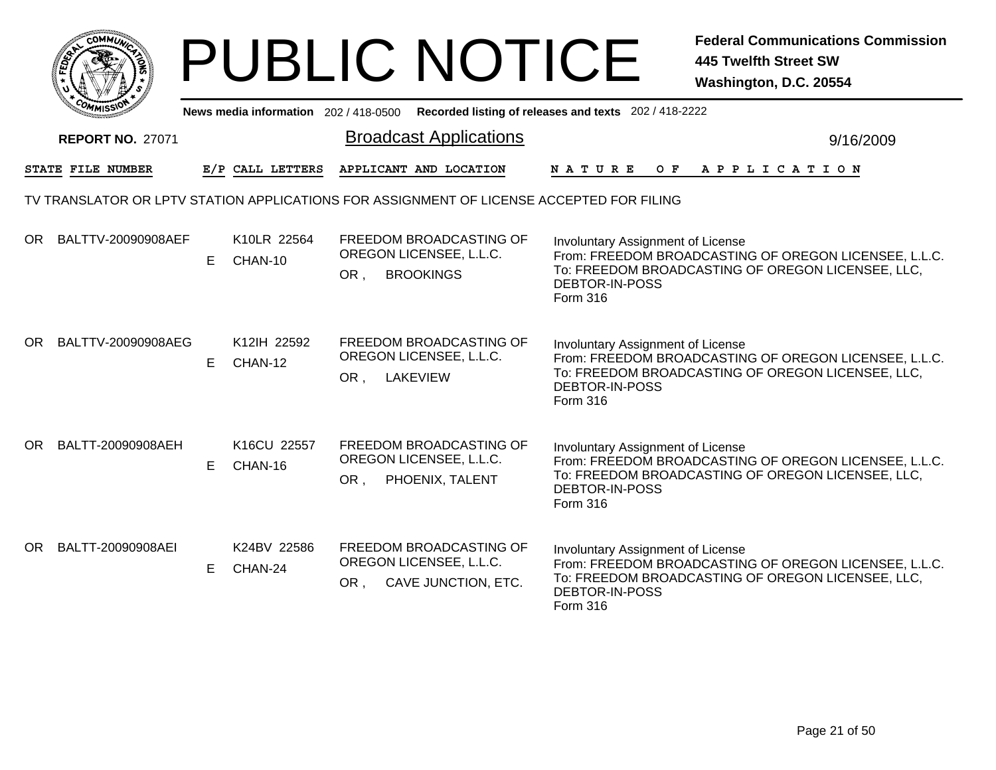|                                                                                          | <b>PUBLIC NOTICE</b>                                                                                       | <b>Federal Communications Commission</b><br><b>445 Twelfth Street SW</b><br>Washington, D.C. 20554                                                                                   |  |  |  |  |  |  |  |
|------------------------------------------------------------------------------------------|------------------------------------------------------------------------------------------------------------|--------------------------------------------------------------------------------------------------------------------------------------------------------------------------------------|--|--|--|--|--|--|--|
|                                                                                          | News media information 202 / 418-0500                                                                      | Recorded listing of releases and texts 202 / 418-2222                                                                                                                                |  |  |  |  |  |  |  |
| <b>REPORT NO. 27071</b>                                                                  | <b>Broadcast Applications</b>                                                                              | 9/16/2009                                                                                                                                                                            |  |  |  |  |  |  |  |
| STATE FILE NUMBER                                                                        | APPLICANT AND LOCATION<br>E/P CALL LETTERS                                                                 | N A T U R E<br>OF APPLICATION                                                                                                                                                        |  |  |  |  |  |  |  |
| TV TRANSLATOR OR LPTV STATION APPLICATIONS FOR ASSIGNMENT OF LICENSE ACCEPTED FOR FILING |                                                                                                            |                                                                                                                                                                                      |  |  |  |  |  |  |  |
| OR BALTTV-20090908AEF<br>E                                                               | K10LR 22564<br>FREEDOM BROADCASTING OF<br>OREGON LICENSEE, L.L.C.<br>CHAN-10<br>OR,<br><b>BROOKINGS</b>    | Involuntary Assignment of License<br>From: FREEDOM BROADCASTING OF OREGON LICENSEE, L.L.C.<br>To: FREEDOM BROADCASTING OF OREGON LICENSEE, LLC,<br>DEBTOR-IN-POSS<br>Form 316        |  |  |  |  |  |  |  |
| OR BALTTV-20090908AEG<br>E.                                                              | K12IH 22592<br>FREEDOM BROADCASTING OF<br>OREGON LICENSEE, L.L.C.<br>CHAN-12<br>OR,<br><b>LAKEVIEW</b>     | Involuntary Assignment of License<br>From: FREEDOM BROADCASTING OF OREGON LICENSEE, L.L.C.<br>To: FREEDOM BROADCASTING OF OREGON LICENSEE, LLC,<br><b>DEBTOR-IN-POSS</b><br>Form 316 |  |  |  |  |  |  |  |
| OR BALTT-20090908AEH<br>E                                                                | K16CU 22557<br>FREEDOM BROADCASTING OF<br>OREGON LICENSEE, L.L.C.<br>CHAN-16<br>OR,<br>PHOENIX, TALENT     | <b>Involuntary Assignment of License</b><br>From: FREEDOM BROADCASTING OF OREGON LICENSEE, L.L.C.<br>To: FREEDOM BROADCASTING OF OREGON LICENSEE, LLC,<br>DEBTOR-IN-POSS<br>Form 316 |  |  |  |  |  |  |  |
| OR BALTT-20090908AEI<br>E                                                                | K24BV 22586<br>FREEDOM BROADCASTING OF<br>OREGON LICENSEE, L.L.C.<br>CHAN-24<br>CAVE JUNCTION, ETC.<br>OR, | Involuntary Assignment of License<br>From: FREEDOM BROADCASTING OF OREGON LICENSEE, L.L.C.<br>To: FREEDOM BROADCASTING OF OREGON LICENSEE, LLC,<br>DEBTOR-IN-POSS<br>Form 316        |  |  |  |  |  |  |  |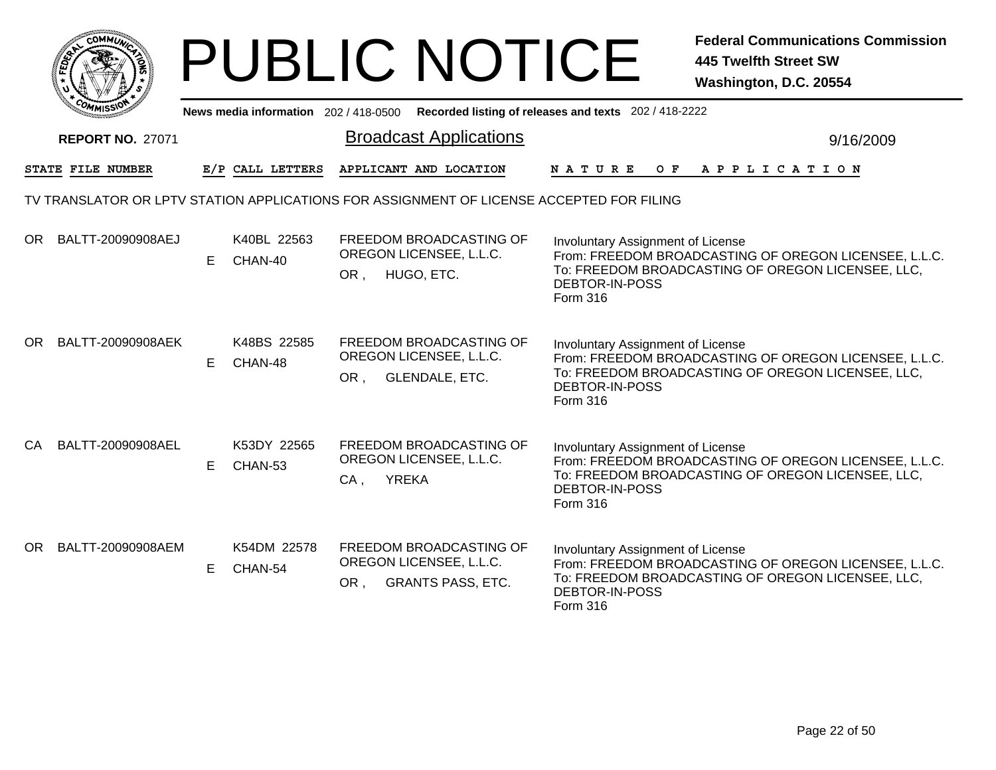|    |                         |    |                                       |        | <b>PUBLIC NOTICE</b>                                                           |                                                                                          | <b>Federal Communications Commission</b><br><b>445 Twelfth Street SW</b><br>Washington, D.C. 20554         |
|----|-------------------------|----|---------------------------------------|--------|--------------------------------------------------------------------------------|------------------------------------------------------------------------------------------|------------------------------------------------------------------------------------------------------------|
|    |                         |    | News media information 202 / 418-0500 |        |                                                                                | Recorded listing of releases and texts 202 / 418-2222                                    |                                                                                                            |
|    | <b>REPORT NO. 27071</b> |    |                                       |        | <b>Broadcast Applications</b>                                                  |                                                                                          | 9/16/2009                                                                                                  |
|    | STATE FILE NUMBER       |    | E/P CALL LETTERS                      |        | APPLICANT AND LOCATION                                                         | N A T U R E                                                                              | OF APPLICATION                                                                                             |
|    |                         |    |                                       |        |                                                                                | TV TRANSLATOR OR LPTV STATION APPLICATIONS FOR ASSIGNMENT OF LICENSE ACCEPTED FOR FILING |                                                                                                            |
|    | OR BALTT-20090908AEJ    | E  | K40BL 22563<br>CHAN-40                | OR,    | FREEDOM BROADCASTING OF<br>OREGON LICENSEE, L.L.C.<br>HUGO, ETC.               | Involuntary Assignment of License<br>DEBTOR-IN-POSS<br><b>Form 316</b>                   | From: FREEDOM BROADCASTING OF OREGON LICENSEE, L.L.C.<br>To: FREEDOM BROADCASTING OF OREGON LICENSEE, LLC, |
| OR | BALTT-20090908AEK       | E  | K48BS 22585<br>CHAN-48                | OR,    | FREEDOM BROADCASTING OF<br>OREGON LICENSEE, L.L.C.<br><b>GLENDALE, ETC.</b>    | Involuntary Assignment of License<br>DEBTOR-IN-POSS<br>Form 316                          | From: FREEDOM BROADCASTING OF OREGON LICENSEE, L.L.C.<br>To: FREEDOM BROADCASTING OF OREGON LICENSEE, LLC, |
| CA | BALTT-20090908AEL       | E  | K53DY 22565<br>CHAN-53                | $CA$ , | FREEDOM BROADCASTING OF<br>OREGON LICENSEE, L.L.C.<br><b>YREKA</b>             | Involuntary Assignment of License<br>DEBTOR-IN-POSS<br>Form 316                          | From: FREEDOM BROADCASTING OF OREGON LICENSEE, L.L.C.<br>To: FREEDOM BROADCASTING OF OREGON LICENSEE, LLC, |
| OR | BALTT-20090908AEM       | E. | K54DM 22578<br>CHAN-54                | OR,    | FREEDOM BROADCASTING OF<br>OREGON LICENSEE, L.L.C.<br><b>GRANTS PASS, ETC.</b> | Involuntary Assignment of License<br>DEBTOR-IN-POSS<br>Form 316                          | From: FRÉEDOM BROADCASTING OF OREGON LICENSEE, L.L.C.<br>To: FREEDOM BROADCASTING OF OREGON LICENSEE, LLC, |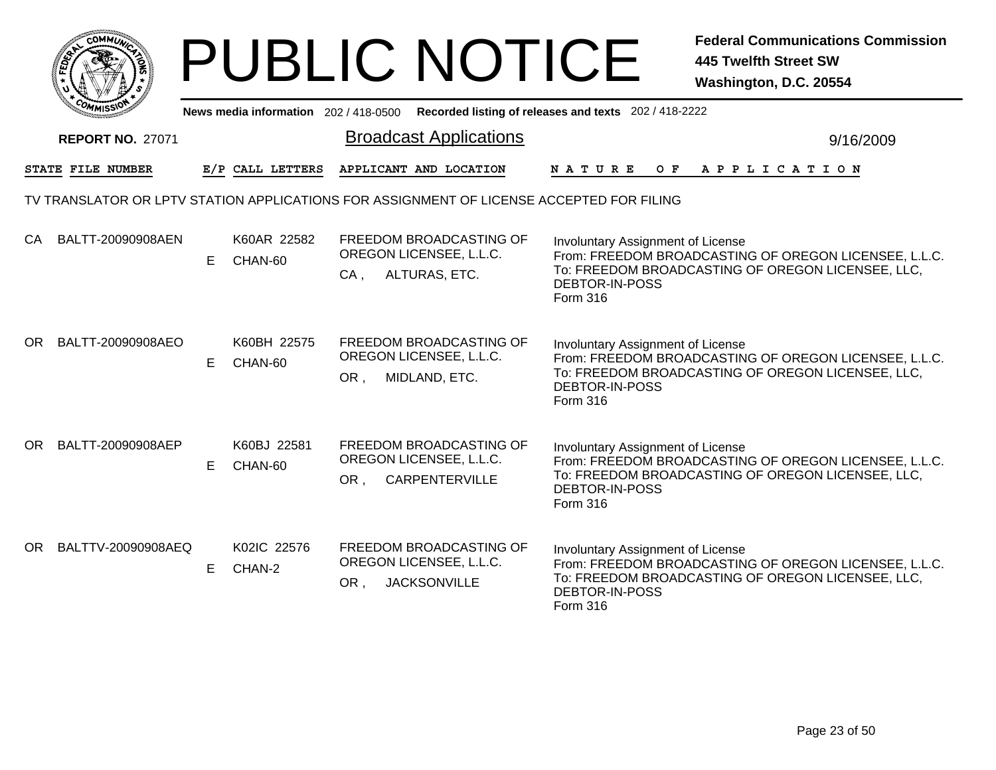| с <b>омм<math>\omega</math></b>                                                          | <b>PUBLIC NOTICE</b>                        |                                                                           |                                                                               | <b>Federal Communications Commission</b><br><b>445 Twelfth Street SW</b><br>Washington, D.C. 20554         |
|------------------------------------------------------------------------------------------|---------------------------------------------|---------------------------------------------------------------------------|-------------------------------------------------------------------------------|------------------------------------------------------------------------------------------------------------|
|                                                                                          | News media information 202/418-0500         |                                                                           | Recorded listing of releases and texts 202 / 418-2222                         |                                                                                                            |
| <b>REPORT NO. 27071</b>                                                                  |                                             | <b>Broadcast Applications</b>                                             |                                                                               | 9/16/2009                                                                                                  |
| STATE FILE NUMBER                                                                        | E/P CALL LETTERS                            | APPLICANT AND LOCATION                                                    | N A T U R E<br>O F                                                            | A P P L I C A T I O N                                                                                      |
| TV TRANSLATOR OR LPTV STATION APPLICATIONS FOR ASSIGNMENT OF LICENSE ACCEPTED FOR FILING |                                             |                                                                           |                                                                               |                                                                                                            |
| CA<br>BALTT-20090908AEN<br>E.                                                            | K60AR 22582<br>CHAN-60<br>$CA$ ,            | FREEDOM BROADCASTING OF<br>OREGON LICENSEE, L.L.C.<br>ALTURAS, ETC.       | <b>Involuntary Assignment of License</b><br>DEBTOR-IN-POSS<br><b>Form 316</b> | From: FREEDOM BROADCASTING OF OREGON LICENSEE, L.L.C.<br>To: FREEDOM BROADCASTING OF OREGON LICENSEE, LLC, |
| OR<br>BALTT-20090908AEO<br>E.                                                            | K60BH 22575<br>CHAN-60<br>OR, MIDLAND, ETC. | FREEDOM BROADCASTING OF<br>OREGON LICENSEE, L.L.C.                        | <b>Involuntary Assignment of License</b><br>DEBTOR-IN-POSS<br><b>Form 316</b> | From: FREEDOM BROADCASTING OF OREGON LICENSEE, L.L.C.<br>To: FREEDOM BROADCASTING OF OREGON LICENSEE, LLC, |
| OR BALTT-20090908AEP<br>E.                                                               | K60BJ 22581<br>CHAN-60<br>OR,               | FREEDOM BROADCASTING OF<br>OREGON LICENSEE, L.L.C.<br>CARPENTERVILLE      | <b>Involuntary Assignment of License</b><br>DEBTOR-IN-POSS<br>Form 316        | From: FREEDOM BROADCASTING OF OREGON LICENSEE, L.L.C.<br>To: FREEDOM BROADCASTING OF OREGON LICENSEE, LLC, |
| OR BALTTV-20090908AEQ<br>E                                                               | K02IC 22576<br>CHAN-2<br>OR.                | FREEDOM BROADCASTING OF<br>OREGON LICENSEE, L.L.C.<br><b>JACKSONVILLE</b> | Involuntary Assignment of License<br>DEBTOR-IN-POSS<br>Form 316               | From: FREEDOM BROADCASTING OF OREGON LICENSEE, L.L.C.<br>To: FREEDOM BROADCASTING OF OREGON LICENSEE, LLC, |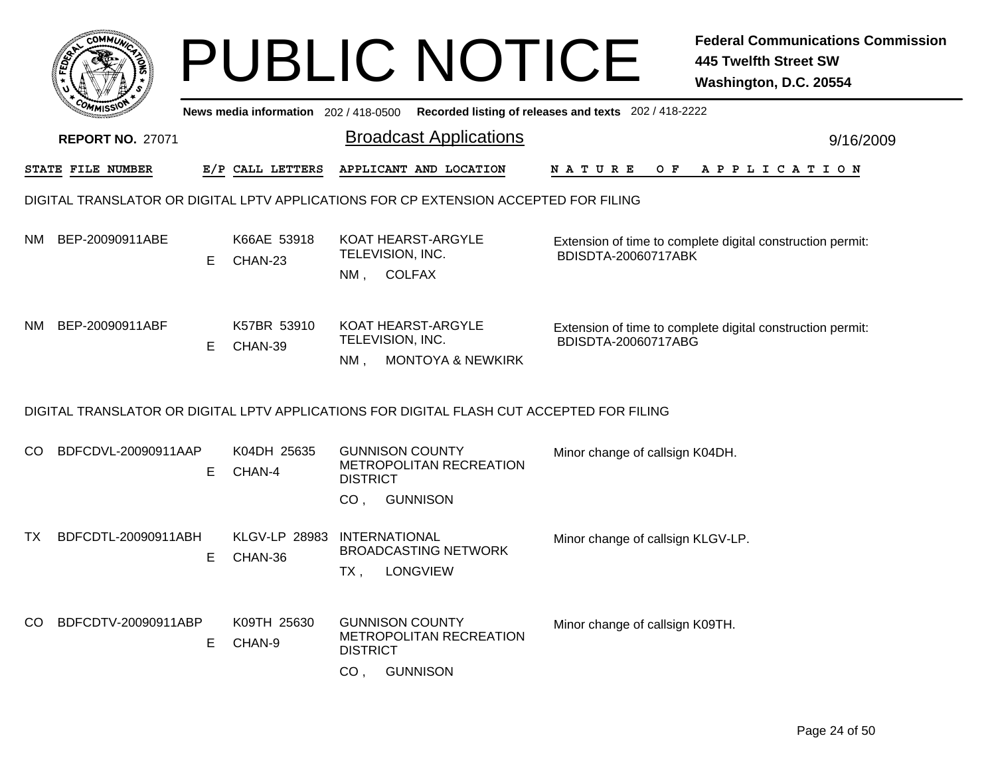|     |                         |    |                                     | <b>PUBLIC NOTICE</b>                                                                                       | <b>Federal Communications Commission</b><br><b>445 Twelfth Street SW</b><br>Washington, D.C. 20554 |
|-----|-------------------------|----|-------------------------------------|------------------------------------------------------------------------------------------------------------|----------------------------------------------------------------------------------------------------|
|     |                         |    | News media information 202/418-0500 |                                                                                                            | Recorded listing of releases and texts 202 / 418-2222                                              |
|     | <b>REPORT NO. 27071</b> |    |                                     | <b>Broadcast Applications</b>                                                                              | 9/16/2009                                                                                          |
|     | STATE FILE NUMBER       |    | E/P CALL LETTERS                    | APPLICANT AND LOCATION                                                                                     | N A T U R E<br>O F<br>A P P L I C A T I O N                                                        |
|     |                         |    |                                     | DIGITAL TRANSLATOR OR DIGITAL LPTV APPLICATIONS FOR CP EXTENSION ACCEPTED FOR FILING                       |                                                                                                    |
| NM  | BEP-20090911ABE         | Е  | K66AE 53918<br>CHAN-23              | KOAT HEARST-ARGYLE<br>TELEVISION, INC.<br><b>COLFAX</b><br>NM ,                                            | Extension of time to complete digital construction permit:<br>BDISDTA-20060717ABK                  |
| NM. | BEP-20090911ABF         | Е  | K57BR 53910<br>CHAN-39              | <b>KOAT HEARST-ARGYLE</b><br>TELEVISION, INC.<br><b>MONTOYA &amp; NEWKIRK</b><br>NM,                       | Extension of time to complete digital construction permit:<br>BDISDTA-20060717ABG                  |
|     |                         |    |                                     | DIGITAL TRANSLATOR OR DIGITAL LPTV APPLICATIONS FOR DIGITAL FLASH CUT ACCEPTED FOR FILING                  |                                                                                                    |
| CO. | BDFCDVL-20090911AAP     | Е  | K04DH 25635<br>CHAN-4               | <b>GUNNISON COUNTY</b><br>METROPOLITAN RECREATION<br><b>DISTRICT</b>                                       | Minor change of callsign K04DH.                                                                    |
|     |                         |    |                                     | <b>GUNNISON</b><br>CO <sub>1</sub>                                                                         |                                                                                                    |
| TX. | BDFCDTL-20090911ABH     | Е  | <b>KLGV-LP 28983</b><br>CHAN-36     | <b>INTERNATIONAL</b><br><b>BROADCASTING NETWORK</b><br><b>LONGVIEW</b><br>TX,                              | Minor change of callsign KLGV-LP.                                                                  |
| CO. | BDFCDTV-20090911ABP     | E. | K09TH 25630<br>CHAN-9               | <b>GUNNISON COUNTY</b><br>METROPOLITAN RECREATION<br><b>DISTRICT</b><br><b>GUNNISON</b><br>CO <sub>1</sub> | Minor change of callsign K09TH.                                                                    |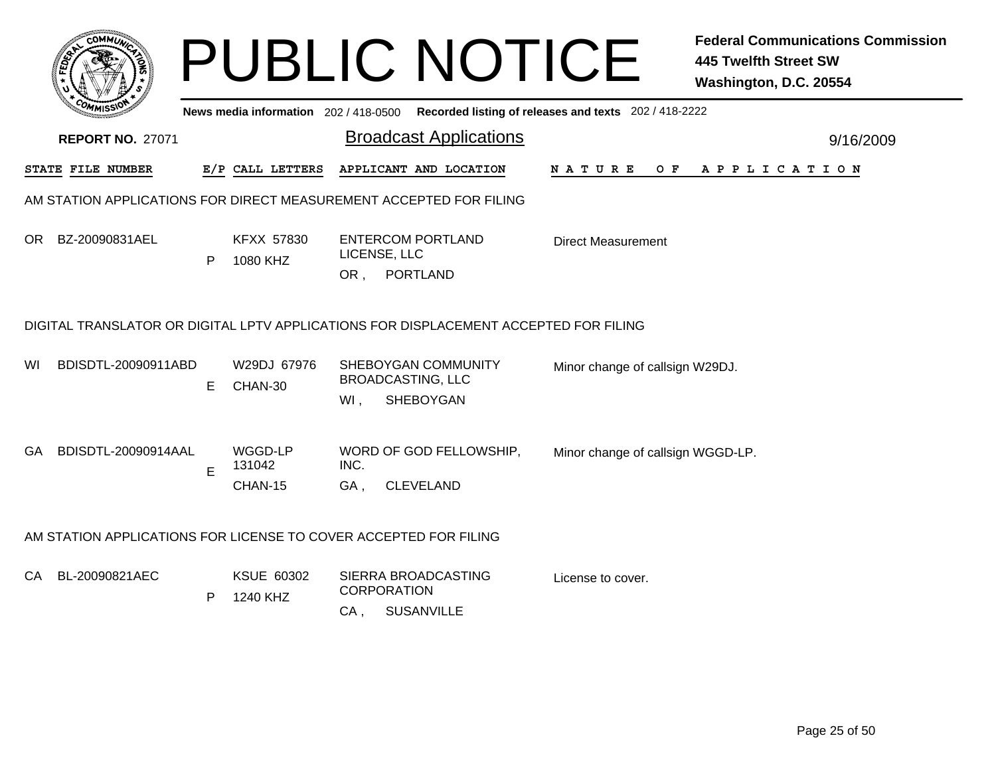|     |                                                                                      |   |                                       |                              | <b>PUBLIC NOTICE</b>                                         |                                                       | <b>Federal Communications Commission</b><br><b>445 Twelfth Street SW</b><br>Washington, D.C. 20554 |
|-----|--------------------------------------------------------------------------------------|---|---------------------------------------|------------------------------|--------------------------------------------------------------|-------------------------------------------------------|----------------------------------------------------------------------------------------------------|
|     |                                                                                      |   | News media information 202 / 418-0500 |                              |                                                              | Recorded listing of releases and texts 202 / 418-2222 |                                                                                                    |
|     | <b>REPORT NO. 27071</b>                                                              |   |                                       |                              | <b>Broadcast Applications</b>                                |                                                       | 9/16/2009                                                                                          |
|     | STATE FILE NUMBER                                                                    |   | E/P CALL LETTERS                      |                              | APPLICANT AND LOCATION                                       | N A T U R E<br>O F                                    | A P P L I C A T I O N                                                                              |
|     | AM STATION APPLICATIONS FOR DIRECT MEASUREMENT ACCEPTED FOR FILING                   |   |                                       |                              |                                                              |                                                       |                                                                                                    |
| OR. | BZ-20090831AEL                                                                       | P | <b>KFXX 57830</b><br>1080 KHZ         | LICENSE, LLC                 | <b>ENTERCOM PORTLAND</b><br>OR, PORTLAND                     | <b>Direct Measurement</b>                             |                                                                                                    |
|     | DIGITAL TRANSLATOR OR DIGITAL LPTV APPLICATIONS FOR DISPLACEMENT ACCEPTED FOR FILING |   |                                       |                              |                                                              |                                                       |                                                                                                    |
| WI  | BDISDTL-20090911ABD                                                                  | E | W29DJ 67976<br>CHAN-30                | Wl,                          | SHEBOYGAN COMMUNITY<br><b>BROADCASTING, LLC</b><br>SHEBOYGAN | Minor change of callsign W29DJ.                       |                                                                                                    |
| GA. | BDISDTL-20090914AAL                                                                  | E | WGGD-LP<br>131042<br>CHAN-15          | INC.<br>GA.                  | WORD OF GOD FELLOWSHIP,<br><b>CLEVELAND</b>                  | Minor change of callsign WGGD-LP.                     |                                                                                                    |
|     | AM STATION APPLICATIONS FOR LICENSE TO COVER ACCEPTED FOR FILING                     |   |                                       |                              |                                                              |                                                       |                                                                                                    |
| CA. | BL-20090821AEC                                                                       | P | KSUE 60302<br>1240 KHZ                | <b>CORPORATION</b><br>$CA$ , | SIERRA BROADCASTING<br><b>SUSANVILLE</b>                     | License to cover.                                     |                                                                                                    |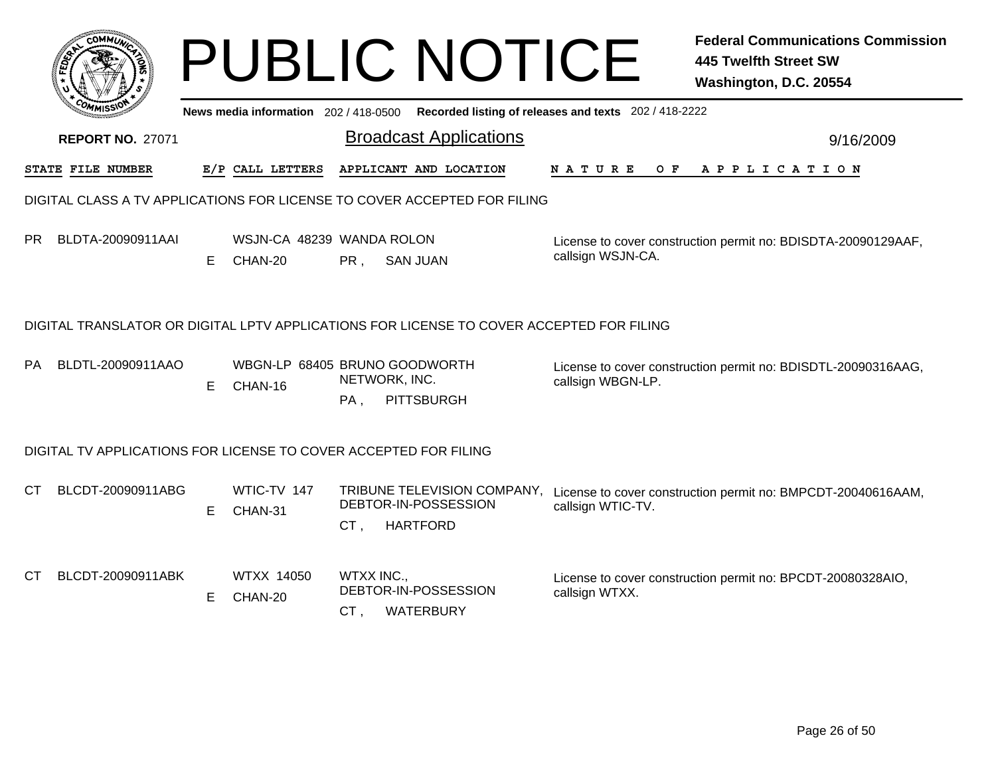|    |                                                                                          |   |                                          |                      | <b>PUBLIC NOTICE</b>                                                                        |                      | <b>Federal Communications Commission</b><br><b>445 Twelfth Street SW</b><br>Washington, D.C. 20554 |  |  |  |  |
|----|------------------------------------------------------------------------------------------|---|------------------------------------------|----------------------|---------------------------------------------------------------------------------------------|----------------------|----------------------------------------------------------------------------------------------------|--|--|--|--|
|    |                                                                                          |   |                                          |                      | News media information 202 / 418-0500 Recorded listing of releases and texts 202 / 418-2222 |                      |                                                                                                    |  |  |  |  |
|    | <b>REPORT NO. 27071</b>                                                                  |   |                                          |                      | <b>Broadcast Applications</b>                                                               |                      | 9/16/2009                                                                                          |  |  |  |  |
|    | <b>STATE FILE NUMBER</b>                                                                 |   | E/P CALL LETTERS                         |                      | APPLICANT AND LOCATION                                                                      | <b>NATURE</b><br>O F | A P P L I C A T I O N                                                                              |  |  |  |  |
|    | DIGITAL CLASS A TV APPLICATIONS FOR LICENSE TO COVER ACCEPTED FOR FILING                 |   |                                          |                      |                                                                                             |                      |                                                                                                    |  |  |  |  |
| PR | BLDTA-20090911AAI                                                                        | E | WSJN-CA 48239 WANDA ROLON<br>CHAN-20     | PR,                  | SAN JUAN                                                                                    | callsign WSJN-CA.    | License to cover construction permit no: BDISDTA-20090129AAF,                                      |  |  |  |  |
|    | DIGITAL TRANSLATOR OR DIGITAL LPTV APPLICATIONS FOR LICENSE TO COVER ACCEPTED FOR FILING |   |                                          |                      |                                                                                             |                      |                                                                                                    |  |  |  |  |
| РA | BLDTL-20090911AAO                                                                        | Е | WBGN-LP 68405 BRUNO GOODWORTH<br>CHAN-16 | NETWORK, INC.<br>PA, | <b>PITTSBURGH</b>                                                                           | callsign WBGN-LP.    | License to cover construction permit no: BDISDTL-20090316AAG,                                      |  |  |  |  |
|    | DIGITAL TV APPLICATIONS FOR LICENSE TO COVER ACCEPTED FOR FILING                         |   |                                          |                      |                                                                                             |                      |                                                                                                    |  |  |  |  |
| CТ | BLCDT-20090911ABG                                                                        | Е | WTIC-TV 147<br>CHAN-31                   | CT.                  | DEBTOR-IN-POSSESSION<br><b>HARTFORD</b>                                                     | callsign WTIC-TV.    | TRIBUNE TELEVISION COMPANY, License to cover construction permit no: BMPCDT-20040616AAM,           |  |  |  |  |
| СT | BLCDT-20090911ABK                                                                        | E | WTXX 14050<br>CHAN-20                    | WTXX INC.,<br>CT,    | DEBTOR-IN-POSSESSION<br><b>WATERBURY</b>                                                    | callsign WTXX.       | License to cover construction permit no: BPCDT-20080328AIO,                                        |  |  |  |  |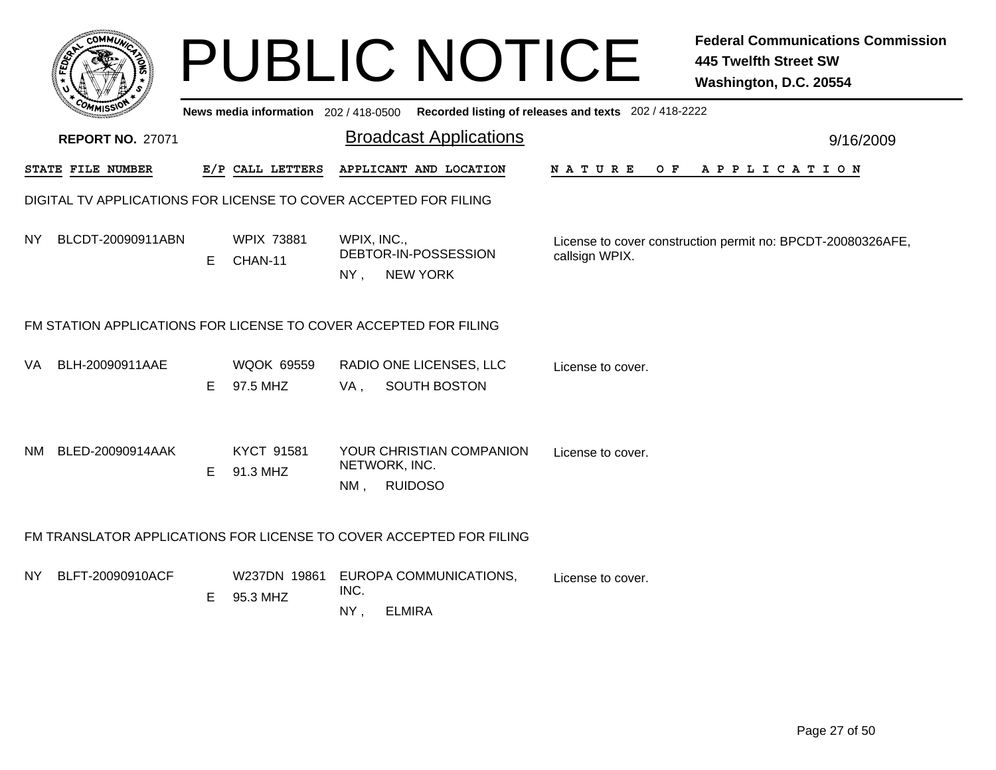|     | <b>COMMU</b>                                                                                   |    |                               | <b>PUBLIC NOTICE</b>                                                |                              | <b>Federal Communications Commission</b><br><b>445 Twelfth Street SW</b><br>Washington, D.C. 20554 |  |  |  |  |  |
|-----|------------------------------------------------------------------------------------------------|----|-------------------------------|---------------------------------------------------------------------|------------------------------|----------------------------------------------------------------------------------------------------|--|--|--|--|--|
|     | Recorded listing of releases and texts 202 / 418-2222<br>News media information 202 / 418-0500 |    |                               |                                                                     |                              |                                                                                                    |  |  |  |  |  |
|     | <b>REPORT NO. 27071</b>                                                                        |    |                               | <b>Broadcast Applications</b>                                       |                              | 9/16/2009                                                                                          |  |  |  |  |  |
|     | STATE FILE NUMBER                                                                              |    | E/P CALL LETTERS              | APPLICANT AND LOCATION                                              | NATURE<br>O F<br>APPLICATION |                                                                                                    |  |  |  |  |  |
|     | DIGITAL TV APPLICATIONS FOR LICENSE TO COVER ACCEPTED FOR FILING                               |    |                               |                                                                     |                              |                                                                                                    |  |  |  |  |  |
| NY. | BLCDT-20090911ABN                                                                              | E  | <b>WPIX 73881</b><br>CHAN-11  | WPIX, INC.,<br>DEBTOR-IN-POSSESSION<br>NY, NEW YORK                 | callsign WPIX.               | License to cover construction permit no: BPCDT-20080326AFE,                                        |  |  |  |  |  |
|     |                                                                                                |    |                               | FM STATION APPLICATIONS FOR LICENSE TO COVER ACCEPTED FOR FILING    |                              |                                                                                                    |  |  |  |  |  |
| VA. | BLH-20090911AAE                                                                                | E. | <b>WQOK 69559</b><br>97.5 MHZ | RADIO ONE LICENSES, LLC<br><b>SOUTH BOSTON</b><br>VA,               | License to cover.            |                                                                                                    |  |  |  |  |  |
| NM. | BLED-20090914AAK                                                                               | E  | KYCT 91581<br>91.3 MHZ        | YOUR CHRISTIAN COMPANION<br>NETWORK, INC.<br><b>RUIDOSO</b><br>NM,  | License to cover.            |                                                                                                    |  |  |  |  |  |
|     |                                                                                                |    |                               | FM TRANSLATOR APPLICATIONS FOR LICENSE TO COVER ACCEPTED FOR FILING |                              |                                                                                                    |  |  |  |  |  |
| NY. | BLFT-20090910ACF                                                                               | E. | W237DN 19861<br>95.3 MHZ      | EUROPA COMMUNICATIONS,<br>INC.<br><b>ELMIRA</b><br>NY,              | License to cover.            |                                                                                                    |  |  |  |  |  |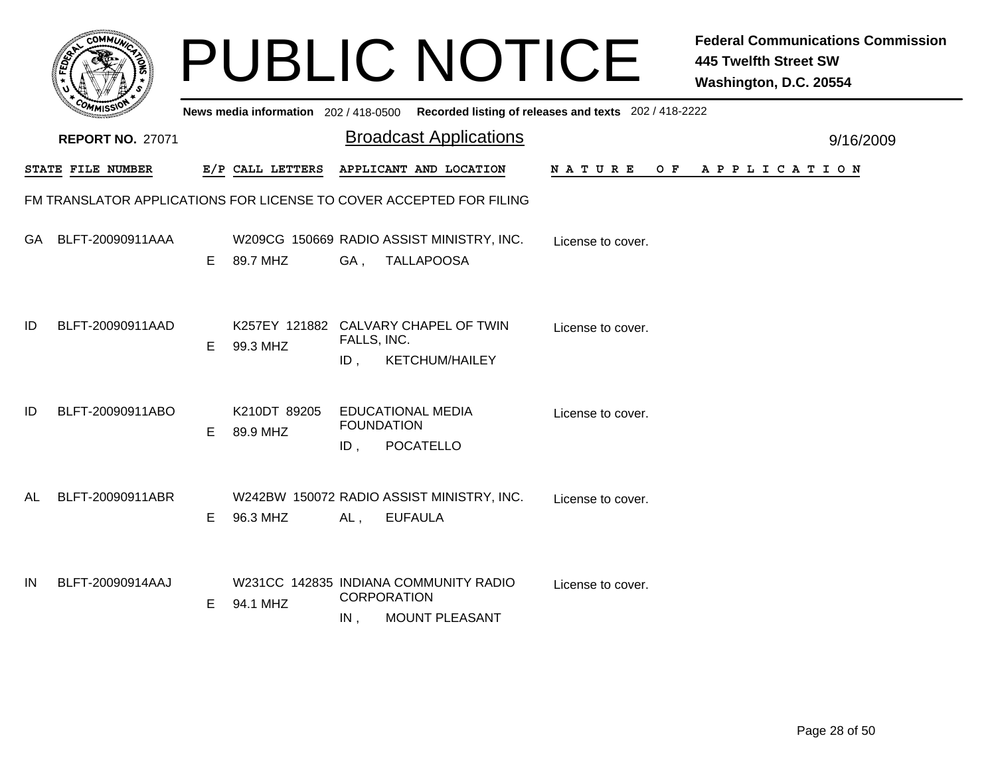|    |                                                                     |    |                                                  |                                                      | <b>PUBLIC NOTICE</b>                                           |                                                                                             | <b>Federal Communications Commission</b><br><b>445 Twelfth Street SW</b><br>Washington, D.C. 20554 |           |
|----|---------------------------------------------------------------------|----|--------------------------------------------------|------------------------------------------------------|----------------------------------------------------------------|---------------------------------------------------------------------------------------------|----------------------------------------------------------------------------------------------------|-----------|
|    |                                                                     |    |                                                  |                                                      |                                                                | News media information 202 / 418-0500 Recorded listing of releases and texts 202 / 418-2222 |                                                                                                    |           |
|    | <b>REPORT NO. 27071</b>                                             |    |                                                  |                                                      | <b>Broadcast Applications</b>                                  |                                                                                             |                                                                                                    | 9/16/2009 |
|    | <b>STATE FILE NUMBER</b>                                            |    | E/P CALL LETTERS                                 |                                                      | APPLICANT AND LOCATION                                         | <b>NATURE</b><br>O F                                                                        | APPLICATION                                                                                        |           |
|    | FM TRANSLATOR APPLICATIONS FOR LICENSE TO COVER ACCEPTED FOR FILING |    |                                                  |                                                      |                                                                |                                                                                             |                                                                                                    |           |
|    | GA BLFT-20090911AAA                                                 | E. | 89.7 MHZ                                         | GA,                                                  | W209CG 150669 RADIO ASSIST MINISTRY, INC.<br><b>TALLAPOOSA</b> | License to cover.                                                                           |                                                                                                    |           |
| ID | BLFT-20090911AAD                                                    | F. | K257EY 121882 CALVARY CHAPEL OF TWIN<br>99.3 MHZ | FALLS, INC.<br>ID.                                   | <b>KETCHUM/HAILEY</b>                                          | License to cover.                                                                           |                                                                                                    |           |
| ID | BLFT-20090911ABO                                                    | E. | K210DT 89205<br>89.9 MHZ                         | <b>EDUCATIONAL MEDIA</b><br><b>FOUNDATION</b><br>ID, | <b>POCATELLO</b>                                               | License to cover.                                                                           |                                                                                                    |           |
| AL | BLFT-20090911ABR                                                    | E. | 96.3 MHZ                                         | $AL$ ,                                               | W242BW 150072 RADIO ASSIST MINISTRY, INC.<br><b>EUFAULA</b>    | License to cover.                                                                           |                                                                                                    |           |
| IN | BLFT-20090914AAJ                                                    | E. | 94.1 MHZ                                         | <b>CORPORATION</b><br>IN,                            | W231CC 142835 INDIANA COMMUNITY RADIO<br><b>MOUNT PLEASANT</b> | License to cover.                                                                           |                                                                                                    |           |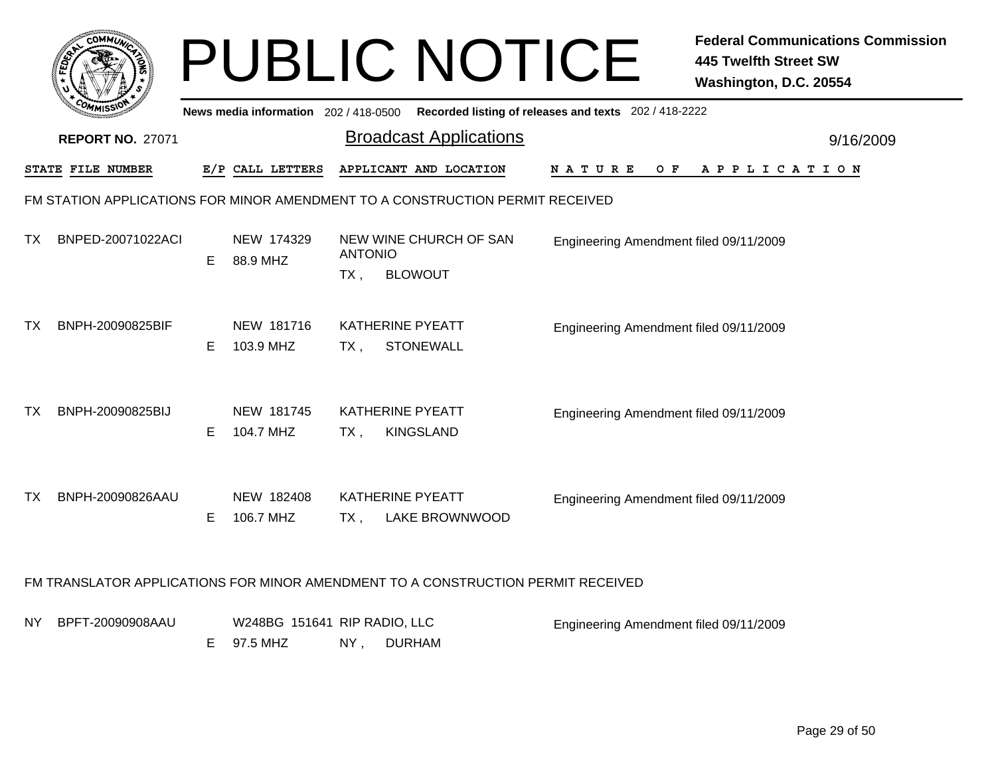|     | <b>COMMUX</b>           |    |                                          |                       | <b>PUBLIC NOTICE</b>                                                                        |                                        | <b>Federal Communications Commission</b><br><b>445 Twelfth Street SW</b><br>Washington, D.C. 20554 |
|-----|-------------------------|----|------------------------------------------|-----------------------|---------------------------------------------------------------------------------------------|----------------------------------------|----------------------------------------------------------------------------------------------------|
|     |                         |    |                                          |                       | News media information 202 / 418-0500 Recorded listing of releases and texts 202 / 418-2222 |                                        |                                                                                                    |
|     | <b>REPORT NO. 27071</b> |    |                                          |                       | <b>Broadcast Applications</b>                                                               |                                        | 9/16/2009                                                                                          |
|     | STATE FILE NUMBER       |    | E/P CALL LETTERS                         |                       | APPLICANT AND LOCATION                                                                      | N A T U R E<br>O F                     | A P P L I C A T I O N                                                                              |
|     |                         |    |                                          |                       | FM STATION APPLICATIONS FOR MINOR AMENDMENT TO A CONSTRUCTION PERMIT RECEIVED               |                                        |                                                                                                    |
| TX  | BNPED-20071022ACI       | E. | NEW 174329<br>88.9 MHZ                   | <b>ANTONIO</b><br>TX, | NEW WINE CHURCH OF SAN<br><b>BLOWOUT</b>                                                    | Engineering Amendment filed 09/11/2009 |                                                                                                    |
| ТX  | BNPH-20090825BIF        | E. | NEW 181716<br>103.9 MHZ                  | $TX$ ,                | <b>KATHERINE PYEATT</b><br><b>STONEWALL</b>                                                 | Engineering Amendment filed 09/11/2009 |                                                                                                    |
| ТX  | BNPH-20090825BIJ        | E. | NEW 181745<br>104.7 MHZ                  | $TX$ ,                | <b>KATHERINE PYEATT</b><br><b>KINGSLAND</b>                                                 | Engineering Amendment filed 09/11/2009 |                                                                                                    |
| ТX  | BNPH-20090826AAU        | E. | NEW 182408<br>106.7 MHZ                  | TX,                   | <b>KATHERINE PYEATT</b><br>LAKE BROWNWOOD                                                   | Engineering Amendment filed 09/11/2009 |                                                                                                    |
|     |                         |    |                                          |                       | FM TRANSLATOR APPLICATIONS FOR MINOR AMENDMENT TO A CONSTRUCTION PERMIT RECEIVED            |                                        |                                                                                                    |
| NY. | BPFT-20090908AAU        | E. | W248BG 151641 RIP RADIO, LLC<br>97.5 MHZ | NY,                   | <b>DURHAM</b>                                                                               | Engineering Amendment filed 09/11/2009 |                                                                                                    |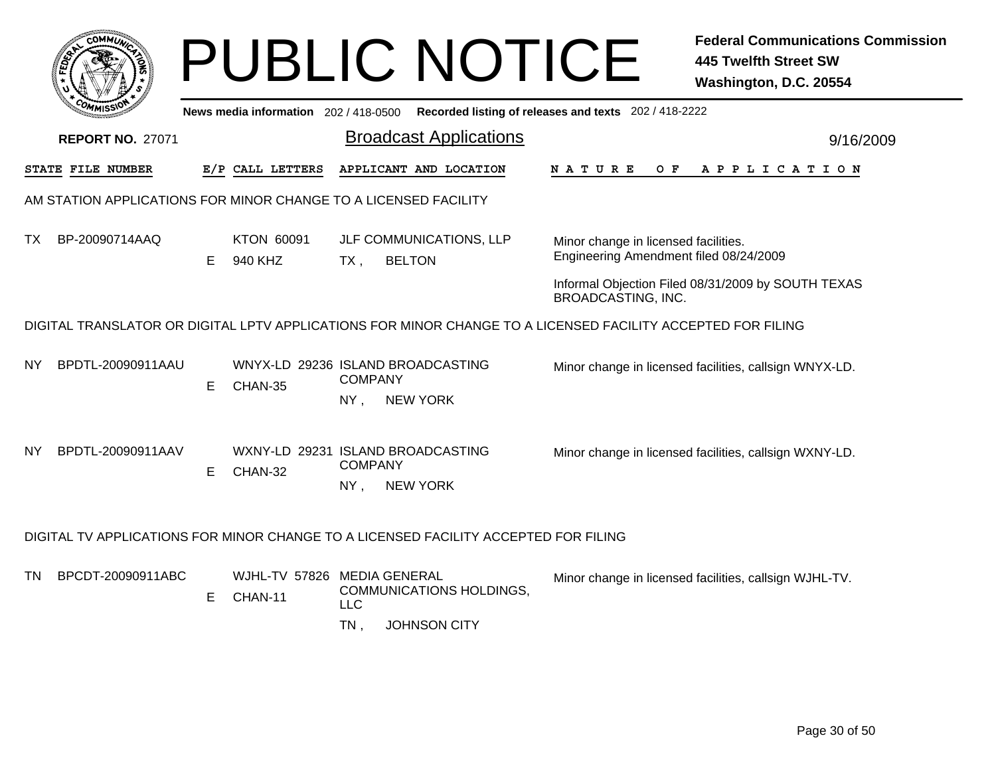|    |                         |    |                                     | <b>PUBLIC NOTICE</b>                                                                                |                                                                                                             | <b>Federal Communications Commission</b><br><b>445 Twelfth Street SW</b><br>Washington, D.C. 20554 |
|----|-------------------------|----|-------------------------------------|-----------------------------------------------------------------------------------------------------|-------------------------------------------------------------------------------------------------------------|----------------------------------------------------------------------------------------------------|
|    |                         |    | News media information 202/418-0500 |                                                                                                     | Recorded listing of releases and texts 202 / 418-2222                                                       |                                                                                                    |
|    | <b>REPORT NO. 27071</b> |    |                                     | <b>Broadcast Applications</b>                                                                       |                                                                                                             | 9/16/2009                                                                                          |
|    | STATE FILE NUMBER       |    | E/P CALL LETTERS                    | APPLICANT AND LOCATION                                                                              | N A T U R E<br>O F                                                                                          | A P P L I C A T I O N                                                                              |
|    |                         |    |                                     | AM STATION APPLICATIONS FOR MINOR CHANGE TO A LICENSED FACILITY                                     |                                                                                                             |                                                                                                    |
| ТX | BP-20090714AAQ          | E. | KTON 60091<br>940 KHZ               | JLF COMMUNICATIONS, LLP<br><b>BELTON</b><br>$TX$ ,                                                  | Minor change in licensed facilities.<br>Engineering Amendment filed 08/24/2009                              |                                                                                                    |
|    |                         |    |                                     |                                                                                                     | BROADCASTING, INC.                                                                                          | Informal Objection Filed 08/31/2009 by SOUTH TEXAS                                                 |
|    |                         |    |                                     |                                                                                                     | DIGITAL TRANSLATOR OR DIGITAL LPTV APPLICATIONS FOR MINOR CHANGE TO A LICENSED FACILITY ACCEPTED FOR FILING |                                                                                                    |
| ΝY | BPDTL-20090911AAU       | Е  | CHAN-35                             | WNYX-LD 29236 ISLAND BROADCASTING<br><b>COMPANY</b><br><b>NEW YORK</b><br>$NY$ ,                    |                                                                                                             | Minor change in licensed facilities, callsign WNYX-LD.                                             |
|    |                         |    |                                     |                                                                                                     |                                                                                                             |                                                                                                    |
| NY | BPDTL-20090911AAV       | E. | CHAN-32                             | WXNY-LD 29231 ISLAND BROADCASTING<br><b>COMPANY</b>                                                 |                                                                                                             | Minor change in licensed facilities, callsign WXNY-LD.                                             |
|    |                         |    |                                     | $NY$ ,<br><b>NEW YORK</b>                                                                           |                                                                                                             |                                                                                                    |
|    |                         |    |                                     | DIGITAL TV APPLICATIONS FOR MINOR CHANGE TO A LICENSED FACILITY ACCEPTED FOR FILING                 |                                                                                                             |                                                                                                    |
| TN | BPCDT-20090911ABC       | Е  | CHAN-11                             | WJHL-TV 57826 MEDIA GENERAL<br>COMMUNICATIONS HOLDINGS,<br><b>LLC</b><br><b>JOHNSON CITY</b><br>TN, |                                                                                                             | Minor change in licensed facilities, callsign WJHL-TV.                                             |
|    |                         |    |                                     |                                                                                                     |                                                                                                             |                                                                                                    |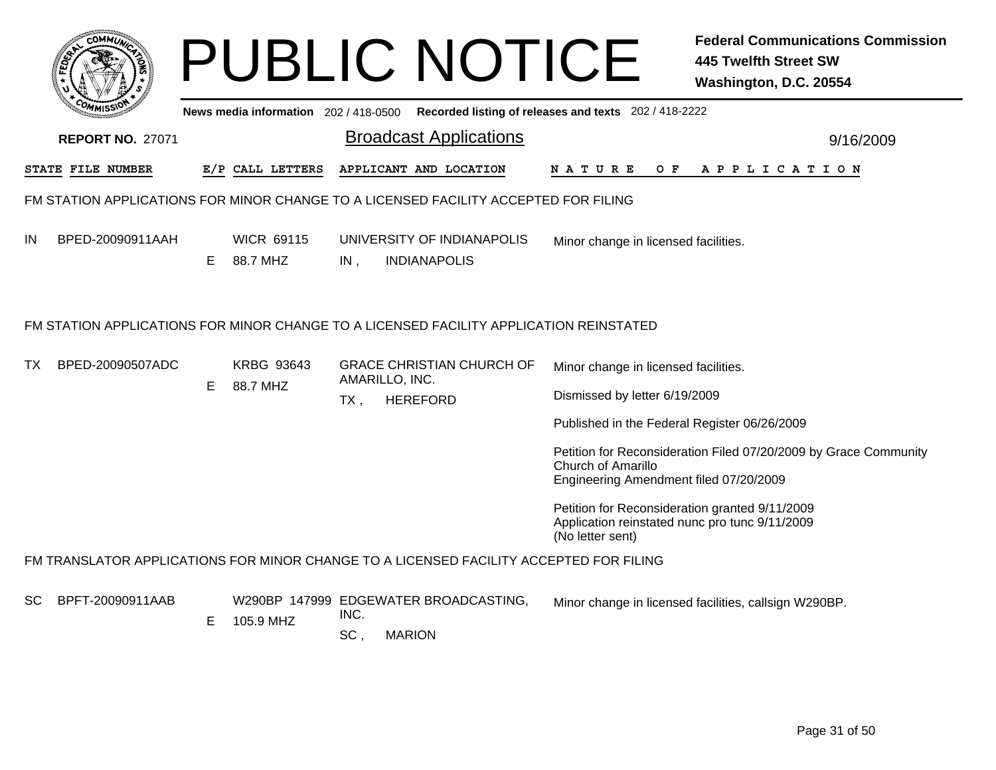|           |                                                                                     |   |                                       |             | <b>PUBLIC NOTICE</b>                                                                   |                                                                                                                      | <b>Federal Communications Commission</b><br><b>445 Twelfth Street SW</b><br>Washington, D.C. 20554 |  |  |
|-----------|-------------------------------------------------------------------------------------|---|---------------------------------------|-------------|----------------------------------------------------------------------------------------|----------------------------------------------------------------------------------------------------------------------|----------------------------------------------------------------------------------------------------|--|--|
|           |                                                                                     |   | News media information $202/418-0500$ |             |                                                                                        | Recorded listing of releases and texts 202 / 418-2222                                                                |                                                                                                    |  |  |
|           | <b>REPORT NO. 27071</b>                                                             |   |                                       |             | <b>Broadcast Applications</b>                                                          |                                                                                                                      | 9/16/2009                                                                                          |  |  |
|           | STATE FILE NUMBER                                                                   |   | E/P CALL LETTERS                      |             | APPLICANT AND LOCATION                                                                 | N A T U R E<br>O F                                                                                                   | A P P L I C A T I O N                                                                              |  |  |
|           | FM STATION APPLICATIONS FOR MINOR CHANGE TO A LICENSED FACILITY ACCEPTED FOR FILING |   |                                       |             |                                                                                        |                                                                                                                      |                                                                                                    |  |  |
| IN        | BPED-20090911AAH                                                                    | Е | <b>WICR 69115</b><br>88.7 MHZ         | IN,         | UNIVERSITY OF INDIANAPOLIS<br><b>INDIANAPOLIS</b>                                      | Minor change in licensed facilities.                                                                                 |                                                                                                    |  |  |
|           |                                                                                     |   |                                       |             | FM STATION APPLICATIONS FOR MINOR CHANGE TO A LICENSED FACILITY APPLICATION REINSTATED |                                                                                                                      |                                                                                                    |  |  |
| <b>TX</b> | BPED-20090507ADC                                                                    | Е | <b>KRBG 93643</b><br>88.7 MHZ         |             | <b>GRACE CHRISTIAN CHURCH OF</b><br>AMARILLO, INC.                                     | Minor change in licensed facilities.                                                                                 |                                                                                                    |  |  |
|           |                                                                                     |   |                                       | $TX$ ,      | <b>HEREFORD</b>                                                                        | Dismissed by letter 6/19/2009                                                                                        |                                                                                                    |  |  |
|           |                                                                                     |   |                                       |             |                                                                                        | Published in the Federal Register 06/26/2009                                                                         |                                                                                                    |  |  |
|           |                                                                                     |   |                                       |             |                                                                                        | <b>Church of Amarillo</b><br>Engineering Amendment filed 07/20/2009                                                  | Petition for Reconsideration Filed 07/20/2009 by Grace Community                                   |  |  |
|           |                                                                                     |   |                                       |             |                                                                                        | Petition for Reconsideration granted 9/11/2009<br>Application reinstated nunc pro tunc 9/11/2009<br>(No letter sent) |                                                                                                    |  |  |
|           |                                                                                     |   |                                       |             | FM TRANSLATOR APPLICATIONS FOR MINOR CHANGE TO A LICENSED FACILITY ACCEPTED FOR FILING |                                                                                                                      |                                                                                                    |  |  |
| <b>SC</b> | BPFT-20090911AAB                                                                    | Е | 105.9 MHZ                             | INC.<br>SC, | W290BP 147999 EDGEWATER BROADCASTING,<br><b>MARION</b>                                 |                                                                                                                      | Minor change in licensed facilities, callsign W290BP.                                              |  |  |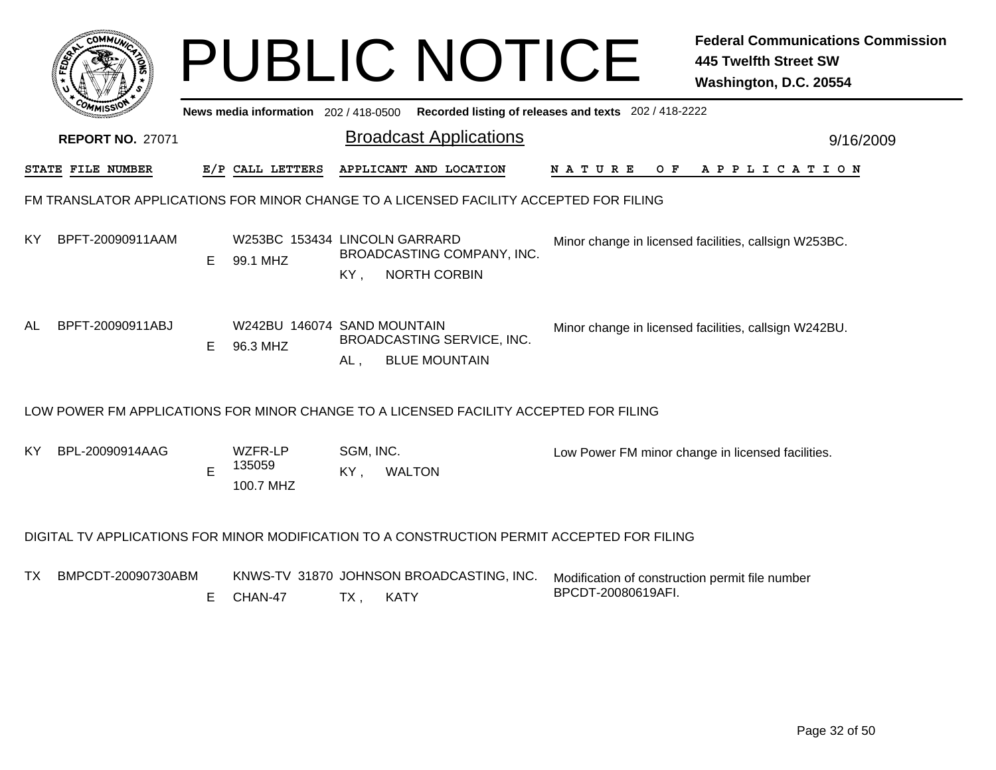|                                                                                        |                                                                                             |    |                                           |                       | <b>PUBLIC NOTICE</b>                               |                                                                       | <b>Federal Communications Commission</b><br><b>445 Twelfth Street SW</b><br>Washington, D.C. 20554 |  |  |
|----------------------------------------------------------------------------------------|---------------------------------------------------------------------------------------------|----|-------------------------------------------|-----------------------|----------------------------------------------------|-----------------------------------------------------------------------|----------------------------------------------------------------------------------------------------|--|--|
|                                                                                        |                                                                                             |    | News media information 202 / 418-0500     |                       |                                                    | Recorded listing of releases and texts 202 / 418-2222                 |                                                                                                    |  |  |
|                                                                                        | <b>REPORT NO. 27071</b>                                                                     |    |                                           |                       | <b>Broadcast Applications</b>                      |                                                                       | 9/16/2009                                                                                          |  |  |
|                                                                                        | STATE FILE NUMBER                                                                           |    | E/P CALL LETTERS                          |                       | APPLICANT AND LOCATION                             | NATURE OF                                                             | A P P L I C A T I O N                                                                              |  |  |
| FM TRANSLATOR APPLICATIONS FOR MINOR CHANGE TO A LICENSED FACILITY ACCEPTED FOR FILING |                                                                                             |    |                                           |                       |                                                    |                                                                       |                                                                                                    |  |  |
| ΚY                                                                                     | BPFT-20090911AAM                                                                            | E. | W253BC 153434 LINCOLN GARRARD<br>99.1 MHZ | KY,                   | BROADCASTING COMPANY, INC.<br><b>NORTH CORBIN</b>  |                                                                       | Minor change in licensed facilities, callsign W253BC.                                              |  |  |
| AL.                                                                                    | BPFT-20090911ABJ                                                                            | E. | W242BU 146074 SAND MOUNTAIN<br>96.3 MHZ   | $AL$ ,                | BROADCASTING SERVICE, INC.<br><b>BLUE MOUNTAIN</b> |                                                                       | Minor change in licensed facilities, callsign W242BU.                                              |  |  |
|                                                                                        | LOW POWER FM APPLICATIONS FOR MINOR CHANGE TO A LICENSED FACILITY ACCEPTED FOR FILING       |    |                                           |                       |                                                    |                                                                       |                                                                                                    |  |  |
| ΚY                                                                                     | BPL-20090914AAG                                                                             | E  | WZFR-LP<br>135059<br>100.7 MHZ            | SGM, INC.<br>KY,      | <b>WALTON</b>                                      |                                                                       | Low Power FM minor change in licensed facilities.                                                  |  |  |
|                                                                                        | DIGITAL TV APPLICATIONS FOR MINOR MODIFICATION TO A CONSTRUCTION PERMIT ACCEPTED FOR FILING |    |                                           |                       |                                                    |                                                                       |                                                                                                    |  |  |
| TX.                                                                                    | BMPCDT-20090730ABM                                                                          | Е  | CHAN-47                                   | $TX$ ,<br><b>KATY</b> | KNWS-TV 31870 JOHNSON BROADCASTING, INC.           | Modification of construction permit file number<br>BPCDT-20080619AFI. |                                                                                                    |  |  |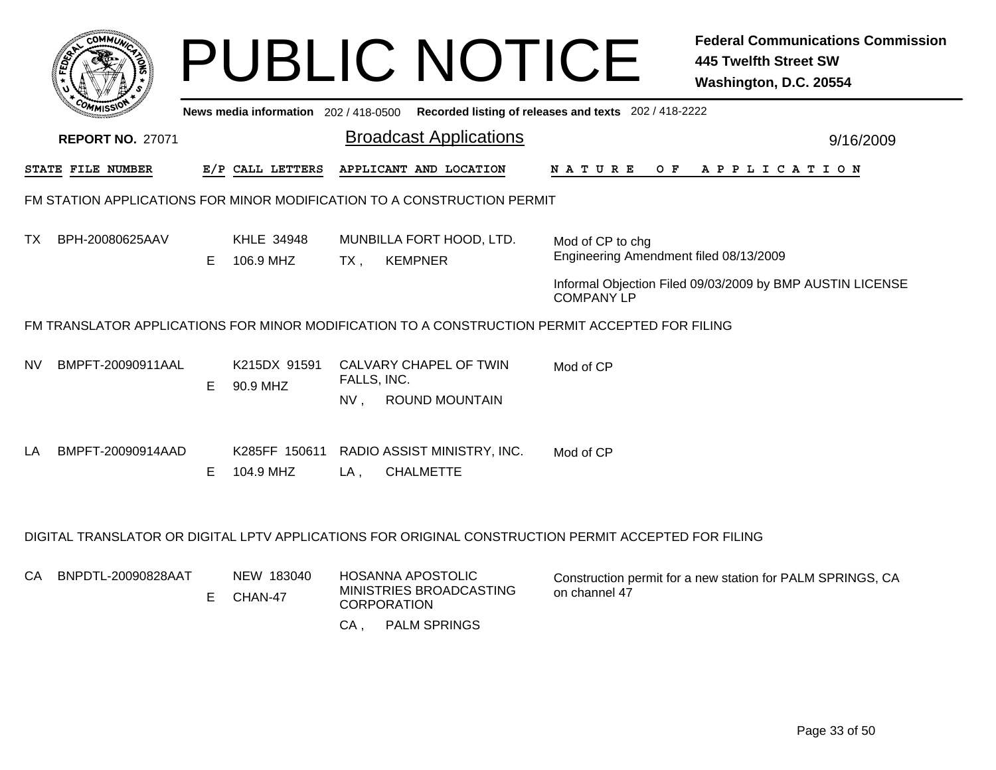|                                                                                                      | <b>COMMUT</b>           |    |                            |             | <b>PUBLIC NOTICE</b>                                                                           |                                                            | <b>Federal Communications Commission</b><br><b>445 Twelfth Street SW</b><br>Washington, D.C. 20554 |
|------------------------------------------------------------------------------------------------------|-------------------------|----|----------------------------|-------------|------------------------------------------------------------------------------------------------|------------------------------------------------------------|----------------------------------------------------------------------------------------------------|
|                                                                                                      |                         |    |                            |             | News media information 202 / 418-0500 Recorded listing of releases and texts 202 / 418-2222    |                                                            |                                                                                                    |
|                                                                                                      | <b>REPORT NO. 27071</b> |    |                            |             | <b>Broadcast Applications</b>                                                                  |                                                            | 9/16/2009                                                                                          |
|                                                                                                      | STATE FILE NUMBER       |    | E/P CALL LETTERS           |             | APPLICANT AND LOCATION                                                                         | N A T U R E                                                | OF APPLICATION                                                                                     |
|                                                                                                      |                         |    |                            |             | FM STATION APPLICATIONS FOR MINOR MODIFICATION TO A CONSTRUCTION PERMIT                        |                                                            |                                                                                                    |
| TX.                                                                                                  | BPH-20080625AAV         | E. | KHLE 34948<br>106.9 MHZ    | $TX$ ,      | MUNBILLA FORT HOOD, LTD.<br><b>KEMPNER</b>                                                     | Mod of CP to chg<br>Engineering Amendment filed 08/13/2009 |                                                                                                    |
|                                                                                                      |                         |    |                            |             |                                                                                                | <b>COMPANY LP</b>                                          | Informal Objection Filed 09/03/2009 by BMP AUSTIN LICENSE                                          |
|                                                                                                      |                         |    |                            |             | FM TRANSLATOR APPLICATIONS FOR MINOR MODIFICATION TO A CONSTRUCTION PERMIT ACCEPTED FOR FILING |                                                            |                                                                                                    |
| NV                                                                                                   | BMPFT-20090911AAL       | E. | K215DX 91591<br>90.9 MHZ   | FALLS, INC. | CALVARY CHAPEL OF TWIN                                                                         | Mod of CP                                                  |                                                                                                    |
|                                                                                                      |                         |    |                            | NV,         | <b>ROUND MOUNTAIN</b>                                                                          |                                                            |                                                                                                    |
| LA                                                                                                   | BMPFT-20090914AAD       | E. | K285FF 150611<br>104.9 MHZ | LA,         | RADIO ASSIST MINISTRY, INC.<br><b>CHALMETTE</b>                                                | Mod of CP                                                  |                                                                                                    |
| DIGITAL TRANSLATOR OR DIGITAL LPTV APPLICATIONS FOR ORIGINAL CONSTRUCTION PERMIT ACCEPTED FOR FILING |                         |    |                            |             |                                                                                                |                                                            |                                                                                                    |
| СA                                                                                                   | BNPDTL-20090828AAT      | E  | NEW 183040<br>CHAN-47      |             | HOSANNA APOSTOLIC<br>MINISTRIES BROADCASTING<br><b>CORPORATION</b>                             | on channel 47                                              | Construction permit for a new station for PALM SPRINGS, CA                                         |
|                                                                                                      |                         |    |                            | CA,         | <b>PALM SPRINGS</b>                                                                            |                                                            |                                                                                                    |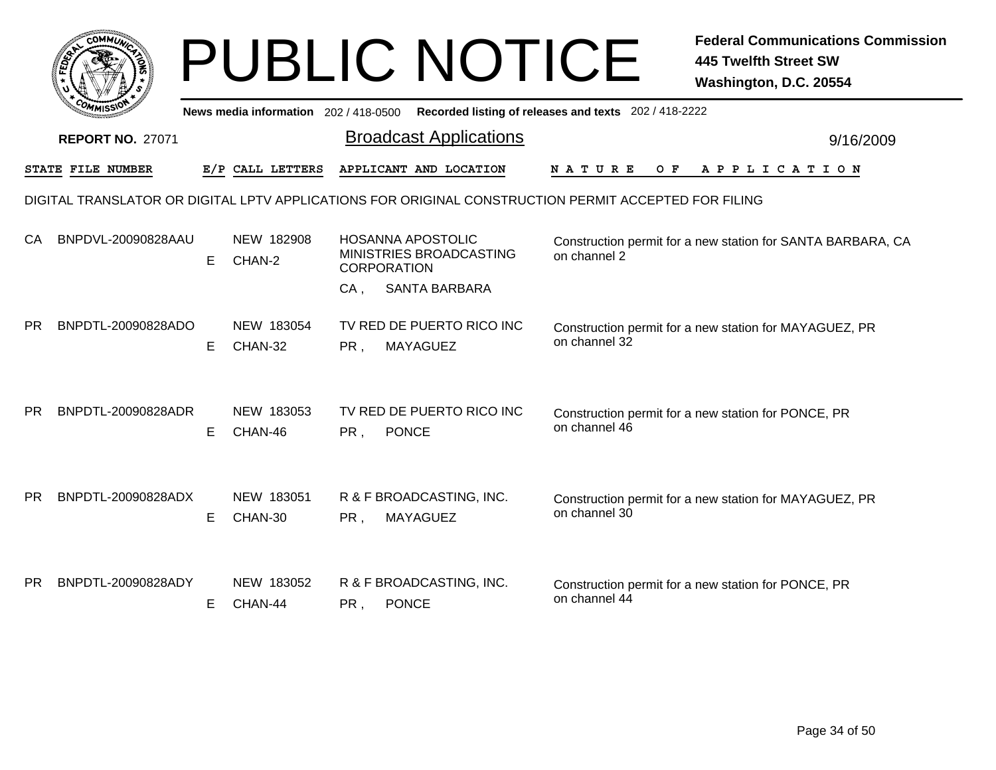|           | <b>COMMUL</b>           |    |                                     |        | <b>PUBLIC NOTICE</b>                                                                                 |                                                       | <b>Federal Communications Commission</b><br><b>445 Twelfth Street SW</b><br>Washington, D.C. 20554 |
|-----------|-------------------------|----|-------------------------------------|--------|------------------------------------------------------------------------------------------------------|-------------------------------------------------------|----------------------------------------------------------------------------------------------------|
|           |                         |    | News media information 202/418-0500 |        |                                                                                                      | Recorded listing of releases and texts 202 / 418-2222 |                                                                                                    |
|           | <b>REPORT NO. 27071</b> |    |                                     |        | <b>Broadcast Applications</b>                                                                        |                                                       | 9/16/2009                                                                                          |
|           | STATE FILE NUMBER       |    | E/P CALL LETTERS                    |        | APPLICANT AND LOCATION                                                                               | N A T U R E<br>O F                                    | A P P L I C A T I O N                                                                              |
|           |                         |    |                                     |        | DIGITAL TRANSLATOR OR DIGITAL LPTV APPLICATIONS FOR ORIGINAL CONSTRUCTION PERMIT ACCEPTED FOR FILING |                                                       |                                                                                                    |
| CA        | BNPDVL-20090828AAU      | E. | NEW 182908<br>CHAN-2                |        | <b>HOSANNA APOSTOLIC</b><br>MINISTRIES BROADCASTING<br><b>CORPORATION</b>                            | on channel 2                                          | Construction permit for a new station for SANTA BARBARA, CA                                        |
|           |                         |    |                                     | $CA$ . | <b>SANTA BARBARA</b>                                                                                 |                                                       |                                                                                                    |
| <b>PR</b> | BNPDTL-20090828ADO      | E. | NEW 183054<br>CHAN-32               | PR,    | TV RED DE PUERTO RICO INC<br><b>MAYAGUEZ</b>                                                         | on channel 32                                         | Construction permit for a new station for MAYAGUEZ, PR                                             |
| PR.       | BNPDTL-20090828ADR      | E. | NEW 183053<br>CHAN-46               | PR,    | TV RED DE PUERTO RICO INC<br><b>PONCE</b>                                                            | on channel 46                                         | Construction permit for a new station for PONCE, PR                                                |
| <b>PR</b> | BNPDTL-20090828ADX      | E. | NEW 183051<br>CHAN-30               | PR,    | R & F BROADCASTING, INC.<br><b>MAYAGUEZ</b>                                                          | on channel 30                                         | Construction permit for a new station for MAYAGUEZ, PR                                             |
| <b>PR</b> | BNPDTL-20090828ADY      | E. | NEW 183052<br>CHAN-44               | PR,    | R & F BROADCASTING, INC.<br><b>PONCE</b>                                                             | on channel 44                                         | Construction permit for a new station for PONCE, PR                                                |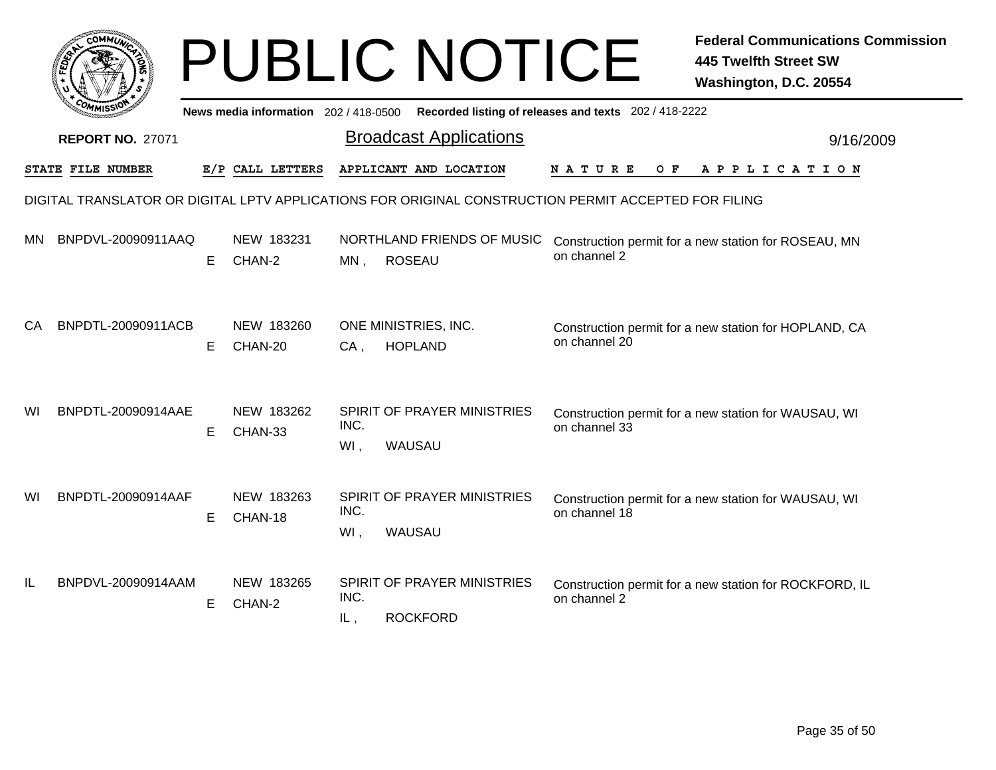|     | <b>COMMUT</b>                                                                                        |    |                                     |             | <b>PUBLIC NOTICE</b>                           |                                                       | <b>Federal Communications Commission</b><br><b>445 Twelfth Street SW</b><br>Washington, D.C. 20554 |  |  |
|-----|------------------------------------------------------------------------------------------------------|----|-------------------------------------|-------------|------------------------------------------------|-------------------------------------------------------|----------------------------------------------------------------------------------------------------|--|--|
|     |                                                                                                      |    | News media information 202/418-0500 |             |                                                | Recorded listing of releases and texts 202 / 418-2222 |                                                                                                    |  |  |
|     | <b>REPORT NO. 27071</b>                                                                              |    |                                     |             | <b>Broadcast Applications</b>                  |                                                       | 9/16/2009                                                                                          |  |  |
|     | STATE FILE NUMBER                                                                                    |    | E/P CALL LETTERS                    |             | APPLICANT AND LOCATION                         | <b>NATURE</b><br>O F                                  | APPLICATION                                                                                        |  |  |
|     | DIGITAL TRANSLATOR OR DIGITAL LPTV APPLICATIONS FOR ORIGINAL CONSTRUCTION PERMIT ACCEPTED FOR FILING |    |                                     |             |                                                |                                                       |                                                                                                    |  |  |
| MN. | BNPDVL-20090911AAQ                                                                                   | E  | NEW 183231<br>CHAN-2                | MN,         | NORTHLAND FRIENDS OF MUSIC<br><b>ROSEAU</b>    | on channel 2                                          | Construction permit for a new station for ROSEAU, MN                                               |  |  |
| CA. | BNPDTL-20090911ACB                                                                                   | E. | NEW 183260<br>CHAN-20               | CA,         | ONE MINISTRIES, INC.<br><b>HOPLAND</b>         | on channel 20                                         | Construction permit for a new station for HOPLAND, CA                                              |  |  |
| WI  | BNPDTL-20090914AAE                                                                                   | E  | NEW 183262<br>CHAN-33               | INC.<br>WI, | SPIRIT OF PRAYER MINISTRIES<br>WAUSAU          | on channel 33                                         | Construction permit for a new station for WAUSAU, WI                                               |  |  |
| WI  | BNPDTL-20090914AAF                                                                                   | E. | NEW 183263<br>CHAN-18               | INC.<br>WI, | SPIRIT OF PRAYER MINISTRIES<br>WAUSAU          | on channel 18                                         | Construction permit for a new station for WAUSAU, WI                                               |  |  |
| IL  | BNPDVL-20090914AAM                                                                                   | E  | NEW 183265<br>CHAN-2                | INC.<br>IL, | SPIRIT OF PRAYER MINISTRIES<br><b>ROCKFORD</b> | on channel 2                                          | Construction permit for a new station for ROCKFORD, IL                                             |  |  |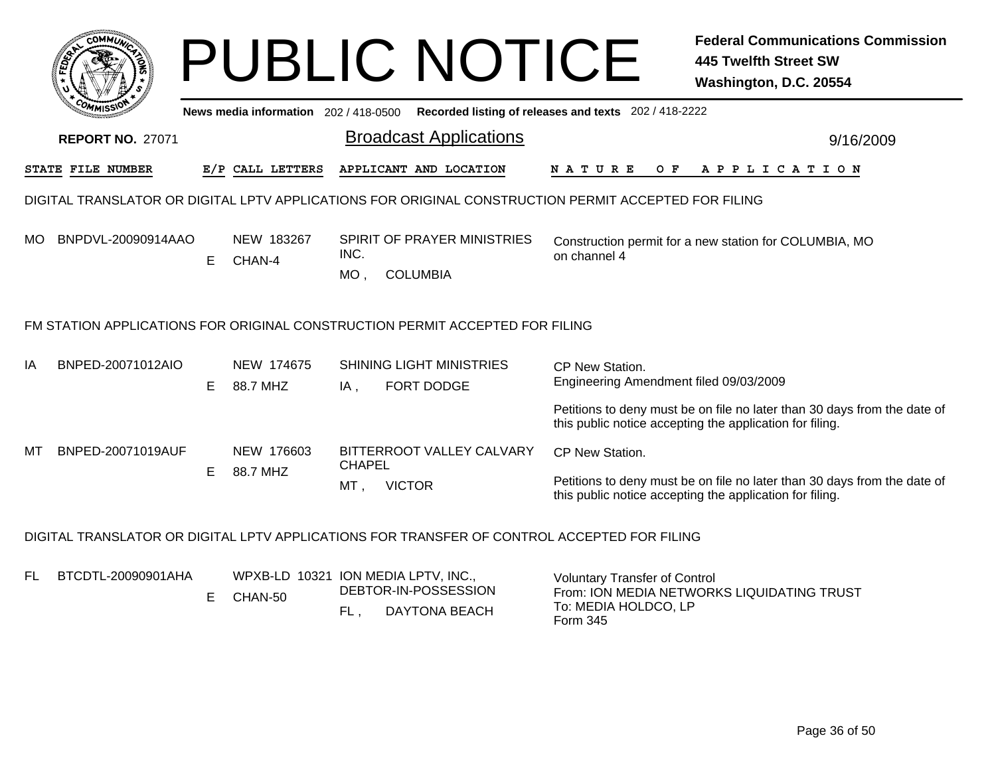|     |                                                                                                      |    |                                                |               | <b>PUBLIC NOTICE</b>                                                         |                                                                          | <b>Federal Communications Commission</b><br><b>445 Twelfth Street SW</b><br>Washington, D.C. 20554                                   |  |  |
|-----|------------------------------------------------------------------------------------------------------|----|------------------------------------------------|---------------|------------------------------------------------------------------------------|--------------------------------------------------------------------------|--------------------------------------------------------------------------------------------------------------------------------------|--|--|
|     |                                                                                                      |    | News media information 202 / 418-0500          |               |                                                                              | Recorded listing of releases and texts 202 / 418-2222                    |                                                                                                                                      |  |  |
|     | <b>REPORT NO. 27071</b>                                                                              |    |                                                |               | <b>Broadcast Applications</b>                                                |                                                                          | 9/16/2009                                                                                                                            |  |  |
|     | <b>STATE FILE NUMBER</b>                                                                             |    | E/P CALL LETTERS                               |               | APPLICANT AND LOCATION                                                       | N A T U R E<br>O F                                                       | A P P L I C A T I O N                                                                                                                |  |  |
|     | DIGITAL TRANSLATOR OR DIGITAL LPTV APPLICATIONS FOR ORIGINAL CONSTRUCTION PERMIT ACCEPTED FOR FILING |    |                                                |               |                                                                              |                                                                          |                                                                                                                                      |  |  |
| MO. | BNPDVL-20090914AAO                                                                                   | Е  | NEW 183267<br>CHAN-4                           | INC.<br>MO,   | SPIRIT OF PRAYER MINISTRIES<br><b>COLUMBIA</b>                               | on channel 4                                                             | Construction permit for a new station for COLUMBIA, MO                                                                               |  |  |
|     |                                                                                                      |    |                                                |               | FM STATION APPLICATIONS FOR ORIGINAL CONSTRUCTION PERMIT ACCEPTED FOR FILING |                                                                          |                                                                                                                                      |  |  |
| ΙA  | BNPED-20071012AIO                                                                                    | E. | NEW 174675<br>88.7 MHZ                         | IA,           | <b>SHINING LIGHT MINISTRIES</b><br><b>FORT DODGE</b>                         | CP New Station.<br>Engineering Amendment filed 09/03/2009                |                                                                                                                                      |  |  |
|     |                                                                                                      |    |                                                |               |                                                                              |                                                                          | Petitions to deny must be on file no later than 30 days from the date of<br>this public notice accepting the application for filing. |  |  |
| МT  | BNPED-20071019AUF                                                                                    |    | NEW 176603                                     | <b>CHAPEL</b> | BITTERROOT VALLEY CALVARY                                                    | CP New Station.                                                          |                                                                                                                                      |  |  |
|     |                                                                                                      | E. | 88.7 MHZ                                       | MT,           | <b>VICTOR</b>                                                                |                                                                          | Petitions to deny must be on file no later than 30 days from the date of<br>this public notice accepting the application for filing. |  |  |
|     | DIGITAL TRANSLATOR OR DIGITAL LPTV APPLICATIONS FOR TRANSFER OF CONTROL ACCEPTED FOR FILING          |    |                                                |               |                                                                              |                                                                          |                                                                                                                                      |  |  |
| FL  | BTCDTL-20090901AHA                                                                                   | E. | WPXB-LD 10321 ION MEDIA LPTV, INC.,<br>CHAN-50 | FL.           | DEBTOR-IN-POSSESSION<br>DAYTONA BEACH                                        | <b>Voluntary Transfer of Control</b><br>To: MEDIA HOLDCO, LP<br>Form 345 | From: ION MEDIA NETWORKS LIQUIDATING TRUST                                                                                           |  |  |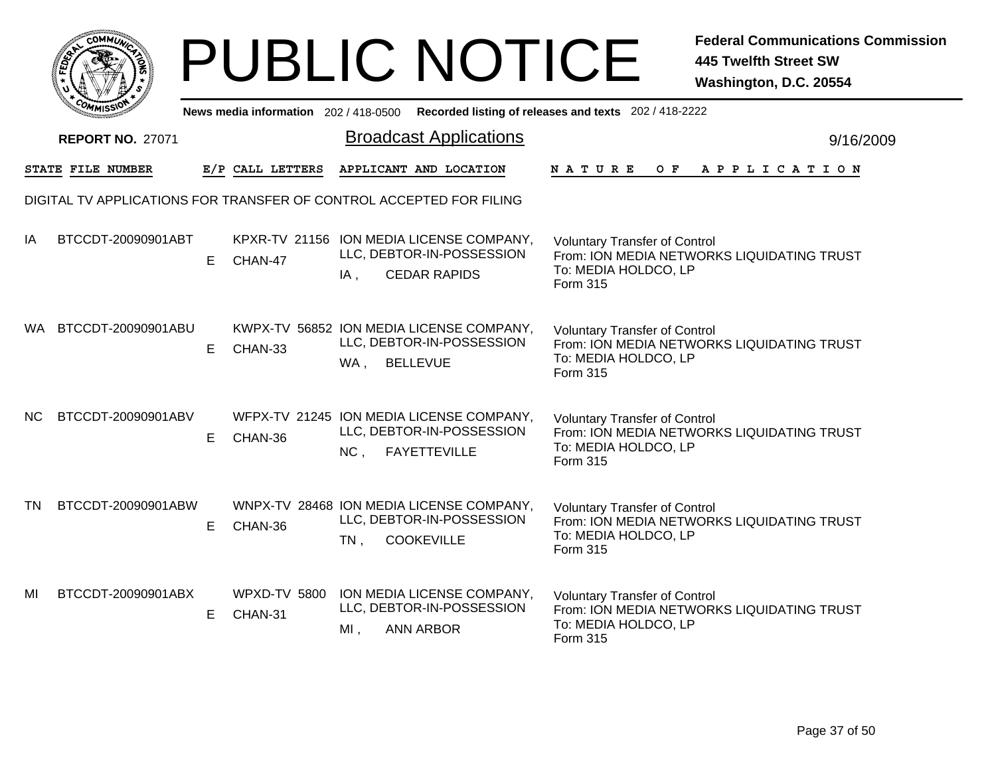|                 | <b>MMUNIC</b><br><b>CO</b> |    |
|-----------------|----------------------------|----|
| ສີ<br>÷         |                            | т. |
|                 |                            |    |
| <sub>ره</sub> . | MISS<br>M.                 |    |

|     | <b><i>COMMISSIO</i></b>                                             |    | News media information 202 / 418-0500 |        |                                                                                              | Recorded listing of releases and texts 202 / 418-2222                                                                         |           |
|-----|---------------------------------------------------------------------|----|---------------------------------------|--------|----------------------------------------------------------------------------------------------|-------------------------------------------------------------------------------------------------------------------------------|-----------|
|     | <b>REPORT NO. 27071</b>                                             |    |                                       |        | <b>Broadcast Applications</b>                                                                |                                                                                                                               | 9/16/2009 |
|     | STATE FILE NUMBER                                                   |    | E/P CALL LETTERS                      |        | APPLICANT AND LOCATION                                                                       | N A T U R E<br>OF APPLICATION                                                                                                 |           |
|     | DIGITAL TV APPLICATIONS FOR TRANSFER OF CONTROL ACCEPTED FOR FILING |    |                                       |        |                                                                                              |                                                                                                                               |           |
| IA  | BTCCDT-20090901ABT                                                  | E. | CHAN-47                               | $IA$ , | KPXR-TV 21156 ION MEDIA LICENSE COMPANY,<br>LLC, DEBTOR-IN-POSSESSION<br><b>CEDAR RAPIDS</b> | <b>Voluntary Transfer of Control</b><br>From: ION MEDIA NETWORKS LIQUIDATING TRUST<br>To: MEDIA HOLDCO, LP<br><b>Form 315</b> |           |
| WA. | BTCCDT-20090901ABU                                                  | E. | CHAN-33                               | WA,    | KWPX-TV 56852 ION MEDIA LICENSE COMPANY,<br>LLC, DEBTOR-IN-POSSESSION<br><b>BELLEVUE</b>     | <b>Voluntary Transfer of Control</b><br>From: ION MEDIA NETWORKS LIQUIDATING TRUST<br>To: MEDIA HOLDCO, LP<br>Form 315        |           |
| NC. | BTCCDT-20090901ABV                                                  | E. | CHAN-36                               | NC,    | WFPX-TV 21245 ION MEDIA LICENSE COMPANY,<br>LLC, DEBTOR-IN-POSSESSION<br><b>FAYETTEVILLE</b> | <b>Voluntary Transfer of Control</b><br>From: ION MEDIA NETWORKS LIQUIDATING TRUST<br>To: MEDIA HOLDCO, LP<br>Form 315        |           |
| TN. | BTCCDT-20090901ABW                                                  | E. | CHAN-36                               | $TN$ , | WNPX-TV 28468 ION MEDIA LICENSE COMPANY,<br>LLC, DEBTOR-IN-POSSESSION<br><b>COOKEVILLE</b>   | <b>Voluntary Transfer of Control</b><br>From: ION MEDIA NETWORKS LIQUIDATING TRUST<br>To: MEDIA HOLDCO, LP<br>Form 315        |           |
| MI  | BTCCDT-20090901ABX                                                  | E. | WPXD-TV 5800<br>CHAN-31               | $MI$ , | ION MEDIA LICENSE COMPANY,<br>LLC, DEBTOR-IN-POSSESSION<br><b>ANN ARBOR</b>                  | <b>Voluntary Transfer of Control</b><br>From: ION MEDIA NETWORKS LIQUIDATING TRUST<br>To: MEDIA HOLDCO, LP<br>Form 315        |           |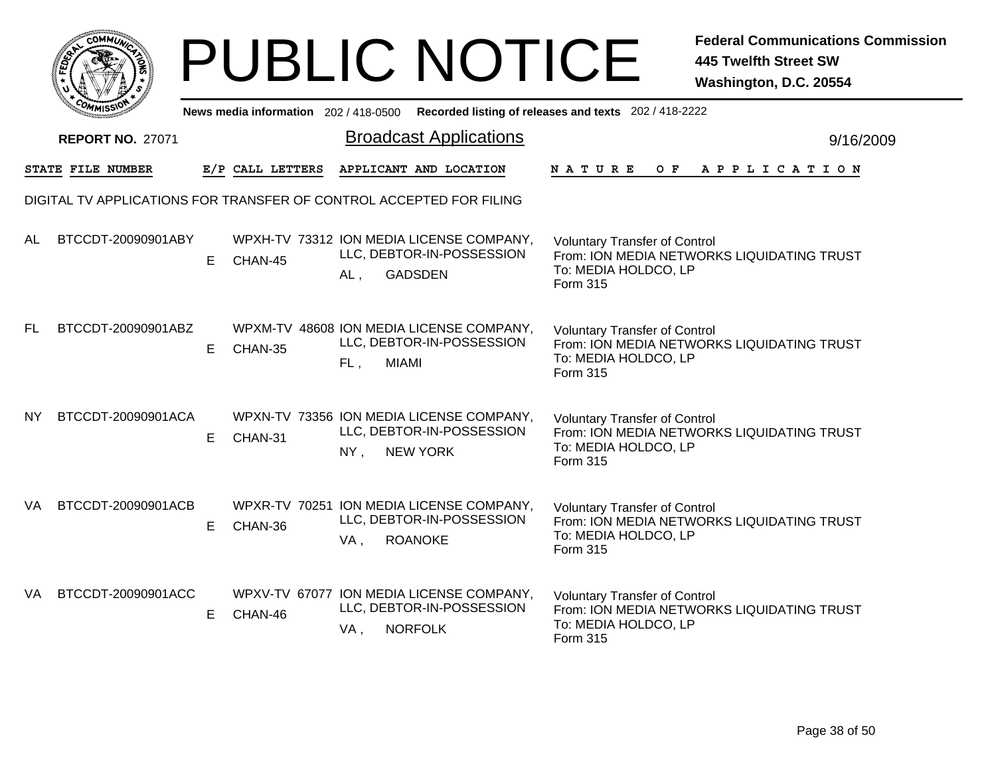|     |                          |    |                  | <b>PUBLIC NOTICE</b>                                                                               |                                                                          | <b>Federal Communications Commission</b><br><b>445 Twelfth Street SW</b><br>Washington, D.C. 20554 |
|-----|--------------------------|----|------------------|----------------------------------------------------------------------------------------------------|--------------------------------------------------------------------------|----------------------------------------------------------------------------------------------------|
|     |                          |    |                  | News media information 202 / 418-0500 Recorded listing of releases and texts 202 / 418-2222        |                                                                          |                                                                                                    |
|     | <b>REPORT NO. 27071</b>  |    |                  | <b>Broadcast Applications</b>                                                                      |                                                                          | 9/16/2009                                                                                          |
|     | <b>STATE FILE NUMBER</b> |    | E/P CALL LETTERS | APPLICANT AND LOCATION                                                                             | N A T U R E<br>O F                                                       | A P P L I C A T I O N                                                                              |
|     |                          |    |                  | DIGITAL TV APPLICATIONS FOR TRANSFER OF CONTROL ACCEPTED FOR FILING                                |                                                                          |                                                                                                    |
| AL  | BTCCDT-20090901ABY       | E. | CHAN-45          | WPXH-TV 73312 ION MEDIA LICENSE COMPANY,<br>LLC, DEBTOR-IN-POSSESSION<br><b>GADSDEN</b><br>AL,     | <b>Voluntary Transfer of Control</b><br>To: MEDIA HOLDCO, LP<br>Form 315 | From: ION MEDIA NETWORKS LIQUIDATING TRUST                                                         |
| FL. | BTCCDT-20090901ABZ       | E. | CHAN-35          | WPXM-TV 48608 ION MEDIA LICENSE COMPANY,<br>LLC, DEBTOR-IN-POSSESSION<br><b>MIAMI</b><br>FL.       | <b>Voluntary Transfer of Control</b><br>To: MEDIA HOLDCO, LP<br>Form 315 | From: ION MEDIA NETWORKS LIQUIDATING TRUST                                                         |
| NY. | BTCCDT-20090901ACA       | E. | CHAN-31          | WPXN-TV 73356 ION MEDIA LICENSE COMPANY,<br>LLC, DEBTOR-IN-POSSESSION<br><b>NEW YORK</b><br>$NY$ , | <b>Voluntary Transfer of Control</b><br>To: MEDIA HOLDCO, LP<br>Form 315 | From: ION MEDIA NETWORKS LIQUIDATING TRUST                                                         |
| VA. | BTCCDT-20090901ACB       | E. | CHAN-36          | WPXR-TV 70251 ION MEDIA LICENSE COMPANY,<br>LLC, DEBTOR-IN-POSSESSION<br><b>ROANOKE</b><br>VA,     | <b>Voluntary Transfer of Control</b><br>To: MEDIA HOLDCO, LP<br>Form 315 | From: ION MEDIA NETWORKS LIQUIDATING TRUST                                                         |
| VA  | BTCCDT-20090901ACC       | E. | CHAN-46          | WPXV-TV 67077 ION MEDIA LICENSE COMPANY,<br>LLC, DEBTOR-IN-POSSESSION<br><b>NORFOLK</b><br>VA,     | <b>Voluntary Transfer of Control</b><br>To: MEDIA HOLDCO, LP<br>Form 315 | From: ION MEDIA NETWORKS LIQUIDATING TRUST                                                         |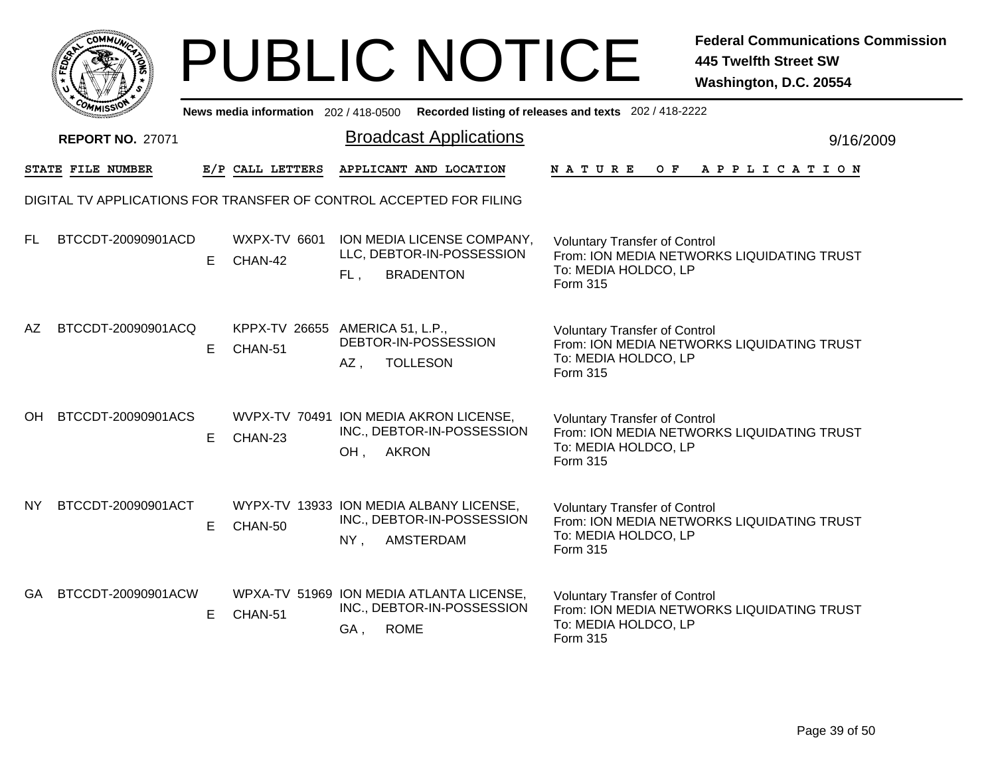|      | MMUNICT<br>$C_{\mathbf{U}}$ |  |
|------|-----------------------------|--|
| EDE) |                             |  |
|      |                             |  |
| COM  | MISS                        |  |

|           | <b><i>COMMISSIV</i></b>                                             |    | News media information 202 / 418-0500             |                     |                                                                                           | Recorded listing of releases and texts 202 / 418-2222                                                                  |           |
|-----------|---------------------------------------------------------------------|----|---------------------------------------------------|---------------------|-------------------------------------------------------------------------------------------|------------------------------------------------------------------------------------------------------------------------|-----------|
|           | <b>REPORT NO. 27071</b>                                             |    |                                                   |                     | <b>Broadcast Applications</b>                                                             |                                                                                                                        | 9/16/2009 |
|           | STATE FILE NUMBER                                                   |    | E/P CALL LETTERS                                  |                     | APPLICANT AND LOCATION                                                                    | N A T U R E<br>OF APPLICATION                                                                                          |           |
|           | DIGITAL TV APPLICATIONS FOR TRANSFER OF CONTROL ACCEPTED FOR FILING |    |                                                   |                     |                                                                                           |                                                                                                                        |           |
| FL        | BTCCDT-20090901ACD                                                  | E. | WXPX-TV 6601<br>CHAN-42                           | FL,                 | ION MEDIA LICENSE COMPANY,<br>LLC, DEBTOR-IN-POSSESSION<br><b>BRADENTON</b>               | <b>Voluntary Transfer of Control</b><br>From: ION MEDIA NETWORKS LIQUIDATING TRUST<br>To: MEDIA HOLDCO, LP<br>Form 315 |           |
| AZ.       | BTCCDT-20090901ACQ                                                  | E. | KPPX-TV 26655 AMERICA 51, L.P.,<br>CHAN-51        | AZ,                 | DEBTOR-IN-POSSESSION<br><b>TOLLESON</b>                                                   | <b>Voluntary Transfer of Control</b><br>From: ION MEDIA NETWORKS LIQUIDATING TRUST<br>To: MEDIA HOLDCO, LP<br>Form 315 |           |
| OН        | BTCCDT-20090901ACS                                                  | E. | WVPX-TV 70491 ION MEDIA AKRON LICENSE,<br>CHAN-23 | <b>AKRON</b><br>OH, | INC., DEBTOR-IN-POSSESSION                                                                | <b>Voluntary Transfer of Control</b><br>From: ION MEDIA NETWORKS LIQUIDATING TRUST<br>To: MEDIA HOLDCO, LP<br>Form 315 |           |
| <b>NY</b> | BTCCDT-20090901ACT                                                  | E. | CHAN-50                                           | $NY$ ,              | WYPX-TV 13933 ION MEDIA ALBANY LICENSE,<br>INC., DEBTOR-IN-POSSESSION<br><b>AMSTERDAM</b> | <b>Voluntary Transfer of Control</b><br>From: ION MEDIA NETWORKS LIQUIDATING TRUST<br>To: MEDIA HOLDCO, LP<br>Form 315 |           |
| <b>GA</b> | BTCCDT-20090901ACW                                                  | E. | CHAN-51                                           | GA, ROME            | WPXA-TV 51969 ION MEDIA ATLANTA LICENSE,<br>INC., DEBTOR-IN-POSSESSION                    | <b>Voluntary Transfer of Control</b><br>From: ION MEDIA NETWORKS LIQUIDATING TRUST<br>To: MEDIA HOLDCO, LP<br>Form 315 |           |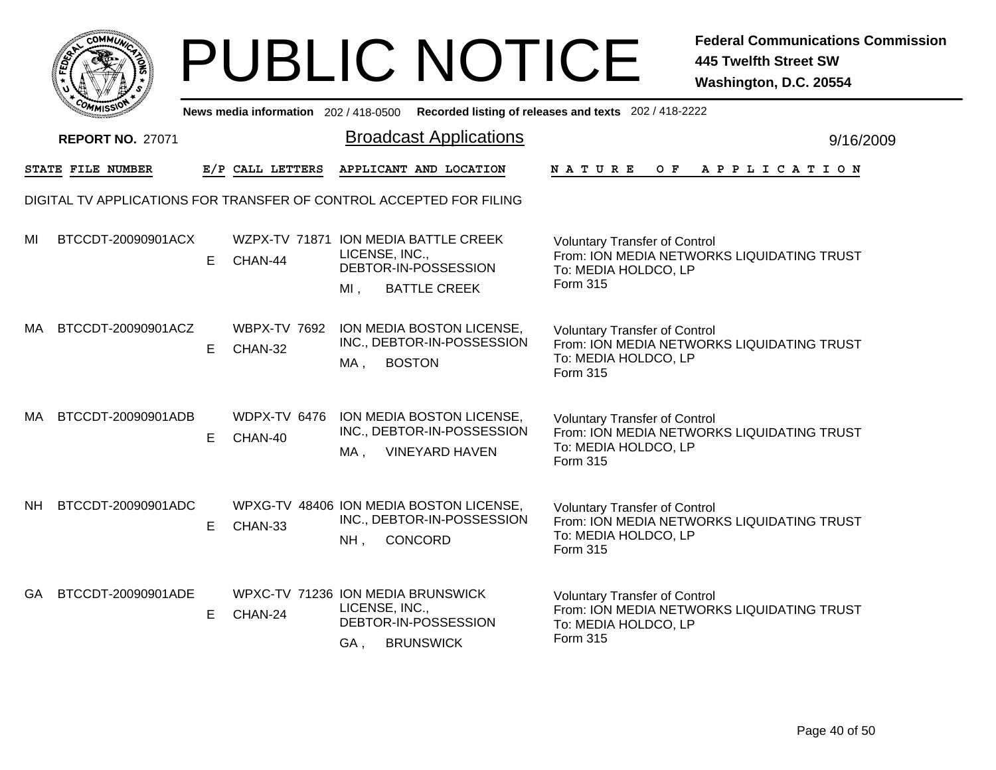|       |     | <b>MMUNA</b><br>c۵۱ |   |  |
|-------|-----|---------------------|---|--|
| FEDET |     |                     | ્ |  |
|       |     |                     |   |  |
|       | COM | MISS                |   |  |

|           | <b><i>OMMISSIO</i></b>                                              |    | News media information 202 / 418-0500           |                          |                                                                                  | Recorded listing of releases and texts 202 / 418-2222                                                                         |           |
|-----------|---------------------------------------------------------------------|----|-------------------------------------------------|--------------------------|----------------------------------------------------------------------------------|-------------------------------------------------------------------------------------------------------------------------------|-----------|
|           | <b>REPORT NO. 27071</b>                                             |    |                                                 |                          | <b>Broadcast Applications</b>                                                    |                                                                                                                               | 9/16/2009 |
|           | STATE FILE NUMBER                                                   |    | E/P CALL LETTERS                                |                          | APPLICANT AND LOCATION                                                           | OF APPLICATION<br>N A T U R E                                                                                                 |           |
|           | DIGITAL TV APPLICATIONS FOR TRANSFER OF CONTROL ACCEPTED FOR FILING |    |                                                 |                          |                                                                                  |                                                                                                                               |           |
| MI        | BTCCDT-20090901ACX                                                  | E. | WZPX-TV 71871 ION MEDIA BATTLE CREEK<br>CHAN-44 | LICENSE, INC.,<br>$MI$ , | DEBTOR-IN-POSSESSION<br><b>BATTLE CREEK</b>                                      | <b>Voluntary Transfer of Control</b><br>From: ION MEDIA NETWORKS LIQUIDATING TRUST<br>To: MEDIA HOLDCO, LP<br><b>Form 315</b> |           |
| MA        | BTCCDT-20090901ACZ                                                  | E. | <b>WBPX-TV 7692</b><br>CHAN-32                  | MA.                      | ION MEDIA BOSTON LICENSE,<br>INC., DEBTOR-IN-POSSESSION<br><b>BOSTON</b>         | <b>Voluntary Transfer of Control</b><br>From: ION MEDIA NETWORKS LIQUIDATING TRUST<br>To: MEDIA HOLDCO, LP<br><b>Form 315</b> |           |
| MA        | BTCCDT-20090901ADB                                                  | E. | WDPX-TV 6476<br>CHAN-40                         | MA,                      | ION MEDIA BOSTON LICENSE,<br>INC., DEBTOR-IN-POSSESSION<br><b>VINEYARD HAVEN</b> | <b>Voluntary Transfer of Control</b><br>From: ION MEDIA NETWORKS LIQUIDATING TRUST<br>To: MEDIA HOLDCO, LP<br><b>Form 315</b> |           |
| <b>NH</b> | BTCCDT-20090901ADC                                                  | E  | CHAN-33                                         | NH <sub>1</sub>          | WPXG-TV 48406 ION MEDIA BOSTON LICENSE,<br>INC., DEBTOR-IN-POSSESSION<br>CONCORD | <b>Voluntary Transfer of Control</b><br>From: ION MEDIA NETWORKS LIQUIDATING TRUST<br>To: MEDIA HOLDCO, LP<br><b>Form 315</b> |           |
| <b>GA</b> | BTCCDT-20090901ADE                                                  | E  | WPXC-TV 71236 ION MEDIA BRUNSWICK<br>CHAN-24    | LICENSE, INC.,<br>GA,    | DEBTOR-IN-POSSESSION<br><b>BRUNSWICK</b>                                         | <b>Voluntary Transfer of Control</b><br>From: ION MEDIA NETWORKS LIQUIDATING TRUST<br>To: MEDIA HOLDCO, LP<br><b>Form 315</b> |           |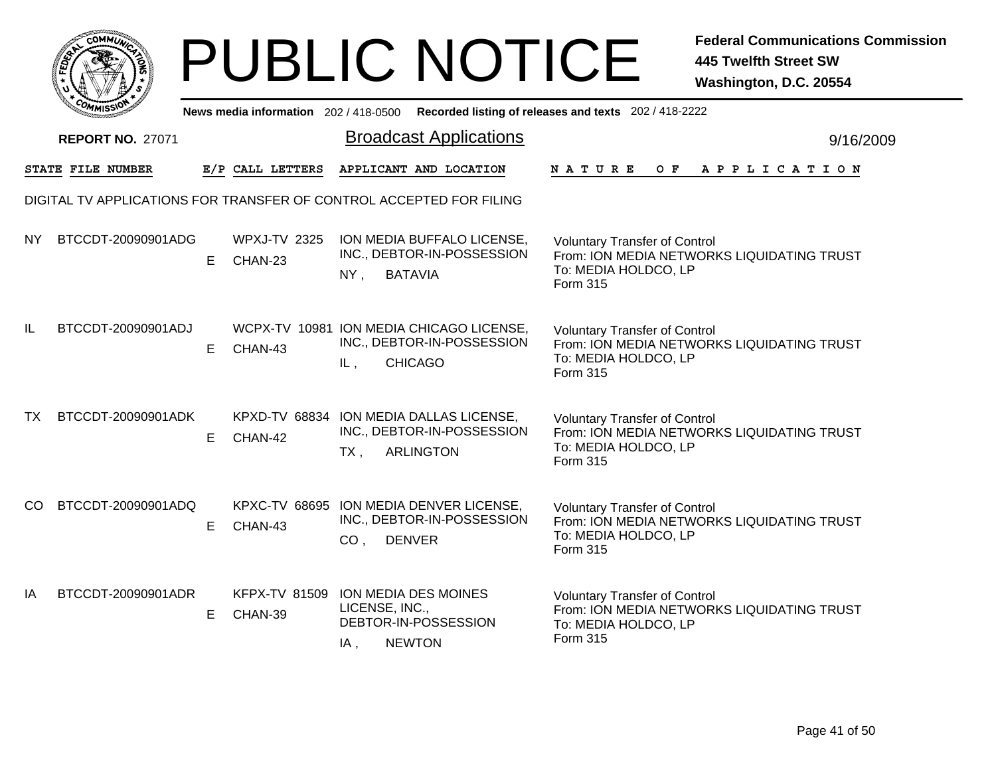|     | <b>MMUNT</b><br>$c_{\mathbf{O}}$ |   |
|-----|----------------------------------|---|
| ឆ្ន |                                  | ≎ |
|     |                                  |   |
|     | COM<br>MISS                      |   |

|               | <b><i>CMMISSIO</i></b>                                              |    |                                               |                                  |                                                                                           | News media information 202 / 418-0500 Recorded listing of releases and texts 202 / 418-2222                            |           |
|---------------|---------------------------------------------------------------------|----|-----------------------------------------------|----------------------------------|-------------------------------------------------------------------------------------------|------------------------------------------------------------------------------------------------------------------------|-----------|
|               | <b>REPORT NO. 27071</b>                                             |    |                                               |                                  | <b>Broadcast Applications</b>                                                             |                                                                                                                        | 9/16/2009 |
|               | STATE FILE NUMBER                                                   |    | E/P CALL LETTERS                              |                                  | APPLICANT AND LOCATION                                                                    | NATURE<br>$O$ $F$<br>A P P L I C A T I O N                                                                             |           |
|               | DIGITAL TV APPLICATIONS FOR TRANSFER OF CONTROL ACCEPTED FOR FILING |    |                                               |                                  |                                                                                           |                                                                                                                        |           |
| NY.           | BTCCDT-20090901ADG                                                  | E. | <b>WPXJ-TV 2325</b><br>CHAN-23                | <b>BATAVIA</b><br>NY,            | ION MEDIA BUFFALO LICENSE,<br>INC., DEBTOR-IN-POSSESSION                                  | <b>Voluntary Transfer of Control</b><br>From: ION MEDIA NETWORKS LIQUIDATING TRUST<br>To: MEDIA HOLDCO, LP<br>Form 315 |           |
| IL            | BTCCDT-20090901ADJ                                                  | E. | CHAN-43                                       | IL,                              | WCPX-TV 10981 ION MEDIA CHICAGO LICENSE,<br>INC., DEBTOR-IN-POSSESSION<br><b>CHICAGO</b>  | <b>Voluntary Transfer of Control</b><br>From: ION MEDIA NETWORKS LIQUIDATING TRUST<br>To: MEDIA HOLDCO, LP<br>Form 315 |           |
| <b>TX</b>     | BTCCDT-20090901ADK                                                  | E. | CHAN-42                                       | TX,                              | KPXD-TV 68834 ION MEDIA DALLAS LICENSE,<br>INC., DEBTOR-IN-POSSESSION<br><b>ARLINGTON</b> | <b>Voluntary Transfer of Control</b><br>From: ION MEDIA NETWORKS LIQUIDATING TRUST<br>To: MEDIA HOLDCO, LP<br>Form 315 |           |
| <sub>CO</sub> | BTCCDT-20090901ADQ                                                  | E. | CHAN-43                                       | <b>DENVER</b><br>CO <sub>1</sub> | KPXC-TV 68695 ION MEDIA DENVER LICENSE,<br>INC., DEBTOR-IN-POSSESSION                     | <b>Voluntary Transfer of Control</b><br>From: ION MEDIA NETWORKS LIQUIDATING TRUST<br>To: MEDIA HOLDCO, LP<br>Form 315 |           |
| ΙA            | BTCCDT-20090901ADR                                                  | E. | KFPX-TV 81509 ION MEDIA DES MOINES<br>CHAN-39 | LICENSE, INC.,<br>IA,            | DEBTOR-IN-POSSESSION<br><b>NEWTON</b>                                                     | <b>Voluntary Transfer of Control</b><br>From: ION MEDIA NETWORKS LIQUIDATING TRUST<br>To: MEDIA HOLDCO, LP<br>Form 315 |           |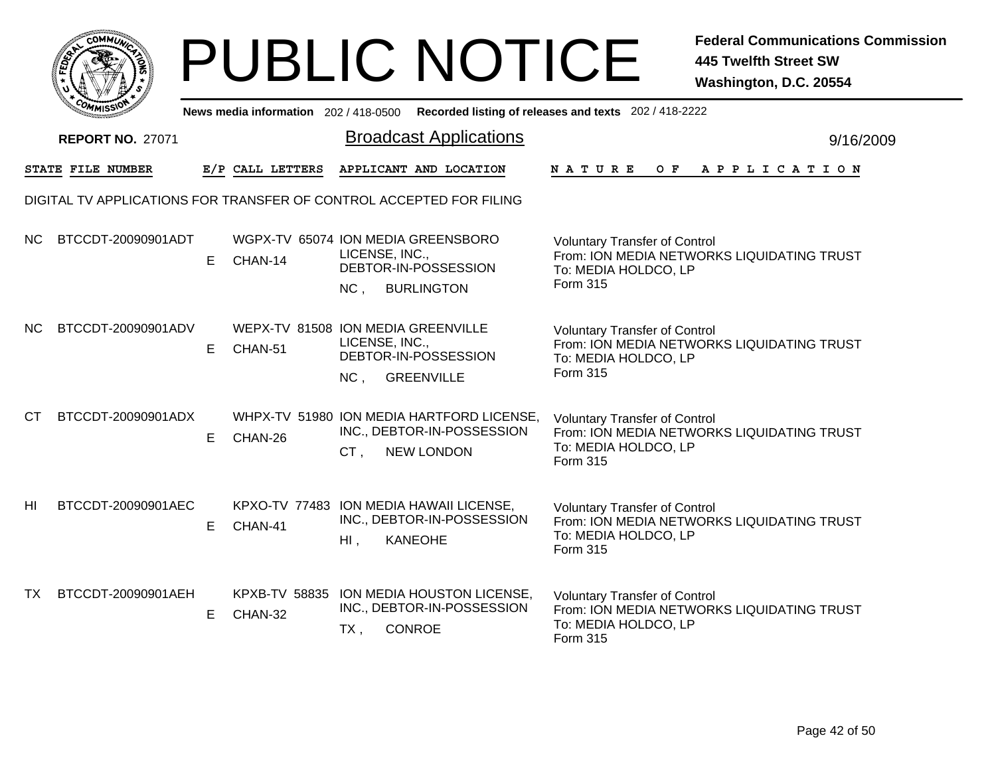|        | MMUNICT<br><b>CO</b> |  |
|--------|----------------------|--|
| Ë<br>m |                      |  |
|        |                      |  |
| COMI   | MISS                 |  |

|           | <b>COMMISSION</b>                                                   |    | News media information 202/418-0500           |                       |                                                                                              | Recorded listing of releases and texts 202 / 418-2222                                                                         |           |
|-----------|---------------------------------------------------------------------|----|-----------------------------------------------|-----------------------|----------------------------------------------------------------------------------------------|-------------------------------------------------------------------------------------------------------------------------------|-----------|
|           | <b>REPORT NO. 27071</b>                                             |    |                                               |                       | <b>Broadcast Applications</b>                                                                |                                                                                                                               | 9/16/2009 |
|           | STATE FILE NUMBER                                                   |    | E/P CALL LETTERS                              |                       | APPLICANT AND LOCATION                                                                       | N A T U R E<br>OF APPLICATION                                                                                                 |           |
|           | DIGITAL TV APPLICATIONS FOR TRANSFER OF CONTROL ACCEPTED FOR FILING |    |                                               |                       |                                                                                              |                                                                                                                               |           |
| NC.       | BTCCDT-20090901ADT                                                  | E. | WGPX-TV 65074 ION MEDIA GREENSBORO<br>CHAN-14 | LICENSE, INC.,<br>NC, | DEBTOR-IN-POSSESSION<br><b>BURLINGTON</b>                                                    | <b>Voluntary Transfer of Control</b><br>From: ION MEDIA NETWORKS LIQUIDATING TRUST<br>To: MEDIA HOLDCO, LP<br><b>Form 315</b> |           |
| NC.       | BTCCDT-20090901ADV                                                  | E  | WEPX-TV 81508 ION MEDIA GREENVILLE<br>CHAN-51 | LICENSE, INC.,<br>NC, | DEBTOR-IN-POSSESSION<br><b>GREENVILLE</b>                                                    | <b>Voluntary Transfer of Control</b><br>From: ION MEDIA NETWORKS LIQUIDATING TRUST<br>To: MEDIA HOLDCO, LP<br>Form 315        |           |
| CT.       | BTCCDT-20090901ADX                                                  | E. | CHAN-26                                       | CT,                   | WHPX-TV 51980 ION MEDIA HARTFORD LICENSE,<br>INC., DEBTOR-IN-POSSESSION<br><b>NEW LONDON</b> | <b>Voluntary Transfer of Control</b><br>From: ION MEDIA NETWORKS LIQUIDATING TRUST<br>To: MEDIA HOLDCO, LP<br>Form 315        |           |
| HI        | BTCCDT-20090901AEC                                                  | E. | CHAN-41                                       | HI,                   | KPXO-TV 77483 ION MEDIA HAWAII LICENSE,<br>INC., DEBTOR-IN-POSSESSION<br><b>KANEOHE</b>      | <b>Voluntary Transfer of Control</b><br>From: ION MEDIA NETWORKS LIQUIDATING TRUST<br>To: MEDIA HOLDCO, LP<br>Form 315        |           |
| <b>TX</b> | BTCCDT-20090901AEH                                                  | E. | <b>KPXB-TV 58835</b><br>CHAN-32               | $TX$ ,                | ION MEDIA HOUSTON LICENSE,<br>INC., DEBTOR-IN-POSSESSION<br><b>CONROE</b>                    | <b>Voluntary Transfer of Control</b><br>From: ION MEDIA NETWORKS LIQUIDATING TRUST<br>To: MEDIA HOLDCO, LP<br>Form 315        |           |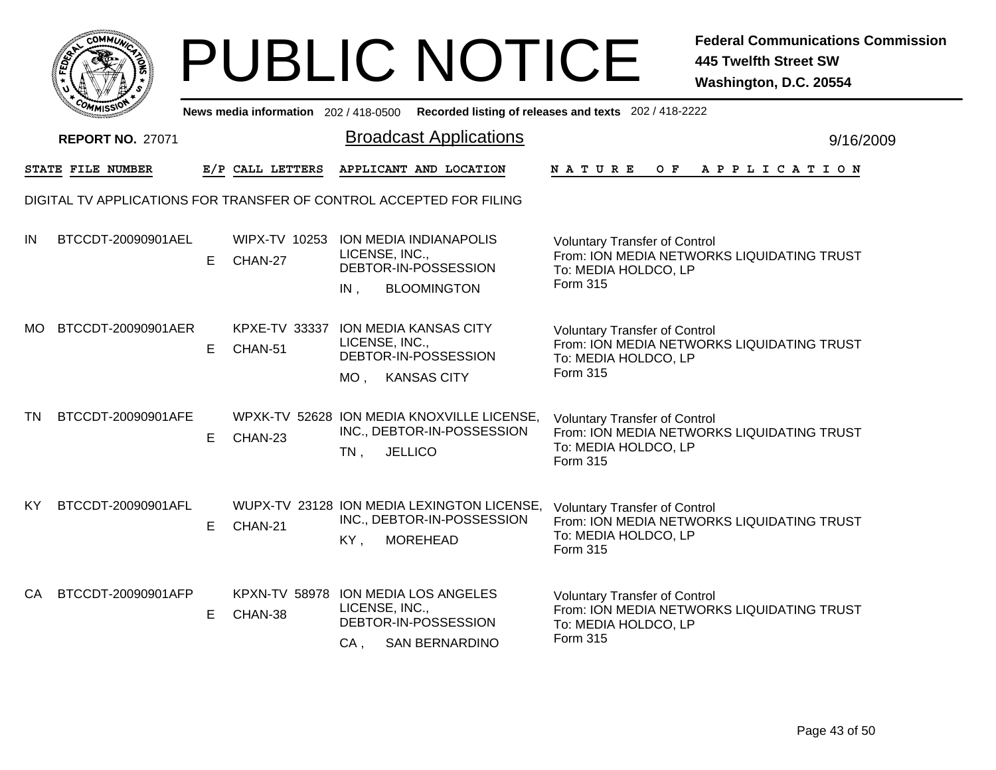|       | MMUNICT<br>c۵۱ |  |
|-------|----------------|--|
| FEDET |                |  |
|       |                |  |
|       | COMI<br>MISS   |  |

|           | יככוואויי                                                           |   |                                 |                       |                                                                                             | News media information 202/418-0500 Recorded listing of releases and texts 202/418-2222                                |           |
|-----------|---------------------------------------------------------------------|---|---------------------------------|-----------------------|---------------------------------------------------------------------------------------------|------------------------------------------------------------------------------------------------------------------------|-----------|
|           | <b>REPORT NO. 27071</b>                                             |   |                                 |                       | <b>Broadcast Applications</b>                                                               |                                                                                                                        | 9/16/2009 |
|           | STATE FILE NUMBER                                                   |   | E/P CALL LETTERS                |                       | APPLICANT AND LOCATION                                                                      | N A T U R E<br>O F<br>A P P L I C A T I O N                                                                            |           |
|           | DIGITAL TV APPLICATIONS FOR TRANSFER OF CONTROL ACCEPTED FOR FILING |   |                                 |                       |                                                                                             |                                                                                                                        |           |
| IN        | BTCCDT-20090901AEL                                                  | E | WIPX-TV 10253<br>CHAN-27        | LICENSE, INC.,<br>IN, | <b>ION MEDIA INDIANAPOLIS</b><br>DEBTOR-IN-POSSESSION<br><b>BLOOMINGTON</b>                 | <b>Voluntary Transfer of Control</b><br>From: ION MEDIA NETWORKS LIQUIDATING TRUST<br>To: MEDIA HOLDCO, LP<br>Form 315 |           |
| МO        | BTCCDT-20090901AER                                                  | E | KPXE-TV 33337<br>CHAN-51        | LICENSE, INC.,<br>MO. | <b>ION MEDIA KANSAS CITY</b><br>DEBTOR-IN-POSSESSION<br><b>KANSAS CITY</b>                  | <b>Voluntary Transfer of Control</b><br>From: ION MEDIA NETWORKS LIQUIDATING TRUST<br>To: MEDIA HOLDCO, LP<br>Form 315 |           |
| TN        | BTCCDT-20090901AFE                                                  | E | CHAN-23                         | $TN$ ,                | WPXK-TV 52628 ION MEDIA KNOXVILLE LICENSE,<br>INC., DEBTOR-IN-POSSESSION<br><b>JELLICO</b>  | <b>Voluntary Transfer of Control</b><br>From: ION MEDIA NETWORKS LIQUIDATING TRUST<br>To: MEDIA HOLDCO, LP<br>Form 315 |           |
| <b>KY</b> | BTCCDT-20090901AFL                                                  | E | CHAN-21                         | KY,                   | WUPX-TV 23128 ION MEDIA LEXINGTON LICENSE,<br>INC., DEBTOR-IN-POSSESSION<br><b>MOREHEAD</b> | <b>Voluntary Transfer of Control</b><br>From: ION MEDIA NETWORKS LIQUIDATING TRUST<br>To: MEDIA HOLDCO, LP<br>Form 315 |           |
| CA        | BTCCDT-20090901AFP                                                  | Е | <b>KPXN-TV 58978</b><br>CHAN-38 | LICENSE, INC.,<br>CA, | ION MEDIA LOS ANGELES<br>DEBTOR-IN-POSSESSION<br><b>SAN BERNARDINO</b>                      | <b>Voluntary Transfer of Control</b><br>From: ION MEDIA NETWORKS LIQUIDATING TRUST<br>To: MEDIA HOLDCO, LP<br>Form 315 |           |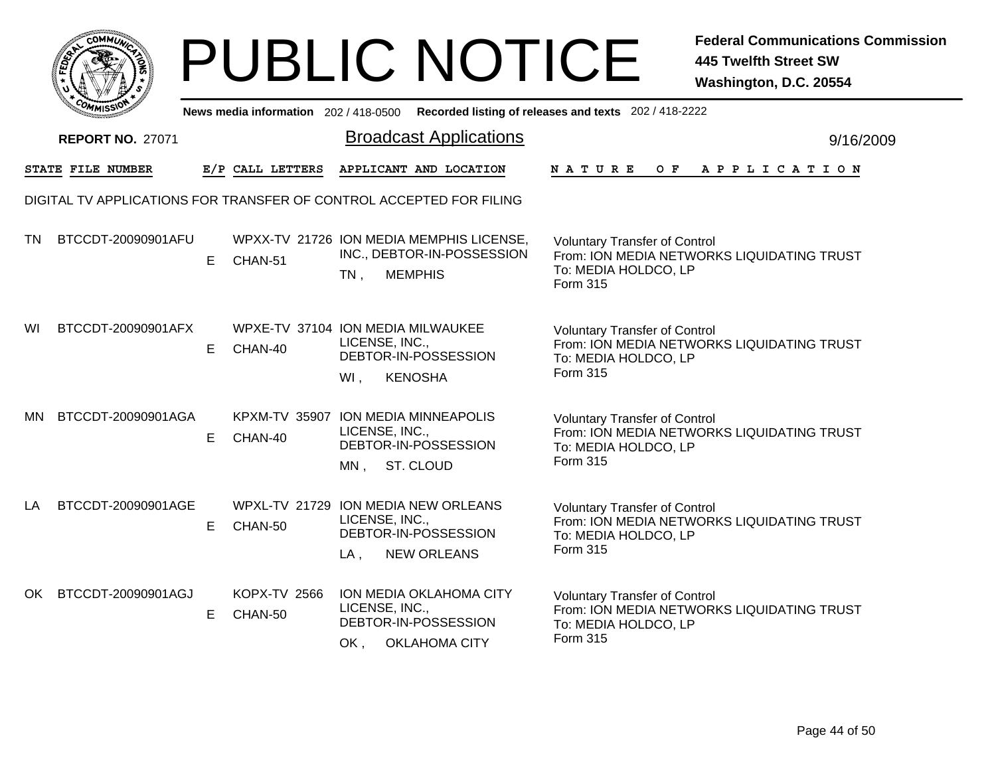|           | <b>COMMUNT</b> |   |
|-----------|----------------|---|
| చ్లే<br>c |                | ્ |
|           |                |   |
|           | COM<br>MISS    |   |

|           | COMMISSIO               |    | News media information 202 / 418-0500 |                                                                                                               | Recorded listing of releases and texts 202 / 418-2222                                                                  |           |
|-----------|-------------------------|----|---------------------------------------|---------------------------------------------------------------------------------------------------------------|------------------------------------------------------------------------------------------------------------------------|-----------|
|           | <b>REPORT NO. 27071</b> |    |                                       | <b>Broadcast Applications</b>                                                                                 |                                                                                                                        | 9/16/2009 |
|           | STATE FILE NUMBER       |    | E/P CALL LETTERS                      | APPLICANT AND LOCATION                                                                                        | <b>NATURE</b><br>OF APPLICATION                                                                                        |           |
|           |                         |    |                                       | DIGITAL TV APPLICATIONS FOR TRANSFER OF CONTROL ACCEPTED FOR FILING                                           |                                                                                                                        |           |
| <b>TN</b> | BTCCDT-20090901AFU      | E. | CHAN-51                               | WPXX-TV 21726 ION MEDIA MEMPHIS LICENSE,<br>INC., DEBTOR-IN-POSSESSION<br><b>MEMPHIS</b><br>$TN$ ,            | <b>Voluntary Transfer of Control</b><br>From: ION MEDIA NETWORKS LIQUIDATING TRUST<br>To: MEDIA HOLDCO, LP<br>Form 315 |           |
| WI        | BTCCDT-20090901AFX      | Е  | CHAN-40                               | WPXE-TV 37104 ION MEDIA MILWAUKEE<br>LICENSE, INC.,<br>DEBTOR-IN-POSSESSION<br><b>KENOSHA</b><br>WI,          | <b>Voluntary Transfer of Control</b><br>From: ION MEDIA NETWORKS LIQUIDATING TRUST<br>To: MEDIA HOLDCO, LP<br>Form 315 |           |
| MN.       | BTCCDT-20090901AGA      | Е  | CHAN-40                               | KPXM-TV 35907 ION MEDIA MINNEAPOLIS<br>LICENSE, INC.,<br>DEBTOR-IN-POSSESSION<br>MN, ST. CLOUD                | <b>Voluntary Transfer of Control</b><br>From: ION MEDIA NETWORKS LIQUIDATING TRUST<br>To: MEDIA HOLDCO, LP<br>Form 315 |           |
| LA        | BTCCDT-20090901AGE      | Е  | CHAN-50                               | WPXL-TV 21729 ION MEDIA NEW ORLEANS<br>LICENSE, INC.,<br>DEBTOR-IN-POSSESSION<br>$LA$ ,<br><b>NEW ORLEANS</b> | <b>Voluntary Transfer of Control</b><br>From: ION MEDIA NETWORKS LIQUIDATING TRUST<br>To: MEDIA HOLDCO, LP<br>Form 315 |           |
| OK        | BTCCDT-20090901AGJ      | E. | <b>KOPX-TV 2566</b><br>CHAN-50        | ION MEDIA OKLAHOMA CITY<br>LICENSE, INC.,<br>DEBTOR-IN-POSSESSION<br><b>OKLAHOMA CITY</b><br>OK,              | <b>Voluntary Transfer of Control</b><br>From: ION MEDIA NETWORKS LIQUIDATING TRUST<br>To: MEDIA HOLDCO, LP<br>Form 315 |           |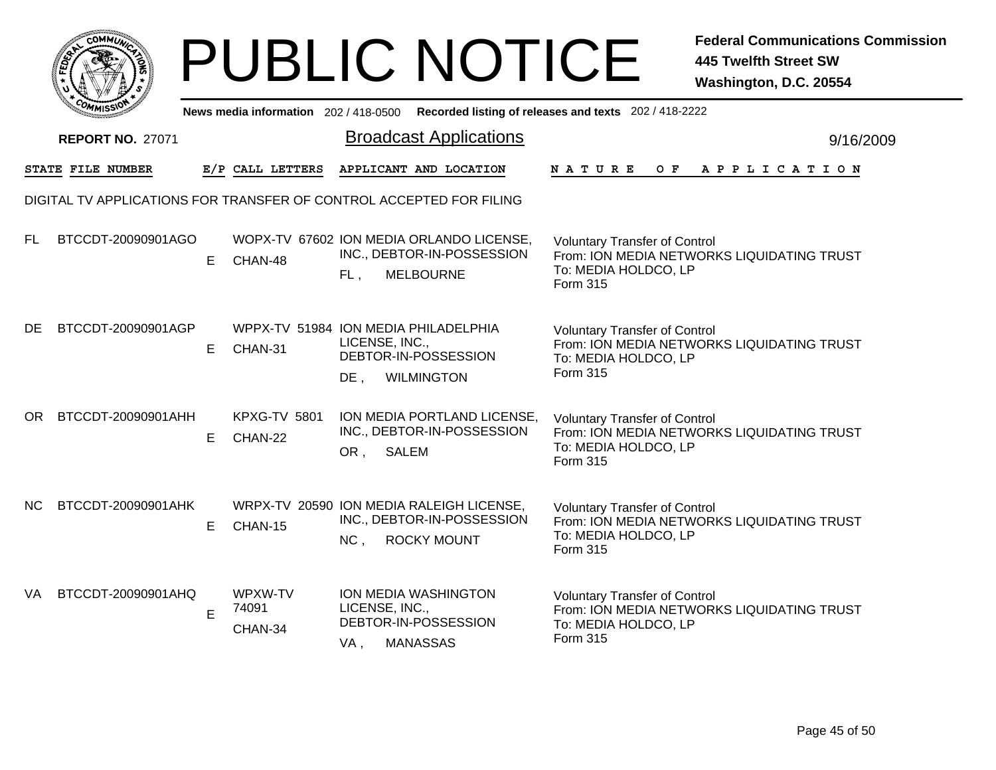|      | <b>COMMUNT</b>               |   |
|------|------------------------------|---|
| ឆ្នំ |                              | ્ |
|      |                              |   |
|      | c <sub>o/</sub><br>MISS<br>M |   |

|           | COMMISSION                                                          |    | News media information 202 / 418-0500 |                          |                                                                                              | Recorded listing of releases and texts 202 / 418-2222                                                                         |           |
|-----------|---------------------------------------------------------------------|----|---------------------------------------|--------------------------|----------------------------------------------------------------------------------------------|-------------------------------------------------------------------------------------------------------------------------------|-----------|
|           | <b>REPORT NO. 27071</b>                                             |    |                                       |                          | <b>Broadcast Applications</b>                                                                |                                                                                                                               | 9/16/2009 |
|           | STATE FILE NUMBER                                                   |    | E/P CALL LETTERS                      |                          | APPLICANT AND LOCATION                                                                       | <b>NATURE</b><br>OF APPLICATION                                                                                               |           |
|           | DIGITAL TV APPLICATIONS FOR TRANSFER OF CONTROL ACCEPTED FOR FILING |    |                                       |                          |                                                                                              |                                                                                                                               |           |
| <b>FL</b> | BTCCDT-20090901AGO                                                  | E. | CHAN-48                               | FL,                      | WOPX-TV 67602 ION MEDIA ORLANDO LICENSE,<br>INC., DEBTOR-IN-POSSESSION<br><b>MELBOURNE</b>   | <b>Voluntary Transfer of Control</b><br>From: ION MEDIA NETWORKS LIQUIDATING TRUST<br>To: MEDIA HOLDCO, LP<br><b>Form 315</b> |           |
| <b>DE</b> | BTCCDT-20090901AGP                                                  | E. | CHAN-31                               | LICENSE, INC.,<br>$DE$ , | WPPX-TV 51984 ION MEDIA PHILADELPHIA<br>DEBTOR-IN-POSSESSION<br><b>WILMINGTON</b>            | <b>Voluntary Transfer of Control</b><br>From: ION MEDIA NETWORKS LIQUIDATING TRUST<br>To: MEDIA HOLDCO, LP<br>Form 315        |           |
| OR.       | BTCCDT-20090901AHH                                                  | E. | <b>KPXG-TV 5801</b><br>CHAN-22        | OR ,                     | ION MEDIA PORTLAND LICENSE,<br>INC., DEBTOR-IN-POSSESSION<br>SALEM                           | <b>Voluntary Transfer of Control</b><br>From: ION MEDIA NETWORKS LIQUIDATING TRUST<br>To: MEDIA HOLDCO, LP<br>Form 315        |           |
| <b>NC</b> | BTCCDT-20090901AHK                                                  | E. | CHAN-15                               | NC,                      | WRPX-TV 20590 ION MEDIA RALEIGH LICENSE,<br>INC., DEBTOR-IN-POSSESSION<br><b>ROCKY MOUNT</b> | <b>Voluntary Transfer of Control</b><br>From: ION MEDIA NETWORKS LIQUIDATING TRUST<br>To: MEDIA HOLDCO, LP<br><b>Form 315</b> |           |
| VA        | BTCCDT-20090901AHQ                                                  | E  | WPXW-TV<br>74091<br>CHAN-34           | LICENSE, INC.,<br>VA,    | ION MEDIA WASHINGTON<br>DEBTOR-IN-POSSESSION<br><b>MANASSAS</b>                              | <b>Voluntary Transfer of Control</b><br>From: ION MEDIA NETWORKS LIQUIDATING TRUST<br>To: MEDIA HOLDCO, LP<br><b>Form 315</b> |           |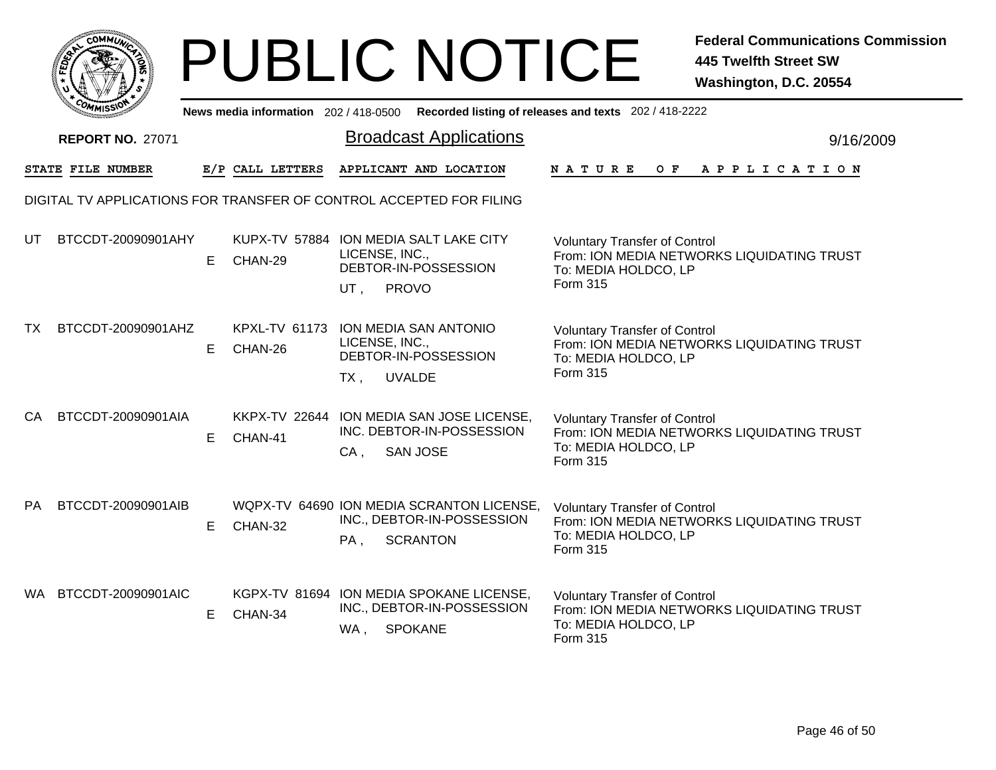|              | MMUNICT<br><b>CO</b> |  |
|--------------|----------------------|--|
| <b>FEDET</b> |                      |  |
|              |                      |  |
|              | COMI<br>MISS         |  |

|           | <b>COMMISSION</b>                                                   |    | News media information 202 / 418-0500          |                       |                                                                                            | Recorded listing of releases and texts 202 / 418-2222                                                                         |           |
|-----------|---------------------------------------------------------------------|----|------------------------------------------------|-----------------------|--------------------------------------------------------------------------------------------|-------------------------------------------------------------------------------------------------------------------------------|-----------|
|           | <b>REPORT NO. 27071</b>                                             |    |                                                |                       | <b>Broadcast Applications</b>                                                              |                                                                                                                               | 9/16/2009 |
|           | STATE FILE NUMBER                                                   |    | E/P CALL LETTERS                               |                       | APPLICANT AND LOCATION                                                                     | <b>NATURE</b><br>OF APPLICATION                                                                                               |           |
|           | DIGITAL TV APPLICATIONS FOR TRANSFER OF CONTROL ACCEPTED FOR FILING |    |                                                |                       |                                                                                            |                                                                                                                               |           |
| UT        | BTCCDT-20090901AHY                                                  | E. | CHAN-29                                        | LICENSE, INC.,<br>UT, | KUPX-TV 57884 ION MEDIA SALT LAKE CITY<br>DEBTOR-IN-POSSESSION<br>PROVO                    | <b>Voluntary Transfer of Control</b><br>From: ION MEDIA NETWORKS LIQUIDATING TRUST<br>To: MEDIA HOLDCO, LP<br>Form 315        |           |
| TX        | BTCCDT-20090901AHZ                                                  | Е  | KPXL-TV 61173 ION MEDIA SAN ANTONIO<br>CHAN-26 | LICENSE, INC.,<br>TX, | DEBTOR-IN-POSSESSION<br><b>UVALDE</b>                                                      | <b>Voluntary Transfer of Control</b><br>From: ION MEDIA NETWORKS LIQUIDATING TRUST<br>To: MEDIA HOLDCO, LP<br>Form 315        |           |
| CA        | BTCCDT-20090901AIA                                                  | E  | CHAN-41                                        | $CA$ ,                | KKPX-TV 22644 ION MEDIA SAN JOSE LICENSE,<br>INC. DEBTOR-IN-POSSESSION<br><b>SAN JOSE</b>  | <b>Voluntary Transfer of Control</b><br>From: ION MEDIA NETWORKS LIQUIDATING TRUST<br>To: MEDIA HOLDCO, LP<br>Form 315        |           |
| <b>PA</b> | BTCCDT-20090901AIB                                                  | Е  | CHAN-32                                        | PA,                   | WQPX-TV 64690 ION MEDIA SCRANTON LICENSE,<br>INC., DEBTOR-IN-POSSESSION<br><b>SCRANTON</b> | <b>Voluntary Transfer of Control</b><br>From: ION MEDIA NETWORKS LIQUIDATING TRUST<br>To: MEDIA HOLDCO, LP<br><b>Form 315</b> |           |
| WA.       | BTCCDT-20090901AIC                                                  | Е  | CHAN-34                                        | WA,                   | KGPX-TV 81694 ION MEDIA SPOKANE LICENSE,<br>INC., DEBTOR-IN-POSSESSION<br><b>SPOKANE</b>   | <b>Voluntary Transfer of Control</b><br>From: ION MEDIA NETWORKS LIQUIDATING TRUST<br>To: MEDIA HOLDCO, LP<br>Form 315        |           |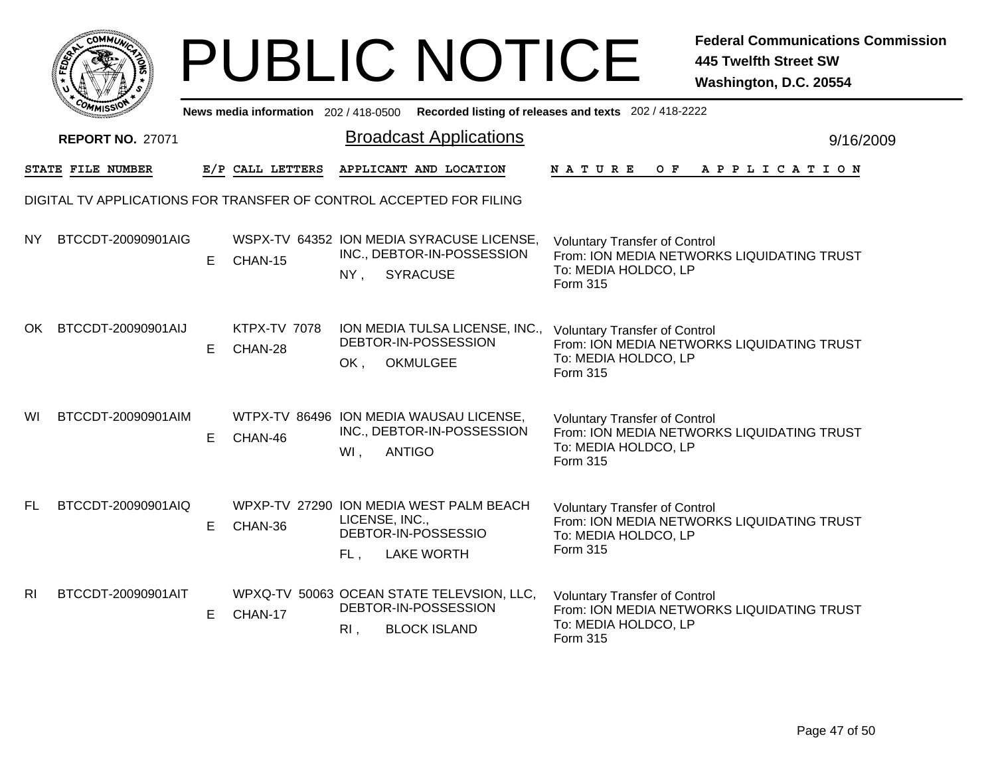|                |                                                                     |    |                                       |                          | <b>PUBLIC NOTICE</b>                                                                       |                                                                          | <b>Federal Communications Commission</b><br><b>445 Twelfth Street SW</b><br>Washington, D.C. 20554 |
|----------------|---------------------------------------------------------------------|----|---------------------------------------|--------------------------|--------------------------------------------------------------------------------------------|--------------------------------------------------------------------------|----------------------------------------------------------------------------------------------------|
|                |                                                                     |    | News media information 202 / 418-0500 |                          |                                                                                            | Recorded listing of releases and texts 202 / 418-2222                    |                                                                                                    |
|                | <b>REPORT NO. 27071</b>                                             |    |                                       |                          | <b>Broadcast Applications</b>                                                              |                                                                          | 9/16/2009                                                                                          |
|                | <b>STATE FILE NUMBER</b>                                            |    | E/P CALL LETTERS                      |                          | APPLICANT AND LOCATION                                                                     | N A T U R E<br>O F                                                       | A P P L I C A T I O N                                                                              |
|                | DIGITAL TV APPLICATIONS FOR TRANSFER OF CONTROL ACCEPTED FOR FILING |    |                                       |                          |                                                                                            |                                                                          |                                                                                                    |
| NY.            | BTCCDT-20090901AIG                                                  | E. | CHAN-15                               | $NY$ ,                   | WSPX-TV 64352 ION MEDIA SYRACUSE LICENSE,<br>INC., DEBTOR-IN-POSSESSION<br><b>SYRACUSE</b> | <b>Voluntary Transfer of Control</b><br>To: MEDIA HOLDCO, LP<br>Form 315 | From: ION MEDIA NETWORKS LIQUIDATING TRUST                                                         |
| OK.            | BTCCDT-20090901AIJ                                                  | E. | <b>KTPX-TV 7078</b><br>CHAN-28        | OK.                      | ION MEDIA TULSA LICENSE, INC.,<br>DEBTOR-IN-POSSESSION<br><b>OKMULGEE</b>                  | <b>Voluntary Transfer of Control</b><br>To: MEDIA HOLDCO, LP<br>Form 315 | From: ION MEDIA NETWORKS LIQUIDATING TRUST                                                         |
| WI             | BTCCDT-20090901AIM                                                  | E. | CHAN-46                               | $WI$ ,                   | WTPX-TV 86496 ION MEDIA WAUSAU LICENSE,<br>INC., DEBTOR-IN-POSSESSION<br><b>ANTIGO</b>     | <b>Voluntary Transfer of Control</b><br>To: MEDIA HOLDCO, LP<br>Form 315 | From: ION MEDIA NETWORKS LIQUIDATING TRUST                                                         |
| <b>FL</b>      | BTCCDT-20090901AIQ                                                  | E. | CHAN-36                               | LICENSE, INC.,<br>$FL$ , | WPXP-TV 27290 ION MEDIA WEST PALM BEACH<br>DEBTOR-IN-POSSESSIO<br><b>LAKE WORTH</b>        | <b>Voluntary Transfer of Control</b><br>To: MEDIA HOLDCO, LP<br>Form 315 | From: ION MEDIA NETWORKS LIQUIDATING TRUST                                                         |
| R <sub>l</sub> | BTCCDT-20090901AIT                                                  | E. | CHAN-17                               | $R1$ ,                   | WPXQ-TV 50063 OCEAN STATE TELEVSION, LLC,<br>DEBTOR-IN-POSSESSION<br><b>BLOCK ISLAND</b>   | <b>Voluntary Transfer of Control</b><br>To: MEDIA HOLDCO, LP<br>Form 315 | From: ION MEDIA NETWORKS LIQUIDATING TRUST                                                         |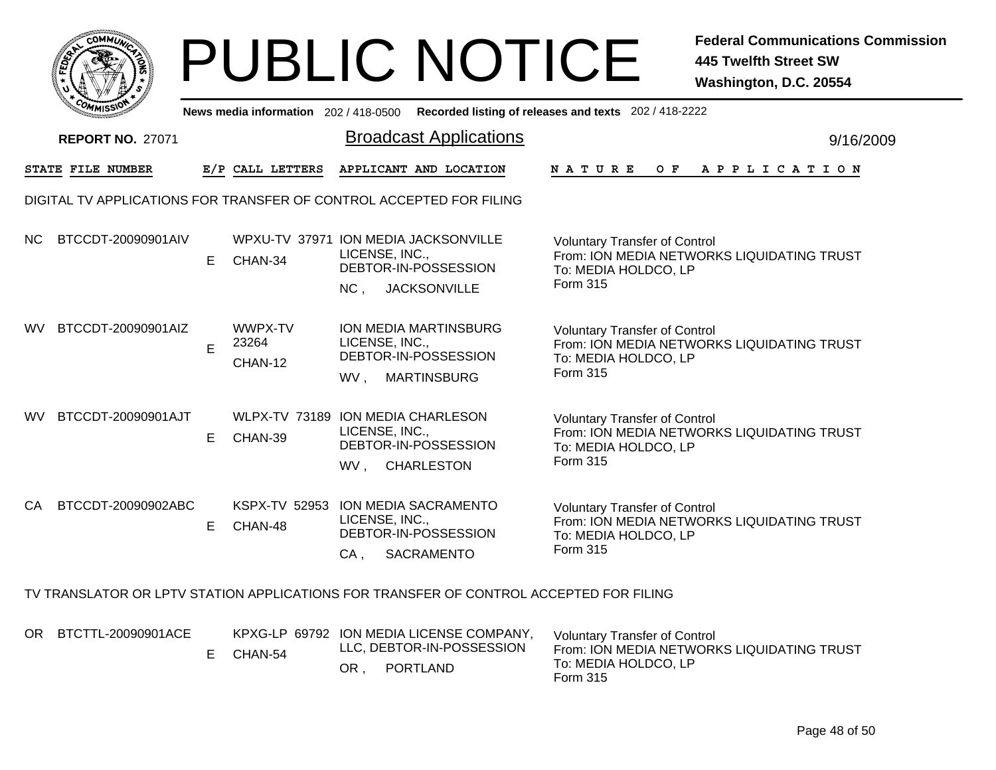

|           | ัพพเรวท                                                                                |    |                                                 |                                   |                                                                     | News media information 202 / 418-0500 Recorded listing of releases and texts 202 / 418-2222                                   |           |
|-----------|----------------------------------------------------------------------------------------|----|-------------------------------------------------|-----------------------------------|---------------------------------------------------------------------|-------------------------------------------------------------------------------------------------------------------------------|-----------|
|           | <b>REPORT NO. 27071</b>                                                                |    |                                                 |                                   | <b>Broadcast Applications</b>                                       |                                                                                                                               | 9/16/2009 |
|           | STATE FILE NUMBER                                                                      |    | E/P CALL LETTERS                                |                                   | APPLICANT AND LOCATION                                              | OF APPLICATION<br><b>NATURE</b>                                                                                               |           |
|           | DIGITAL TV APPLICATIONS FOR TRANSFER OF CONTROL ACCEPTED FOR FILING                    |    |                                                 |                                   |                                                                     |                                                                                                                               |           |
| NC.       | BTCCDT-20090901AIV                                                                     | E. | WPXU-TV 37971 ION MEDIA JACKSONVILLE<br>CHAN-34 | LICENSE, INC.,<br>NC <sub>1</sub> | DEBTOR-IN-POSSESSION<br><b>JACKSONVILLE</b>                         | <b>Voluntary Transfer of Control</b><br>From: ION MEDIA NETWORKS LIQUIDATING TRUST<br>To: MEDIA HOLDCO, LP<br>Form 315        |           |
| <b>WV</b> | BTCCDT-20090901AIZ                                                                     | E  | WWPX-TV<br>23264<br>CHAN-12                     | LICENSE, INC.,<br>WV,             | ION MEDIA MARTINSBURG<br>DEBTOR-IN-POSSESSION<br><b>MARTINSBURG</b> | <b>Voluntary Transfer of Control</b><br>From: ION MEDIA NETWORKS LIQUIDATING TRUST<br>To: MEDIA HOLDCO, LP<br>Form 315        |           |
| WV.       | BTCCDT-20090901AJT                                                                     | E. | WLPX-TV 73189 ION MEDIA CHARLESON<br>CHAN-39    | LICENSE, INC.,<br>WV, CHARLESTON  | DEBTOR-IN-POSSESSION                                                | <b>Voluntary Transfer of Control</b><br>From: ION MEDIA NETWORKS LIQUIDATING TRUST<br>To: MEDIA HOLDCO, LP<br>Form 315        |           |
| CA        | BTCCDT-20090902ABC                                                                     | E. | KSPX-TV 52953 ION MEDIA SACRAMENTO<br>CHAN-48   | LICENSE, INC.,<br>CA,             | DEBTOR-IN-POSSESSION<br>SACRAMENTO                                  | <b>Voluntary Transfer of Control</b><br>From: ION MEDIA NETWORKS LIQUIDATING TRUST<br>To: MEDIA HOLDCO, LP<br><b>Form 315</b> |           |
|           | TV TRANSLATOR OR LPTV STATION APPLICATIONS FOR TRANSFER OF CONTROL ACCEPTED FOR FILING |    |                                                 |                                   |                                                                     |                                                                                                                               |           |
|           | OR BTCTTL-20090901ACE                                                                  |    |                                                 |                                   | KPXG-LP 69792 ION MEDIA LICENSE COMPANY,                            | <b>Voluntary Transfer of Control</b>                                                                                          |           |

LLC, DEBTOR-IN-POSSESSION OR , PORTLAND E CHAN-54 Voluntary Transfer of Control From: ION MEDIA NETWORKS LIQUIDATING TRUST To: MEDIA HOLDCO, LP Form 315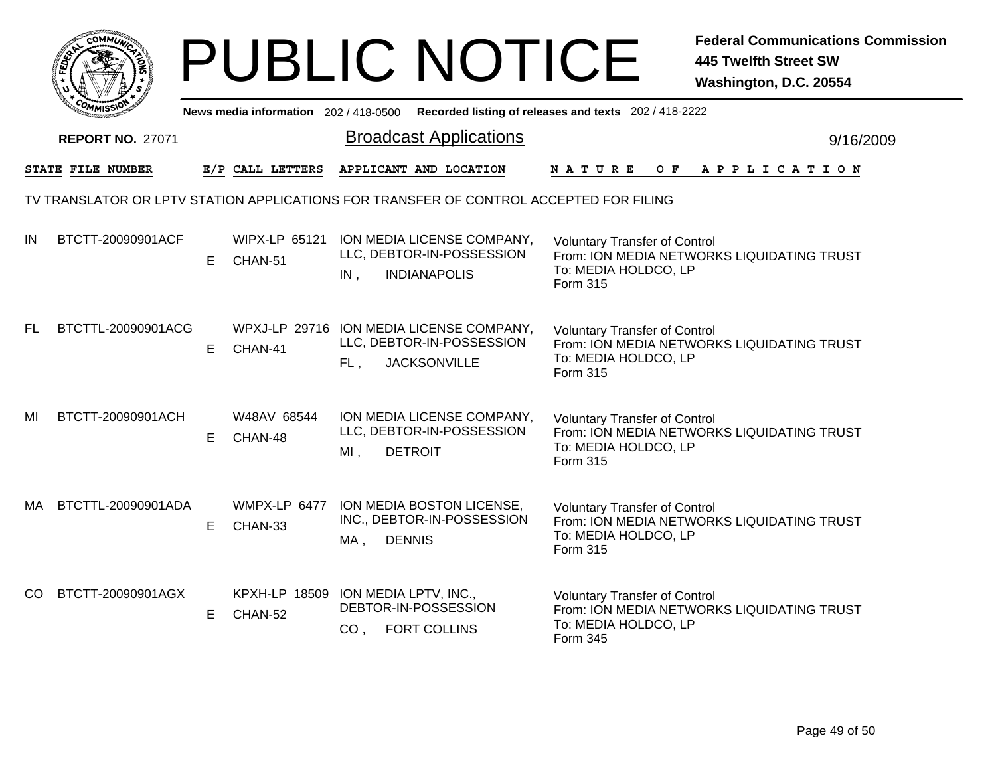|     |                                                                                        |    |                                                |                      | <b>PUBLIC NOTICE</b>                                                                         |                                                                          | <b>Federal Communications Commission</b><br><b>445 Twelfth Street SW</b><br>Washington, D.C. 20554 |
|-----|----------------------------------------------------------------------------------------|----|------------------------------------------------|----------------------|----------------------------------------------------------------------------------------------|--------------------------------------------------------------------------|----------------------------------------------------------------------------------------------------|
|     |                                                                                        |    | News media information 202/418-0500            |                      |                                                                                              | Recorded listing of releases and texts 202 / 418-2222                    |                                                                                                    |
|     | <b>REPORT NO. 27071</b>                                                                |    |                                                |                      | <b>Broadcast Applications</b>                                                                |                                                                          | 9/16/2009                                                                                          |
|     | STATE FILE NUMBER                                                                      |    | E/P CALL LETTERS                               |                      | APPLICANT AND LOCATION                                                                       | <b>NATURE</b><br>O F                                                     | APPLICATION                                                                                        |
|     | TV TRANSLATOR OR LPTV STATION APPLICATIONS FOR TRANSFER OF CONTROL ACCEPTED FOR FILING |    |                                                |                      |                                                                                              |                                                                          |                                                                                                    |
| IN  | BTCTT-20090901ACF                                                                      | E  | <b>WIPX-LP 65121</b><br>CHAN-51                | IN,                  | ION MEDIA LICENSE COMPANY,<br>LLC, DEBTOR-IN-POSSESSION<br><b>INDIANAPOLIS</b>               | <b>Voluntary Transfer of Control</b><br>To: MEDIA HOLDCO, LP<br>Form 315 | From: ION MEDIA NETWORKS LIQUIDATING TRUST                                                         |
| FL  | BTCTTL-20090901ACG                                                                     | E. | CHAN-41                                        | FL,                  | WPXJ-LP 29716 ION MEDIA LICENSE COMPANY,<br>LLC, DEBTOR-IN-POSSESSION<br><b>JACKSONVILLE</b> | <b>Voluntary Transfer of Control</b><br>To: MEDIA HOLDCO, LP<br>Form 315 | From: ION MEDIA NETWORKS LIQUIDATING TRUST                                                         |
| MI  | BTCTT-20090901ACH                                                                      | E. | W48AV 68544<br>CHAN-48                         | $MI$ ,               | ION MEDIA LICENSE COMPANY,<br>LLC, DEBTOR-IN-POSSESSION<br><b>DETROIT</b>                    | <b>Voluntary Transfer of Control</b><br>To: MEDIA HOLDCO, LP<br>Form 315 | From: ION MEDIA NETWORKS LIQUIDATING TRUST                                                         |
| MA. | BTCTTL-20090901ADA                                                                     | E. | WMPX-LP 6477<br>CHAN-33                        | <b>DENNIS</b><br>MA, | ION MEDIA BOSTON LICENSE,<br>INC., DEBTOR-IN-POSSESSION                                      | <b>Voluntary Transfer of Control</b><br>To: MEDIA HOLDCO, LP<br>Form 315 | From: ION MEDIA NETWORKS LIQUIDATING TRUST                                                         |
| CO. | BTCTT-20090901AGX                                                                      | E. | KPXH-LP 18509 ION MEDIA LPTV, INC.,<br>CHAN-52 | CO <sub>1</sub>      | DEBTOR-IN-POSSESSION<br><b>FORT COLLINS</b>                                                  | <b>Voluntary Transfer of Control</b><br>To: MEDIA HOLDCO, LP<br>Form 345 | From: ION MEDIA NETWORKS LIQUIDATING TRUST                                                         |